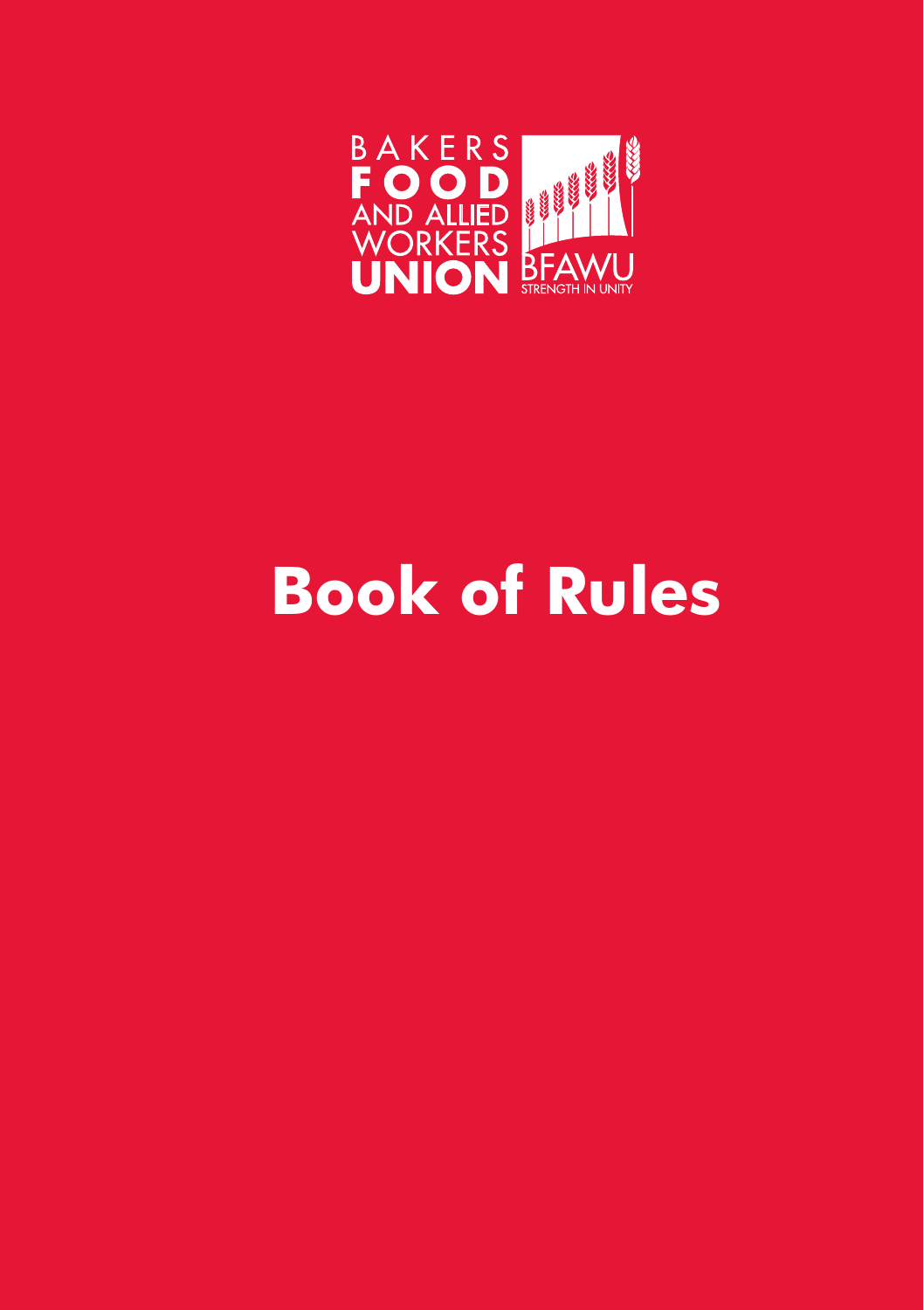

## **Book of Rules**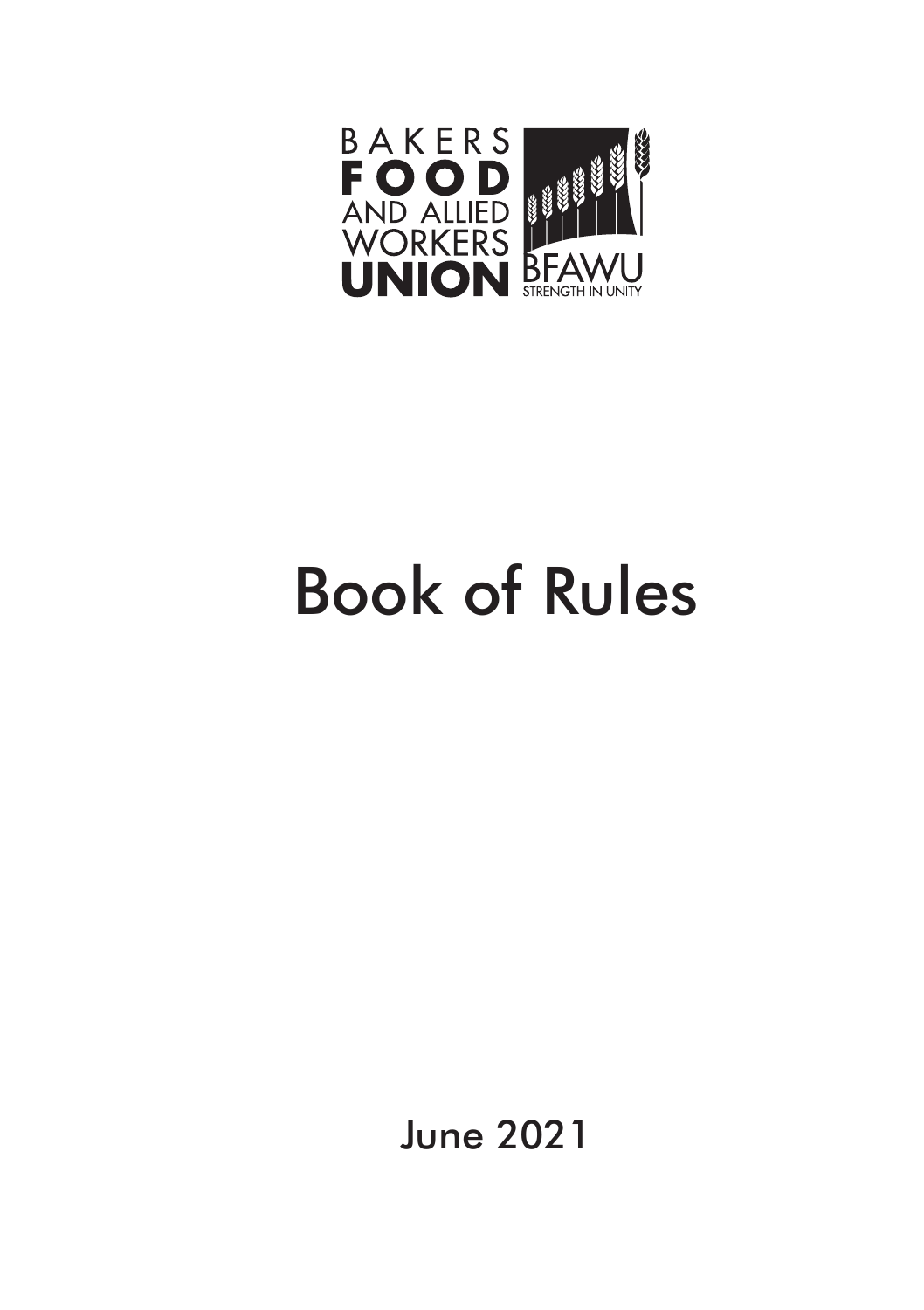

# Book of Rules

June 2021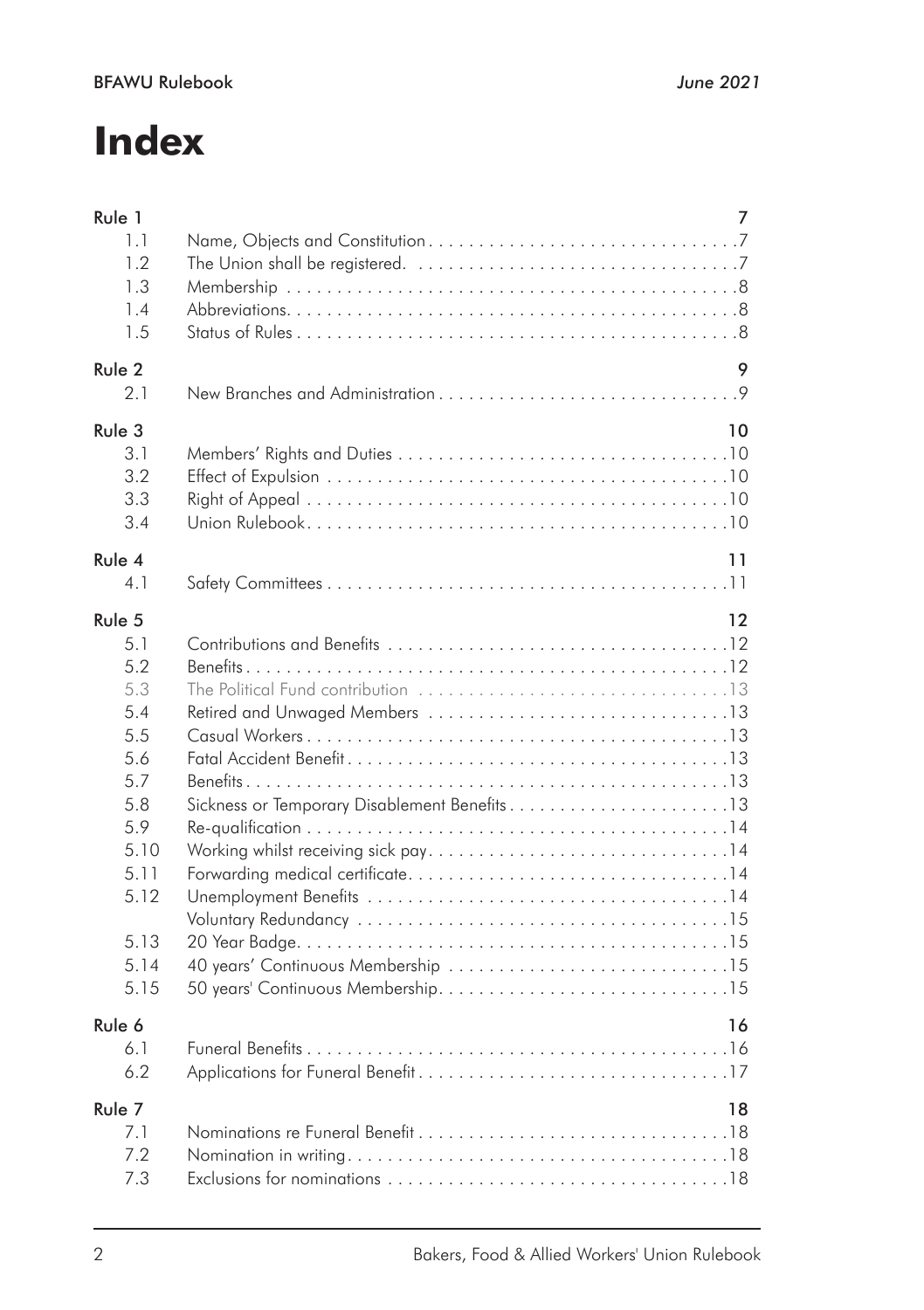## **Index**

| Rule 1                                                                                                                | 7                                                  |
|-----------------------------------------------------------------------------------------------------------------------|----------------------------------------------------|
| 1.1                                                                                                                   |                                                    |
| 1.2                                                                                                                   |                                                    |
| 1.3                                                                                                                   |                                                    |
| 1.4                                                                                                                   |                                                    |
| 1.5                                                                                                                   |                                                    |
| Rule 2                                                                                                                | 9                                                  |
| 2.1                                                                                                                   |                                                    |
| Rule 3                                                                                                                | 10                                                 |
| 31                                                                                                                    |                                                    |
| 3.2                                                                                                                   |                                                    |
| 3.3                                                                                                                   |                                                    |
| 3.4                                                                                                                   |                                                    |
| Rule 4                                                                                                                | 11                                                 |
| 4.1                                                                                                                   |                                                    |
| Rule 5<br>5.1<br>5.2<br>5.3<br>5.4<br>5.5<br>5.6<br>5.7<br>5.8<br>5.9<br>5.10<br>5.11<br>5.12<br>5.13<br>5.14<br>5.15 | 12<br>Sickness or Temporary Disablement Benefits13 |
| Rule 6                                                                                                                | 16                                                 |
| 6.1                                                                                                                   |                                                    |
| 6.2                                                                                                                   |                                                    |
| Rule 7                                                                                                                | 18                                                 |
| 7.1                                                                                                                   |                                                    |
| 7.2                                                                                                                   |                                                    |
| 7.3                                                                                                                   |                                                    |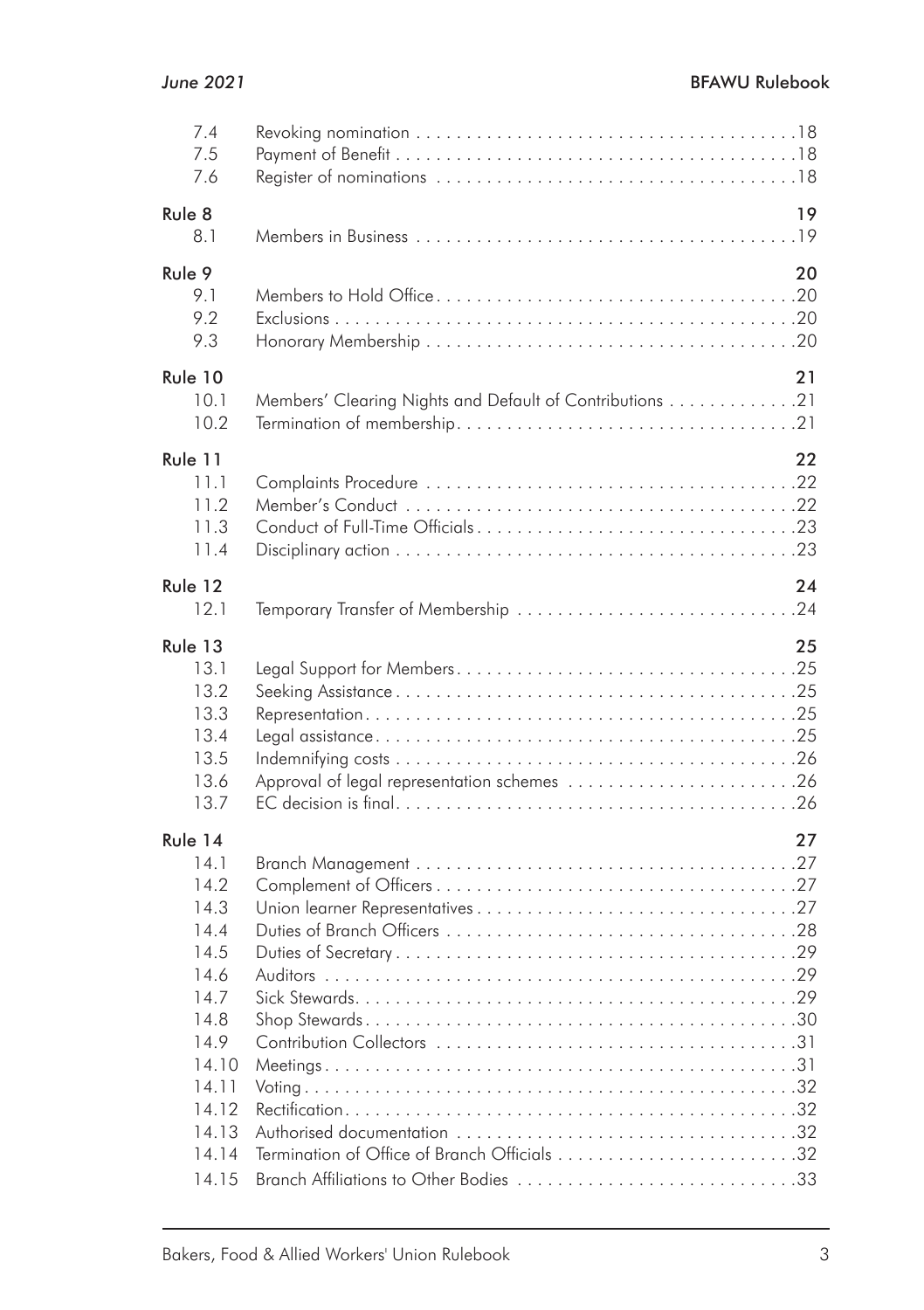| 7.4<br>7.5<br>7.6                                                                                                                     |                                                          |    |
|---------------------------------------------------------------------------------------------------------------------------------------|----------------------------------------------------------|----|
| Rule 8<br>8.1                                                                                                                         |                                                          | 19 |
| Rule 9<br>9.1<br>9.2<br>9.3                                                                                                           |                                                          | 20 |
| Rule 10<br>10.1<br>10.2                                                                                                               | Members' Clearing Nights and Default of Contributions 21 | 21 |
| Rule 11<br>11.1<br>11.2<br>11.3<br>11.4                                                                                               |                                                          | 22 |
| Rule 12<br>12.1                                                                                                                       | Temporary Transfer of Membership 24                      | 24 |
| Rule 13<br>13.1<br>13.2<br>13.3<br>13.4<br>13.5<br>13.6<br>13.7                                                                       | Approval of legal representation schemes 26              | 25 |
| Rule 14<br>14.1<br>14.2<br>14.3<br>14.4<br>14.5<br>14.6<br>14.7<br>14.8<br>14.9<br>14.10<br>14.11<br>14.12<br>14.13<br>14.14<br>14.15 |                                                          | 27 |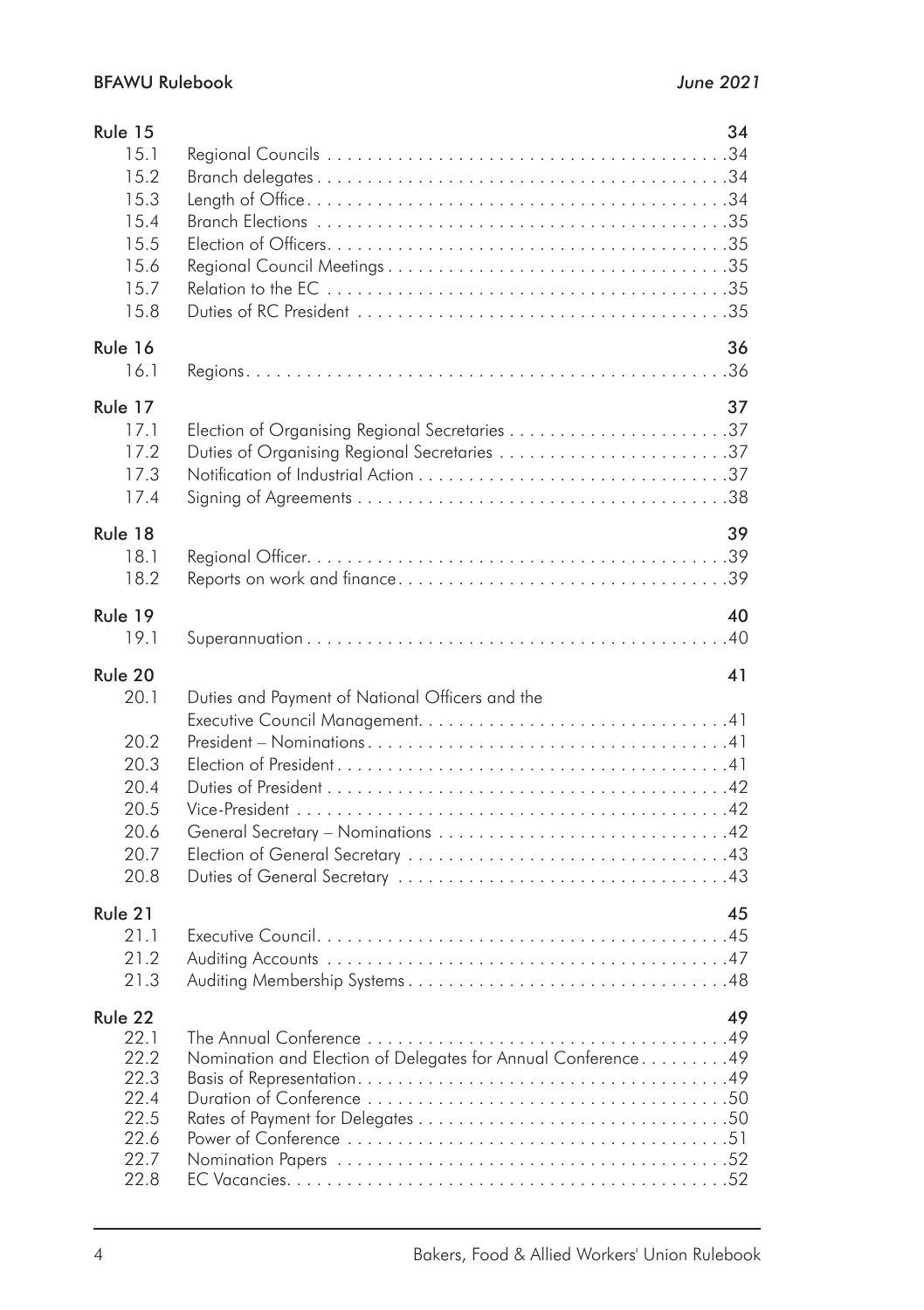| Rule 15<br>15.1<br>15.2                              | 34                                              |
|------------------------------------------------------|-------------------------------------------------|
| 15.3<br>15.4<br>15.5                                 |                                                 |
| 15.6                                                 |                                                 |
| 15.7                                                 |                                                 |
| 15.8                                                 |                                                 |
| Rule 16                                              | 36                                              |
| 16.1                                                 |                                                 |
| Rule 17                                              | 37                                              |
| 17.1                                                 |                                                 |
| 17.2                                                 | Duties of Organising Regional Secretaries 37    |
| 17.3                                                 |                                                 |
| 17.4                                                 |                                                 |
| Rule 18                                              | 39                                              |
| 181                                                  |                                                 |
| 182                                                  |                                                 |
| Rule 19                                              | 40                                              |
| 19.1                                                 |                                                 |
|                                                      |                                                 |
| Rule 20                                              | 41                                              |
| 20.1                                                 | Duties and Payment of National Officers and the |
| 20.2<br>20.3<br>20.4<br>20.5<br>20.6<br>20.7<br>20.8 |                                                 |
| Rule 21                                              | 45                                              |
| 21.1                                                 |                                                 |
| 21.2                                                 |                                                 |
| 21.3                                                 |                                                 |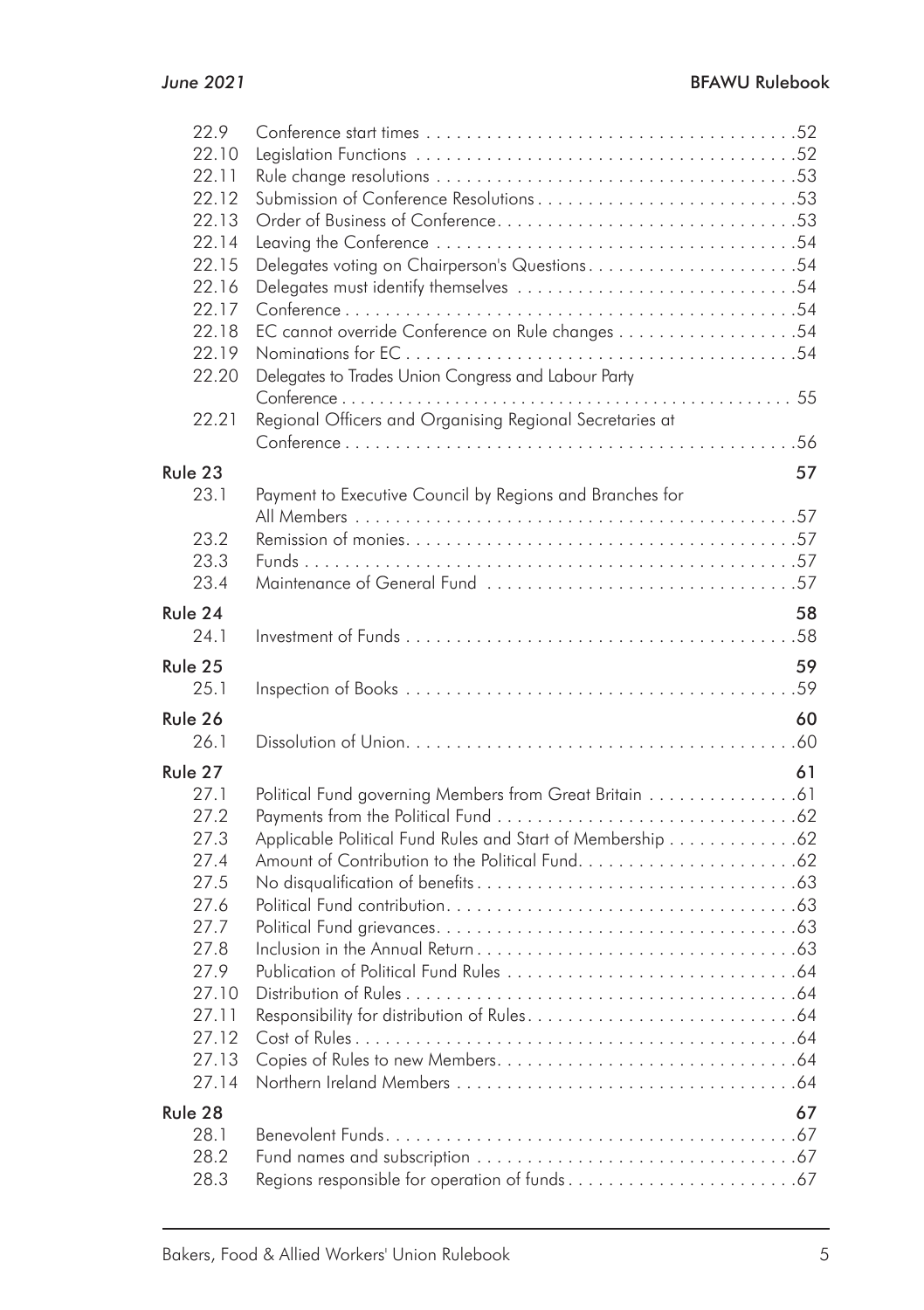|                                                        | 22.9    |                                                            |    |
|--------------------------------------------------------|---------|------------------------------------------------------------|----|
|                                                        | 22.10   |                                                            |    |
|                                                        | 22.11   |                                                            |    |
| Submission of Conference Resolutions53<br>22.12        |         |                                                            |    |
| 22.13                                                  |         |                                                            |    |
| 22.14                                                  |         |                                                            |    |
| Delegates voting on Chairperson's Questions54<br>22.15 |         |                                                            |    |
|                                                        | 22.16   |                                                            |    |
|                                                        | 22.17   |                                                            |    |
|                                                        | 22.18   |                                                            |    |
|                                                        | 22.19   |                                                            |    |
|                                                        | 22.20   | Delegates to Trades Union Congress and Labour Party        |    |
|                                                        |         |                                                            |    |
|                                                        | 22.21   | Regional Officers and Organising Regional Secretaries at   |    |
|                                                        |         |                                                            |    |
|                                                        | Rule 23 |                                                            | 57 |
|                                                        | 23.1    | Payment to Executive Council by Regions and Branches for   |    |
|                                                        |         |                                                            |    |
|                                                        | 23.2    |                                                            |    |
|                                                        | 23.3    |                                                            |    |
|                                                        | 23.4    |                                                            |    |
|                                                        | Rule 24 |                                                            | 58 |
|                                                        | 24.1    |                                                            |    |
|                                                        | Rule 25 |                                                            | 59 |
|                                                        | 25.1    |                                                            |    |
|                                                        | Rule 26 |                                                            | 60 |
|                                                        | 261     |                                                            |    |
|                                                        |         |                                                            |    |
|                                                        | Rule 27 |                                                            | 61 |
|                                                        | 27.1    | Political Fund governing Members from Great Britain 61     |    |
|                                                        | 27.2    |                                                            |    |
|                                                        | 27.3    | Applicable Political Fund Rules and Start of Membership 62 |    |
|                                                        | 27.4    |                                                            |    |
|                                                        | 27.5    |                                                            |    |
|                                                        | 27.6    |                                                            |    |
|                                                        | 27.7    |                                                            |    |
|                                                        | 27.8    |                                                            |    |
|                                                        | 27.9    |                                                            |    |
|                                                        | 27.10   |                                                            |    |
|                                                        | 27.11   |                                                            |    |
|                                                        | 27.12   |                                                            |    |
|                                                        | 27.13   |                                                            |    |
|                                                        | 27.14   |                                                            |    |
|                                                        | Rule 28 |                                                            | 67 |
|                                                        | 28.1    |                                                            |    |
|                                                        | 28.2    |                                                            |    |
|                                                        |         |                                                            |    |
|                                                        | 28.3    |                                                            |    |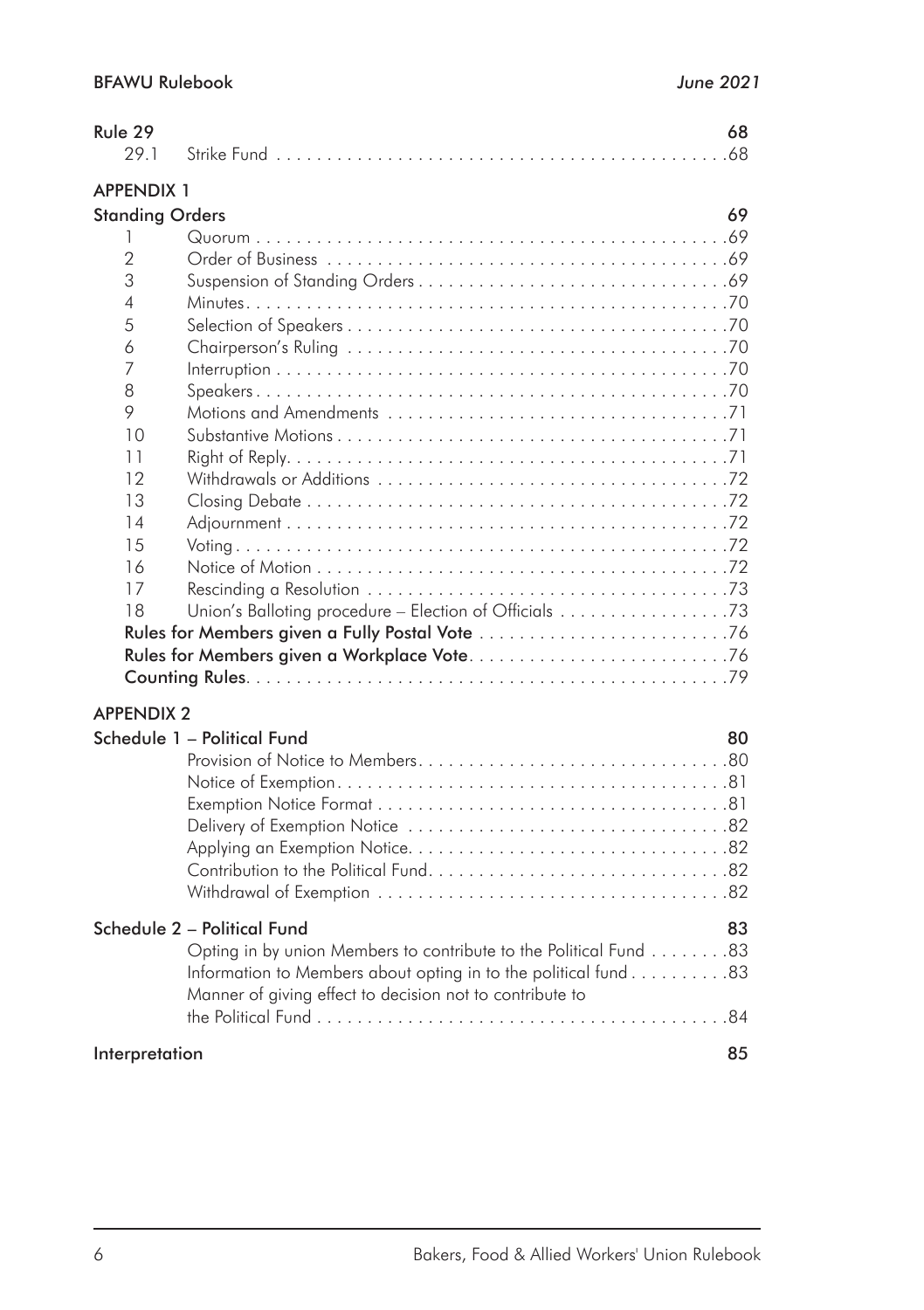| Rule 29                |                                                                   | 68 |
|------------------------|-------------------------------------------------------------------|----|
| 29.1                   |                                                                   |    |
| <b>APPENDIX 1</b>      |                                                                   |    |
| <b>Standing Orders</b> |                                                                   | 69 |
| 1                      |                                                                   |    |
| $\overline{2}$         |                                                                   |    |
| 3                      |                                                                   |    |
| 4                      |                                                                   |    |
| 5                      |                                                                   |    |
| 6                      |                                                                   |    |
| 7                      |                                                                   |    |
| 8                      |                                                                   |    |
| 9                      |                                                                   |    |
| 10                     |                                                                   |    |
| 11                     |                                                                   |    |
| 12                     |                                                                   |    |
| 13                     |                                                                   |    |
| 14                     |                                                                   |    |
| 15                     |                                                                   |    |
| 16                     |                                                                   |    |
| 17                     |                                                                   |    |
| 18                     | Union's Balloting procedure - Election of Officials 73            |    |
|                        |                                                                   |    |
|                        |                                                                   |    |
|                        |                                                                   |    |
| <b>APPENDIX 2</b>      |                                                                   |    |
|                        | Schedule 1 - Political Fund                                       | 80 |
|                        |                                                                   |    |
|                        |                                                                   |    |
|                        |                                                                   |    |
|                        |                                                                   |    |
|                        |                                                                   |    |
|                        |                                                                   |    |
|                        |                                                                   |    |
|                        | Schedule 2 - Political Fund                                       | 83 |
|                        | Opting in by union Members to contribute to the Political Fund 83 |    |
|                        | Information to Members about opting in to the political fund 83   |    |
|                        | Manner of giving effect to decision not to contribute to          |    |
|                        |                                                                   |    |
| Interpretation         |                                                                   | 85 |
|                        |                                                                   |    |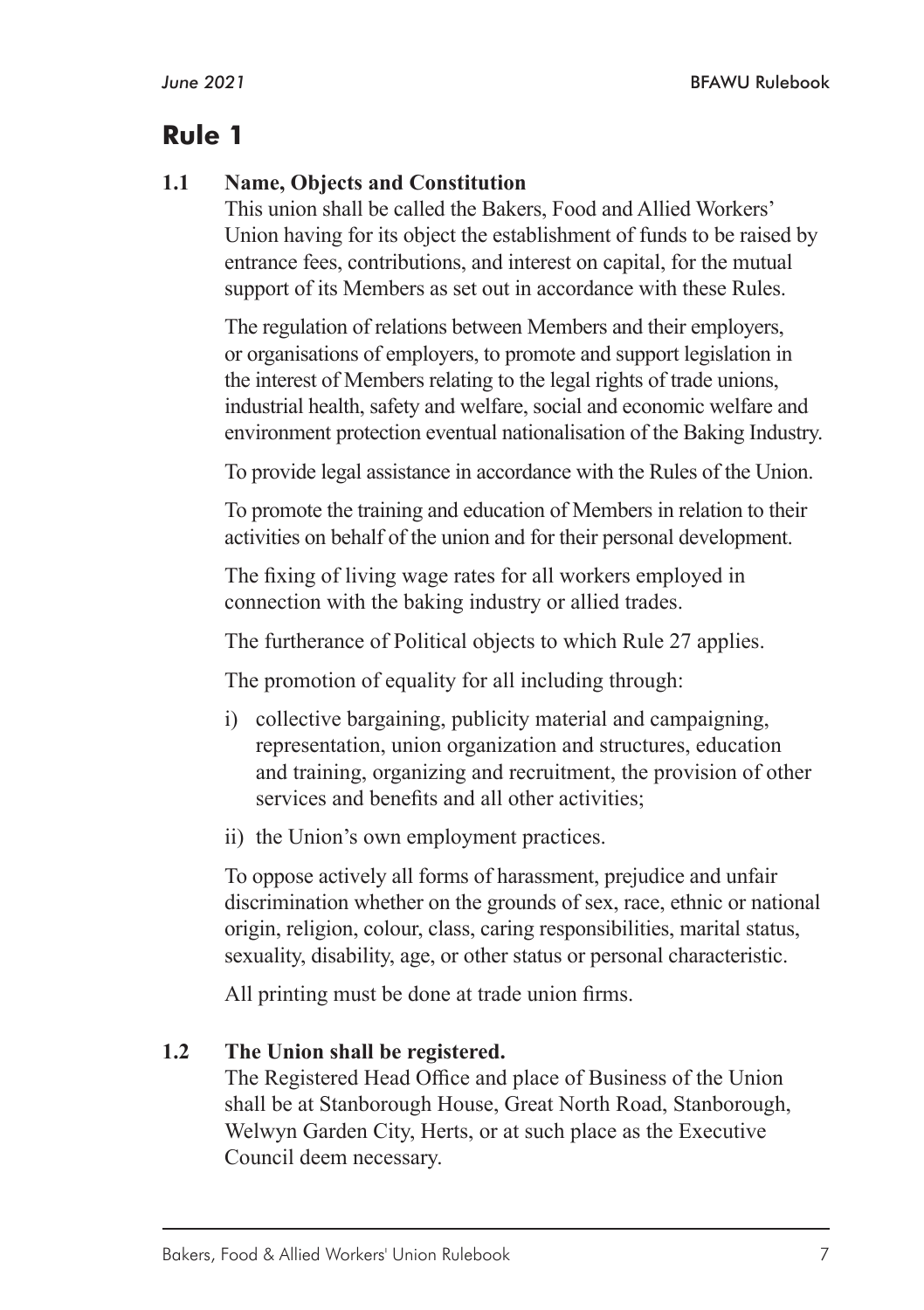#### **1.1 Name, Objects and Constitution**

This union shall be called the Bakers, Food and Allied Workers' Union having for its object the establishment of funds to be raised by entrance fees, contributions, and interest on capital, for the mutual support of its Members as set out in accordance with these Rules.

The regulation of relations between Members and their employers, or organisations of employers, to promote and support legislation in the interest of Members relating to the legal rights of trade unions, industrial health, safety and welfare, social and economic welfare and environment protection eventual nationalisation of the Baking Industry.

To provide legal assistance in accordance with the Rules of the Union.

To promote the training and education of Members in relation to their activities on behalf of the union and for their personal development.

The fixing of living wage rates for all workers employed in connection with the baking industry or allied trades.

The furtherance of Political objects to which Rule 27 applies.

The promotion of equality for all including through:

- i) collective bargaining, publicity material and campaigning, representation, union organization and structures, education and training, organizing and recruitment, the provision of other services and benefits and all other activities;
- ii) the Union's own employment practices.

To oppose actively all forms of harassment, prejudice and unfair discrimination whether on the grounds of sex, race, ethnic or national origin, religion, colour, class, caring responsibilities, marital status, sexuality, disability, age, or other status or personal characteristic.

All printing must be done at trade union firms.

#### **1.2 The Union shall be registered.**

The Registered Head Office and place of Business of the Union shall be at Stanborough House, Great North Road, Stanborough, Welwyn Garden City, Herts, or at such place as the Executive Council deem necessary.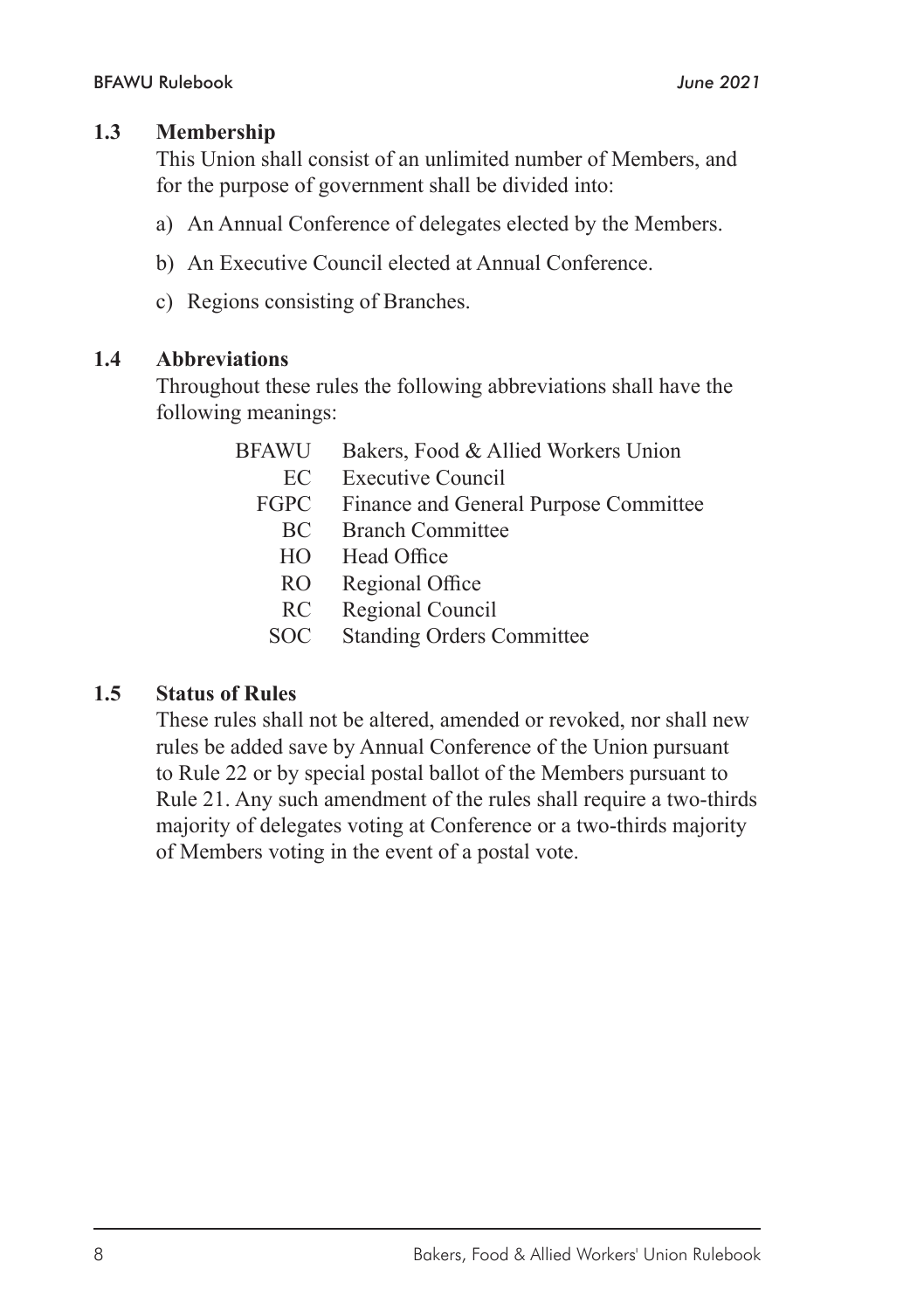#### **1.3 Membership**

This Union shall consist of an unlimited number of Members, and for the purpose of government shall be divided into:

- a) An Annual Conference of delegates elected by the Members.
- b) An Executive Council elected at Annual Conference.
- c) Regions consisting of Branches.

#### **1.4 Abbreviations**

Throughout these rules the following abbreviations shall have the following meanings:

| Bakers, Food & Allied Workers Union   |
|---------------------------------------|
| <b>Executive Council</b>              |
| Finance and General Purpose Committee |
| <b>Branch Committee</b>               |
| Head Office                           |
| Regional Office                       |
| Regional Council                      |
| <b>Standing Orders Committee</b>      |
|                                       |

#### **1.5 Status of Rules**

These rules shall not be altered, amended or revoked, nor shall new rules be added save by Annual Conference of the Union pursuant to Rule 22 or by special postal ballot of the Members pursuant to Rule 21. Any such amendment of the rules shall require a two-thirds majority of delegates voting at Conference or a two-thirds majority of Members voting in the event of a postal vote.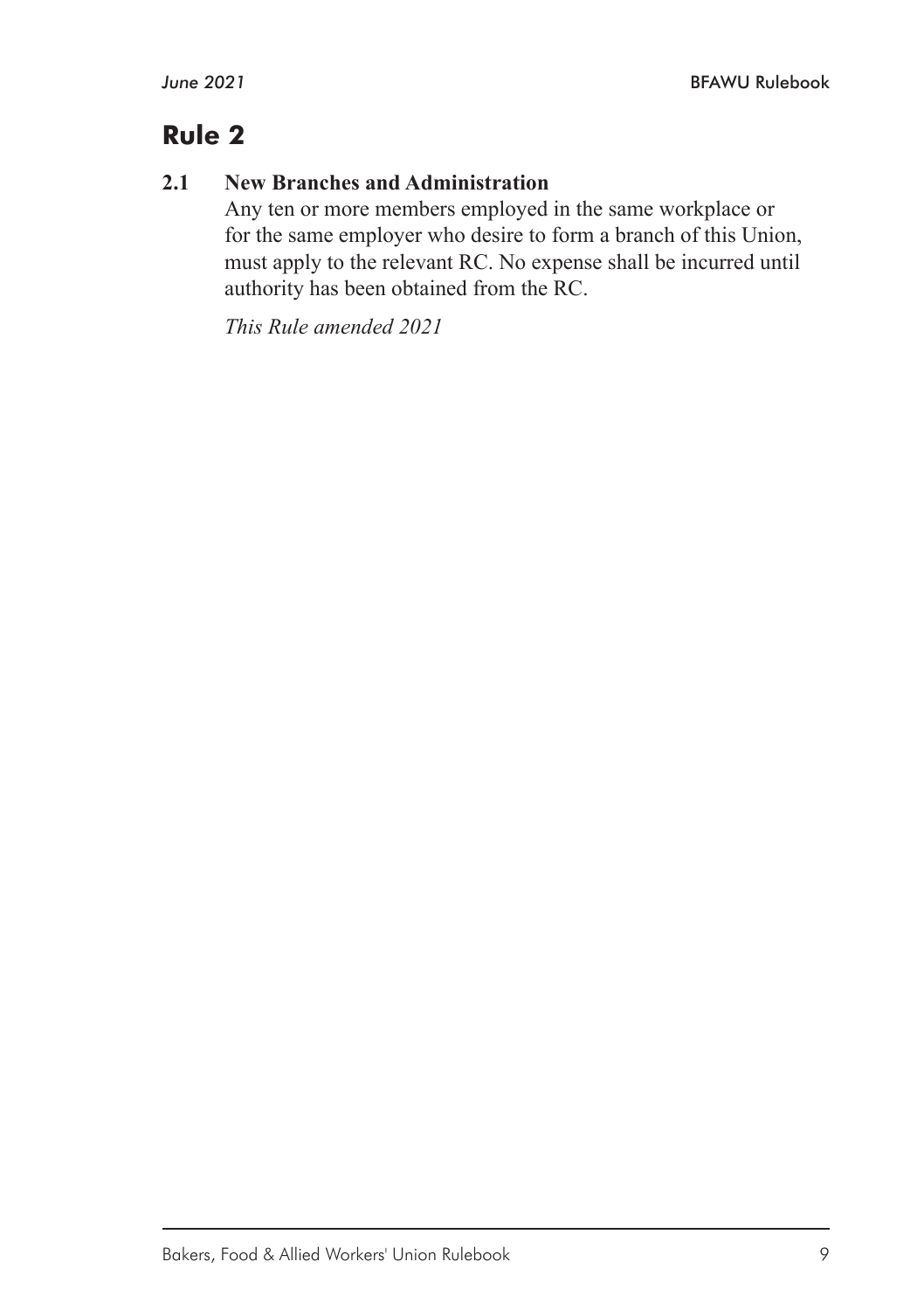#### **2.1 New Branches and Administration**

Any ten or more members employed in the same workplace or for the same employer who desire to form a branch of this Union, must apply to the relevant RC. No expense shall be incurred until authority has been obtained from the RC.

*This Rule amended 2021*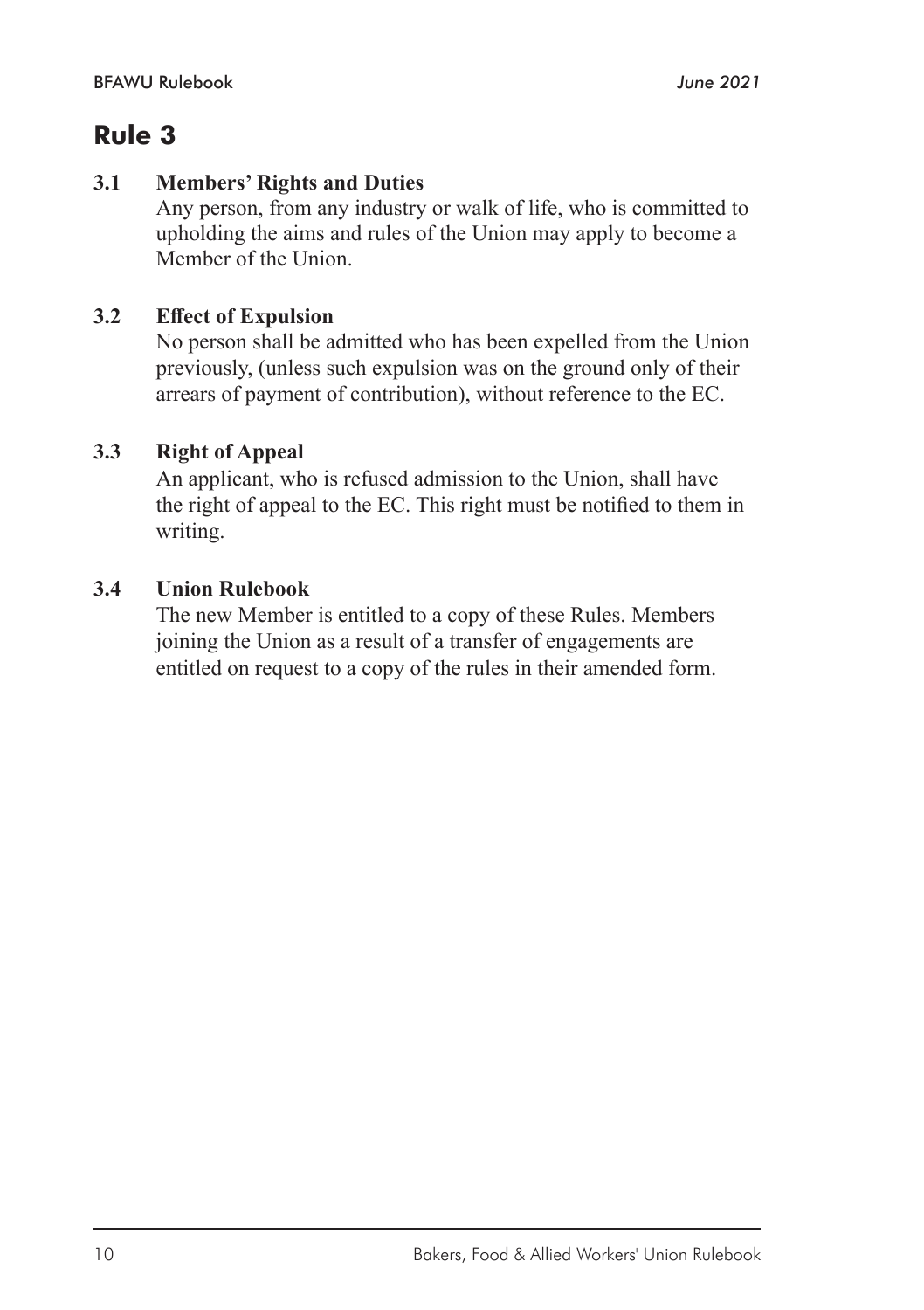#### **3.1 Members' Rights and Duties**

Any person, from any industry or walk of life, who is committed to upholding the aims and rules of the Union may apply to become a Member of the Union.

#### **3.2 Effect of Expulsion**

No person shall be admitted who has been expelled from the Union previously, (unless such expulsion was on the ground only of their arrears of payment of contribution), without reference to the EC.

#### **3.3 Right of Appeal**

An applicant, who is refused admission to the Union, shall have the right of appeal to the EC. This right must be notified to them in writing.

#### **3.4 Union Rulebook**

The new Member is entitled to a copy of these Rules. Members joining the Union as a result of a transfer of engagements are entitled on request to a copy of the rules in their amended form.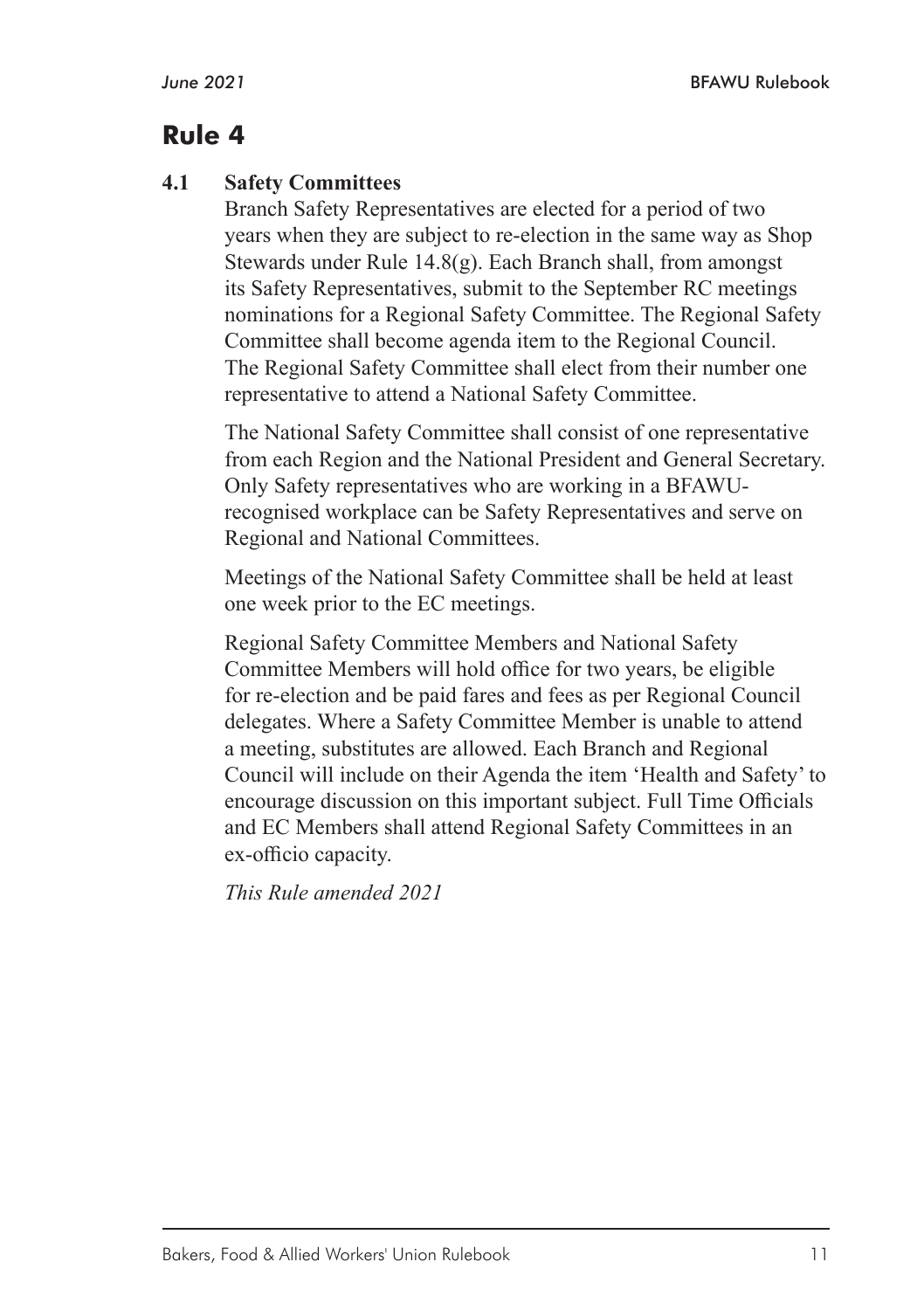#### **4.1 Safety Committees**

Branch Safety Representatives are elected for a period of two years when they are subject to re-election in the same way as Shop Stewards under Rule 14.8(g). Each Branch shall, from amongst its Safety Representatives, submit to the September RC meetings nominations for a Regional Safety Committee. The Regional Safety Committee shall become agenda item to the Regional Council. The Regional Safety Committee shall elect from their number one representative to attend a National Safety Committee.

The National Safety Committee shall consist of one representative from each Region and the National President and General Secretary. Only Safety representatives who are working in a BFAWUrecognised workplace can be Safety Representatives and serve on Regional and National Committees.

Meetings of the National Safety Committee shall be held at least one week prior to the EC meetings.

Regional Safety Committee Members and National Safety Committee Members will hold office for two years, be eligible for re-election and be paid fares and fees as per Regional Council delegates. Where a Safety Committee Member is unable to attend a meeting, substitutes are allowed. Each Branch and Regional Council will include on their Agenda the item 'Health and Safety' to encourage discussion on this important subject. Full Time Officials and EC Members shall attend Regional Safety Committees in an ex-officio capacity.

*This Rule amended 2021*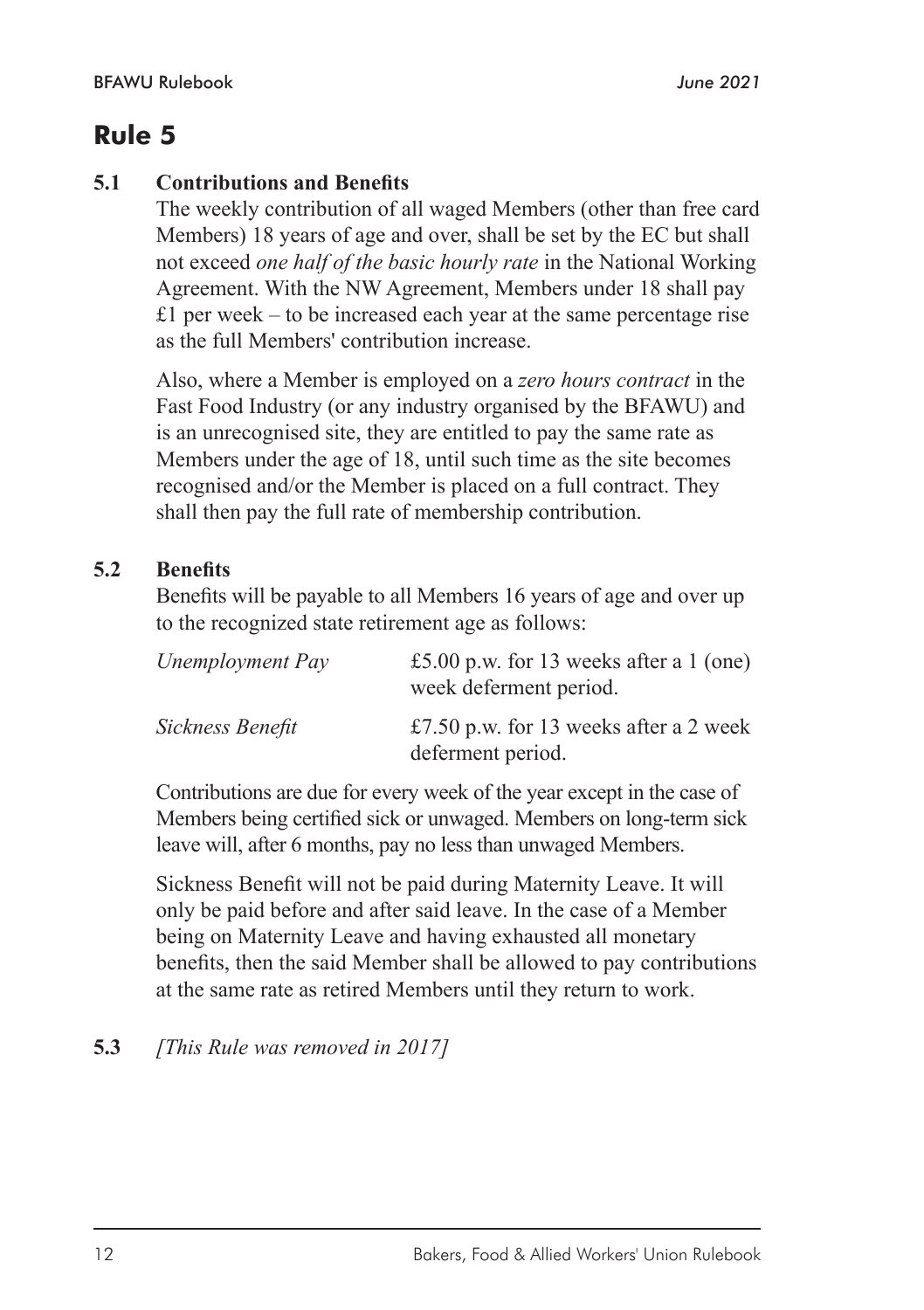#### **5.1 Contributions and Benefits**

The weekly contribution of all waged Members (other than free card Members) 18 years of age and over, shall be set by the EC but shall not exceed *one half of the basic hourly rate* in the National Working Agreement. With the NW Agreement, Members under 18 shall pay  $£1$  per week – to be increased each year at the same percentage rise as the full Members' contribution increase.

Also, where a Member is employed on a *zero hours contract* in the Fast Food Industry (or any industry organised by the BFAWU) and is an unrecognised site, they are entitled to pay the same rate as Members under the age of 18, until such time as the site becomes recognised and/or the Member is placed on a full contract. They shall then pay the full rate of membership contribution.

#### **5.2 Benefits**

Benefits will be payable to all Members 16 years of age and over up to the recognized state retirement age as follows:

| Unemployment Pay | £5.00 p.w. for 13 weeks after a 1 (one)<br>week deferment period. |
|------------------|-------------------------------------------------------------------|
| Sickness Benefit | £7.50 p.w. for 13 weeks after a 2 week<br>deferment period.       |

Contributions are due for every week of the year except in the case of Members being certified sick or unwaged. Members on long-term sick leave will, after 6 months, pay no less than unwaged Members.

Sickness Benefit will not be paid during Maternity Leave. It will only be paid before and after said leave. In the case of a Member being on Maternity Leave and having exhausted all monetary benefits, then the said Member shall be allowed to pay contributions at the same rate as retired Members until they return to work.

#### **5.3** *[This Rule was removed in 2017]*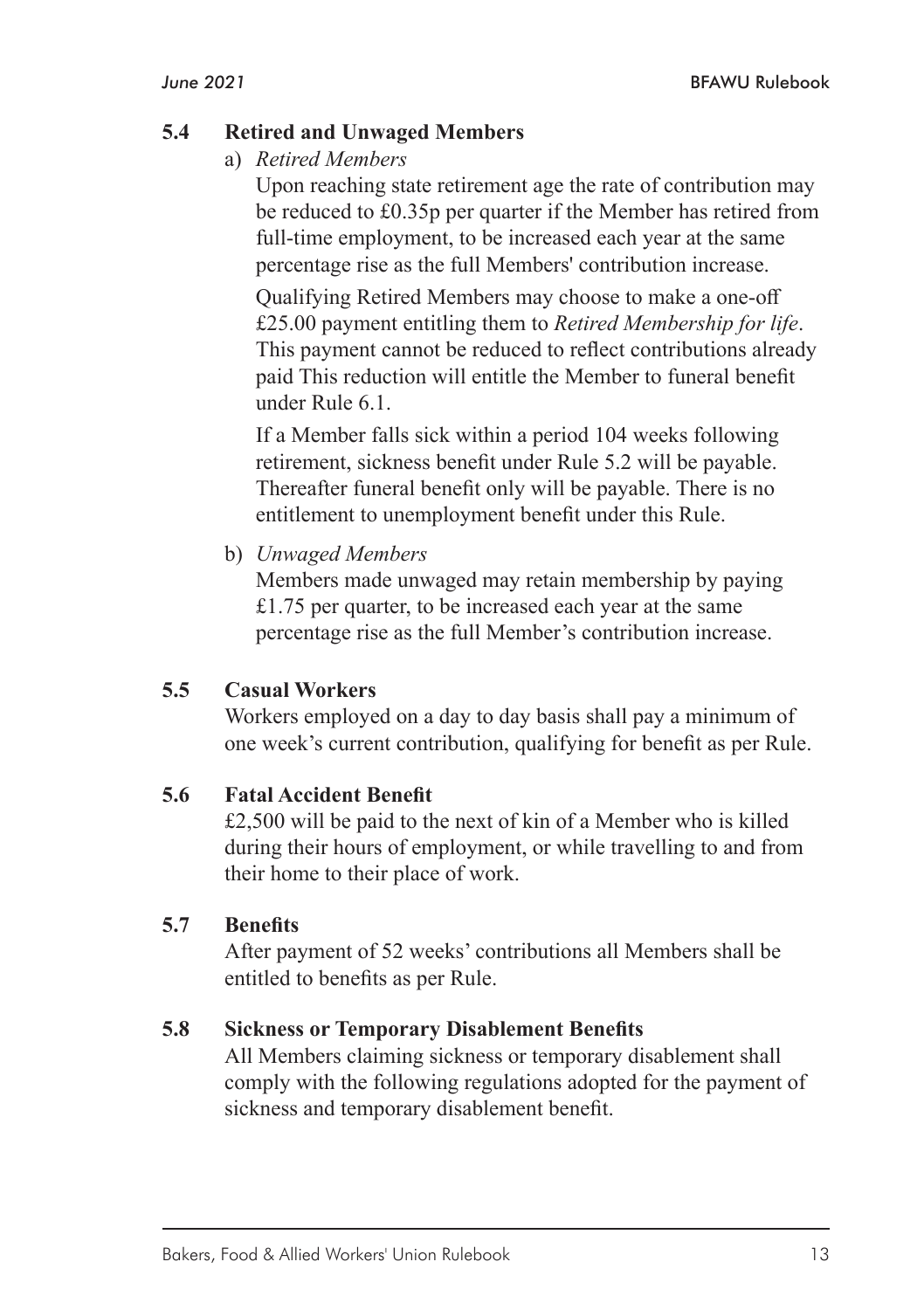#### **5.4 Retired and Unwaged Members**

a) *Retired Members*

Upon reaching state retirement age the rate of contribution may be reduced to £0.35p per quarter if the Member has retired from full-time employment, to be increased each year at the same percentage rise as the full Members' contribution increase.

Qualifying Retired Members may choose to make a one-off £25.00 payment entitling them to *Retired Membership for life*. This payment cannot be reduced to reflect contributions already paid This reduction will entitle the Member to funeral benefit under Rule 6.1.

If a Member falls sick within a period 104 weeks following retirement, sickness benefit under Rule 5.2 will be payable. Thereafter funeral benefit only will be payable. There is no entitlement to unemployment benefit under this Rule.

b) *Unwaged Members*

Members made unwaged may retain membership by paying £1.75 per quarter, to be increased each year at the same percentage rise as the full Member's contribution increase.

#### **5.5 Casual Workers**

Workers employed on a day to day basis shall pay a minimum of one week's current contribution, qualifying for benefit as per Rule.

#### **5.6 Fatal Accident Benefit**

£2,500 will be paid to the next of kin of a Member who is killed during their hours of employment, or while travelling to and from their home to their place of work.

#### **5.7 Benefits**

After payment of 52 weeks' contributions all Members shall be entitled to benefits as per Rule.

#### **5.8 Sickness or Temporary Disablement Benefits**

All Members claiming sickness or temporary disablement shall comply with the following regulations adopted for the payment of sickness and temporary disablement benefit.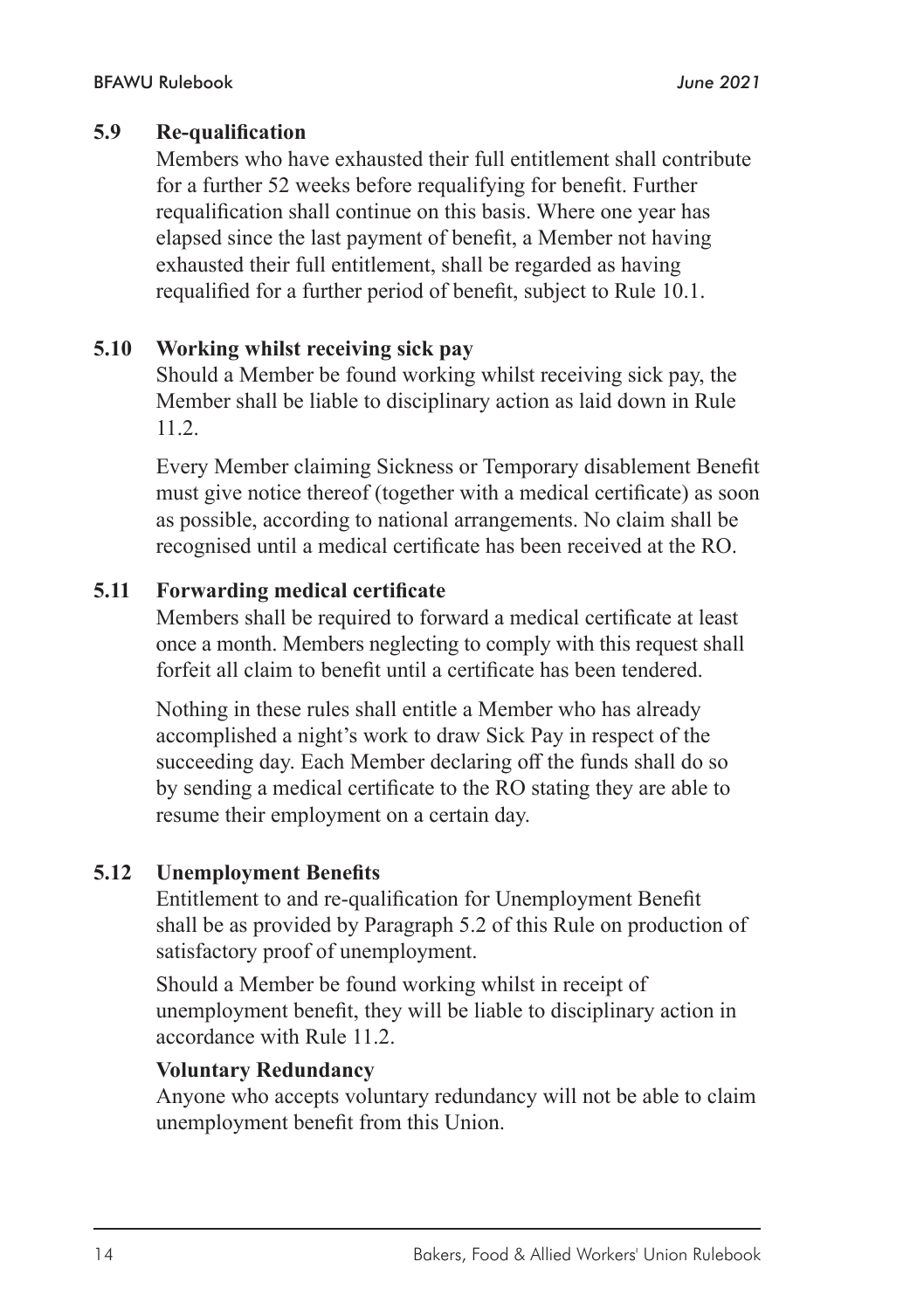#### **5.9 Re-qualification**

Members who have exhausted their full entitlement shall contribute for a further 52 weeks before requalifying for benefit. Further requalification shall continue on this basis. Where one year has elapsed since the last payment of benefit, a Member not having exhausted their full entitlement, shall be regarded as having requalified for a further period of benefit, subject to Rule 10.1.

#### **5.10 Working whilst receiving sick pay**

Should a Member be found working whilst receiving sick pay, the Member shall be liable to disciplinary action as laid down in Rule 11.2.

Every Member claiming Sickness or Temporary disablement Benefit must give notice thereof (together with a medical certificate) as soon as possible, according to national arrangements. No claim shall be recognised until a medical certificate has been received at the RO.

#### **5.11 Forwarding medical certificate**

Members shall be required to forward a medical certificate at least once a month. Members neglecting to comply with this request shall forfeit all claim to benefit until a certificate has been tendered.

Nothing in these rules shall entitle a Member who has already accomplished a night's work to draw Sick Pay in respect of the succeeding day. Each Member declaring off the funds shall do so by sending a medical certificate to the RO stating they are able to resume their employment on a certain day.

#### **5.12 Unemployment Benefits**

Entitlement to and re-qualification for Unemployment Benefit shall be as provided by Paragraph 5.2 of this Rule on production of satisfactory proof of unemployment.

Should a Member be found working whilst in receipt of unemployment benefit, they will be liable to disciplinary action in accordance with Rule 11.2.

#### **Voluntary Redundancy**

Anyone who accepts voluntary redundancy will not be able to claim unemployment benefit from this Union.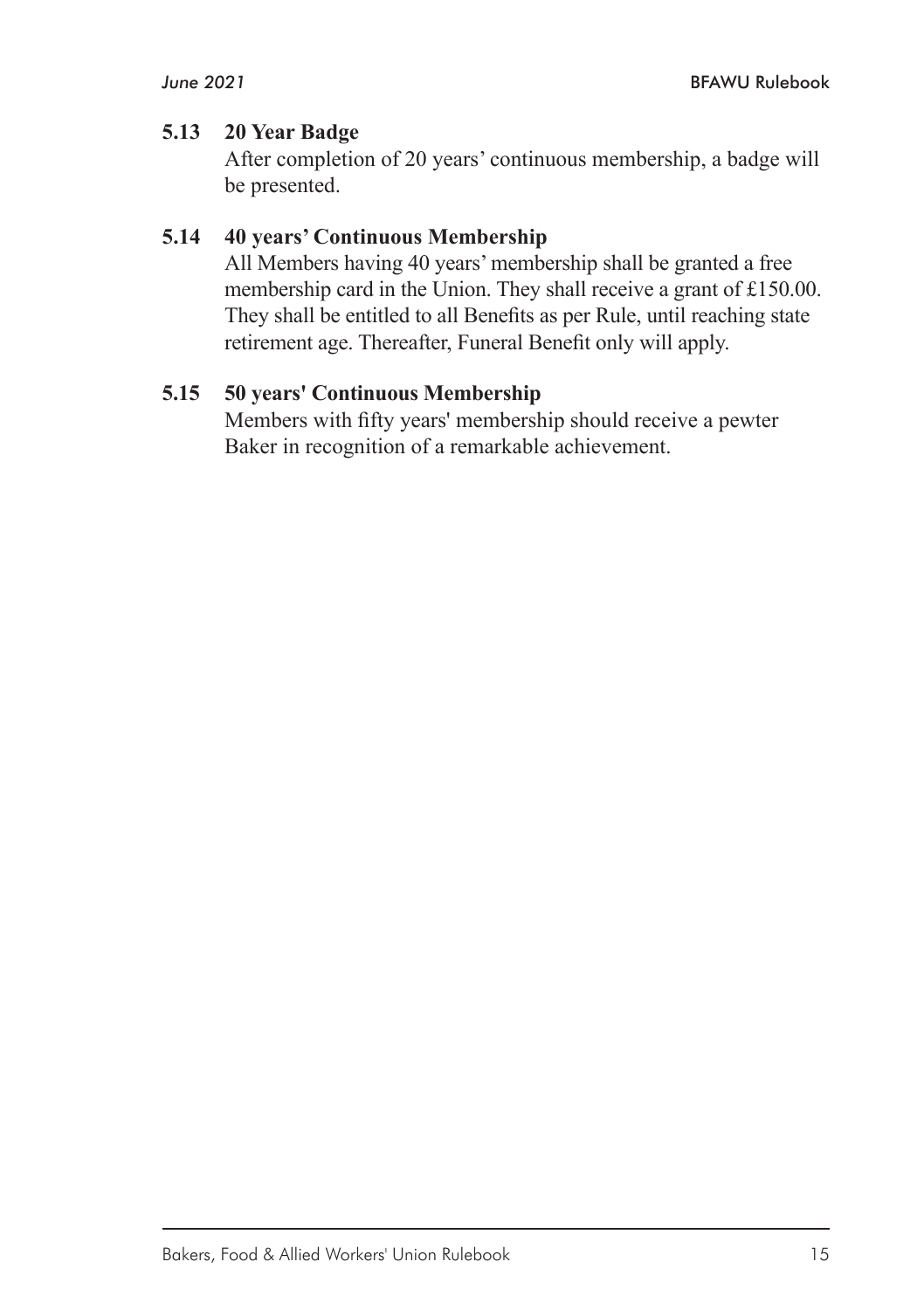#### **5.13 20 Year Badge**

After completion of 20 years' continuous membership, a badge will be presented.

#### **5.14 40 years' Continuous Membership**

All Members having 40 years' membership shall be granted a free membership card in the Union. They shall receive a grant of £150.00. They shall be entitled to all Benefits as per Rule, until reaching state retirement age. Thereafter, Funeral Benefit only will apply.

#### **5.15 50 years' Continuous Membership**

Members with fifty years' membership should receive a pewter Baker in recognition of a remarkable achievement.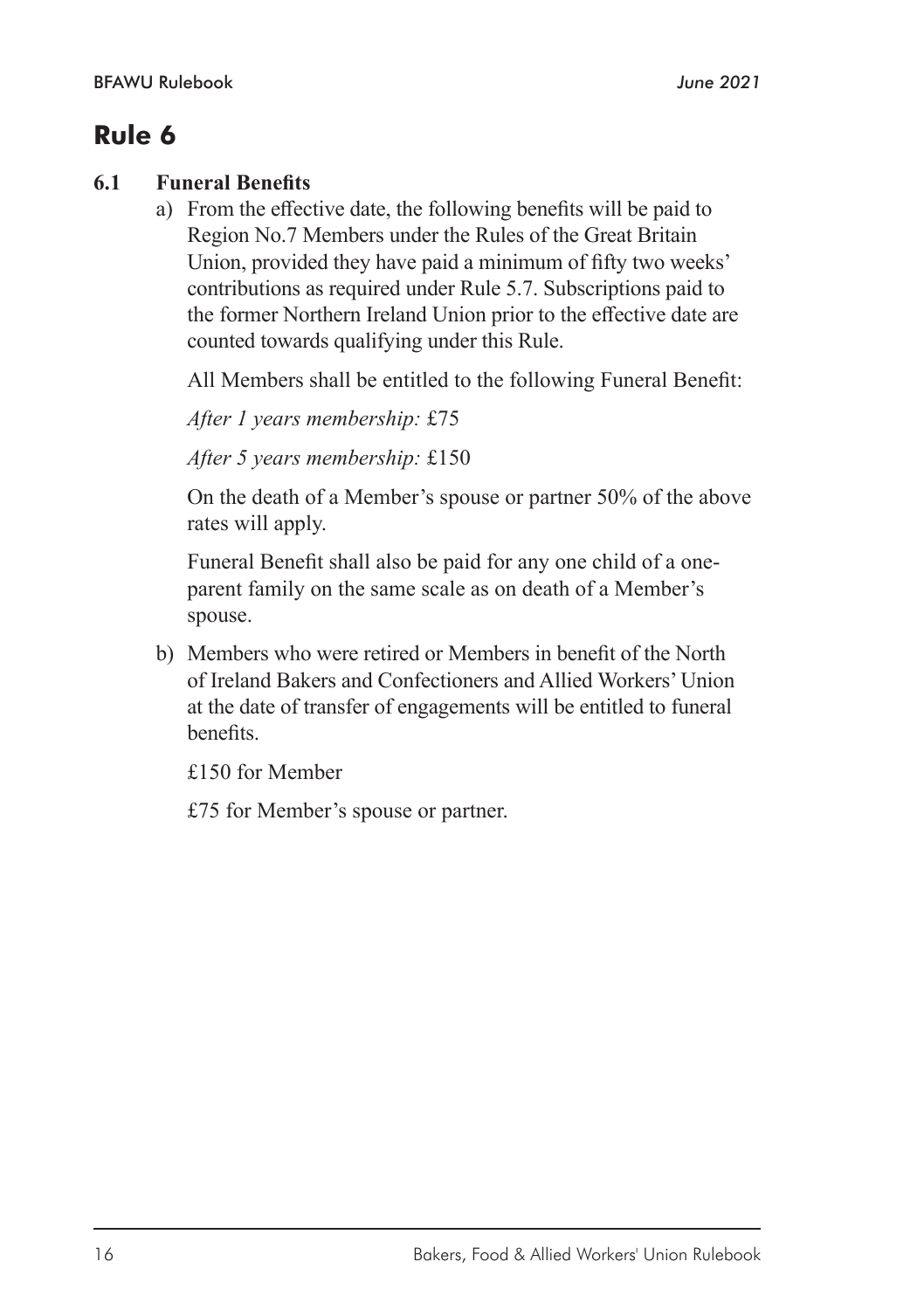#### **6.1 Funeral Benefits**

a) From the effective date, the following benefits will be paid to Region No.7 Members under the Rules of the Great Britain Union, provided they have paid a minimum of fifty two weeks' contributions as required under Rule 5.7. Subscriptions paid to the former Northern Ireland Union prior to the effective date are counted towards qualifying under this Rule.

All Members shall be entitled to the following Funeral Benefit:

*After 1 years membership:* £75

*After 5 years membership:* £150

On the death of a Member's spouse or partner 50% of the above rates will apply.

Funeral Benefit shall also be paid for any one child of a oneparent family on the same scale as on death of a Member's spouse.

b) Members who were retired or Members in benefit of the North of Ireland Bakers and Confectioners and Allied Workers' Union at the date of transfer of engagements will be entitled to funeral benefits.

£150 for Member

£75 for Member's spouse or partner.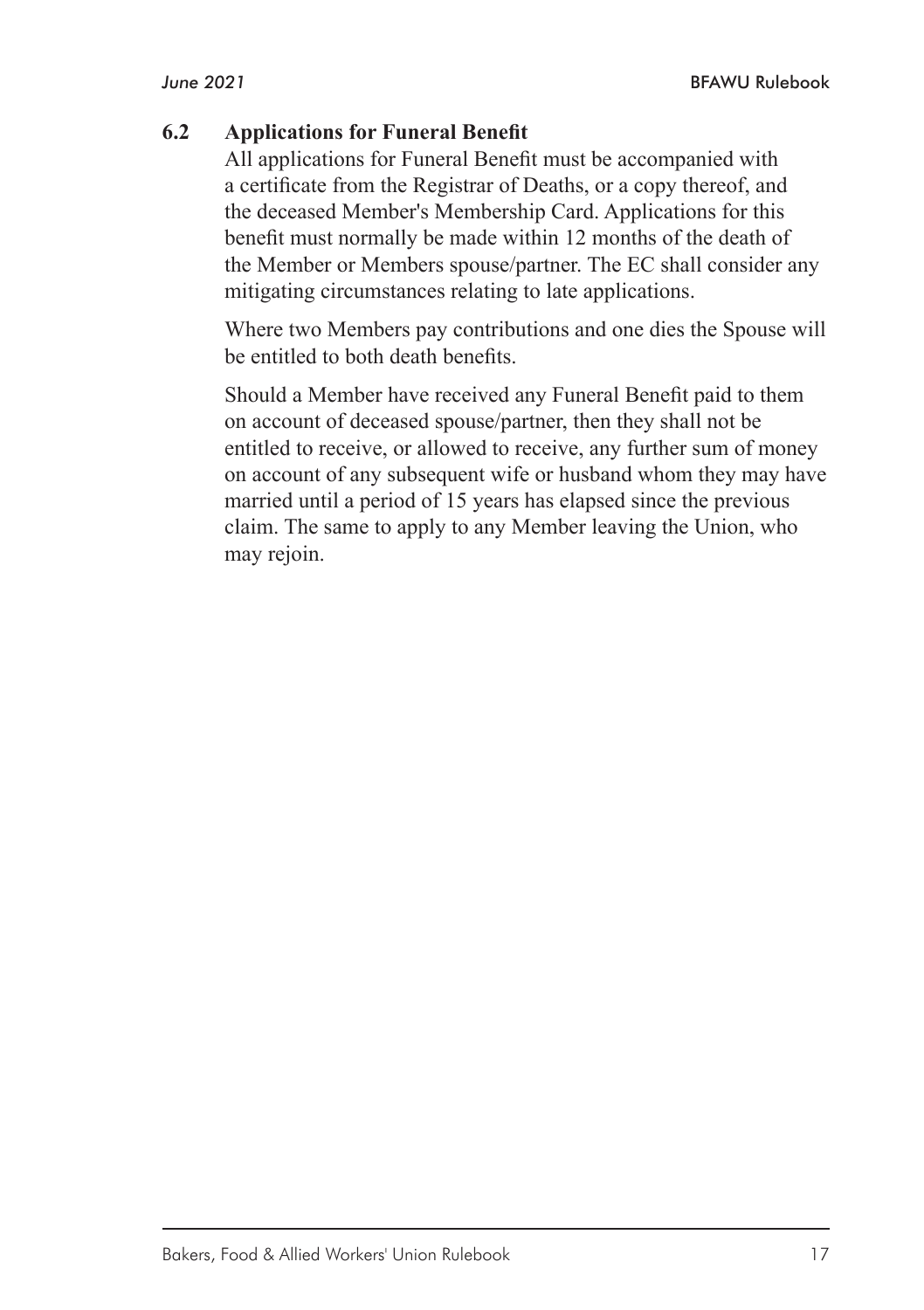#### **6.2 Applications for Funeral Benefit**

All applications for Funeral Benefit must be accompanied with a certificate from the Registrar of Deaths, or a copy thereof, and the deceased Member's Membership Card. Applications for this benefit must normally be made within 12 months of the death of the Member or Members spouse/partner. The EC shall consider any mitigating circumstances relating to late applications.

Where two Members pay contributions and one dies the Spouse will be entitled to both death benefits.

Should a Member have received any Funeral Benefit paid to them on account of deceased spouse/partner, then they shall not be entitled to receive, or allowed to receive, any further sum of money on account of any subsequent wife or husband whom they may have married until a period of 15 years has elapsed since the previous claim. The same to apply to any Member leaving the Union, who may rejoin.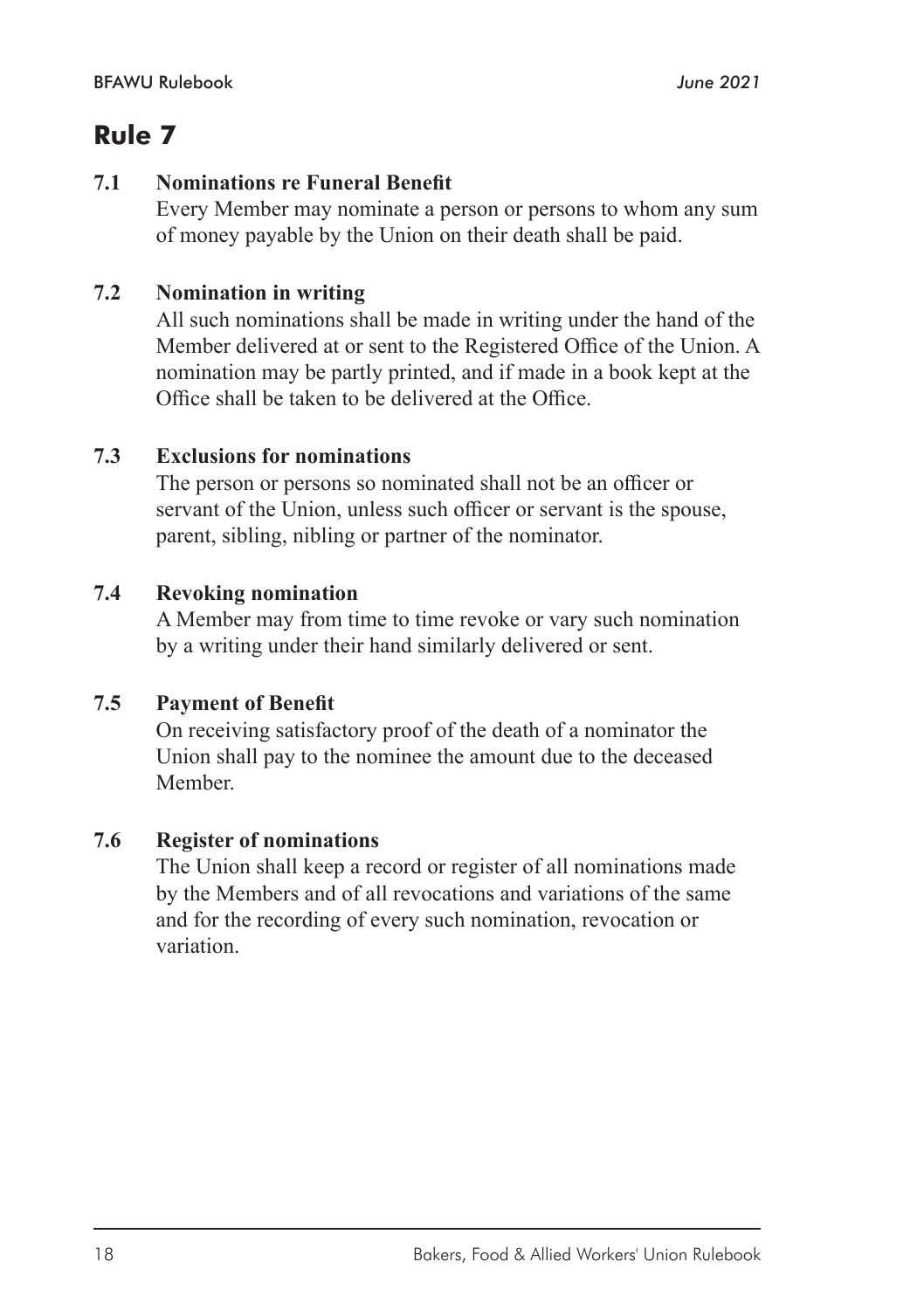#### **7.1 Nominations re Funeral Benefit**

Every Member may nominate a person or persons to whom any sum of money payable by the Union on their death shall be paid.

#### **7.2 Nomination in writing**

All such nominations shall be made in writing under the hand of the Member delivered at or sent to the Registered Office of the Union. A nomination may be partly printed, and if made in a book kept at the Office shall be taken to be delivered at the Office.

#### **7.3 Exclusions for nominations**

The person or persons so nominated shall not be an officer or servant of the Union, unless such officer or servant is the spouse, parent, sibling, nibling or partner of the nominator.

#### **7.4 Revoking nomination**

A Member may from time to time revoke or vary such nomination by a writing under their hand similarly delivered or sent.

#### **7.5 Payment of Benefit**

On receiving satisfactory proof of the death of a nominator the Union shall pay to the nominee the amount due to the deceased Member.

#### **7.6 Register of nominations**

The Union shall keep a record or register of all nominations made by the Members and of all revocations and variations of the same and for the recording of every such nomination, revocation or variation.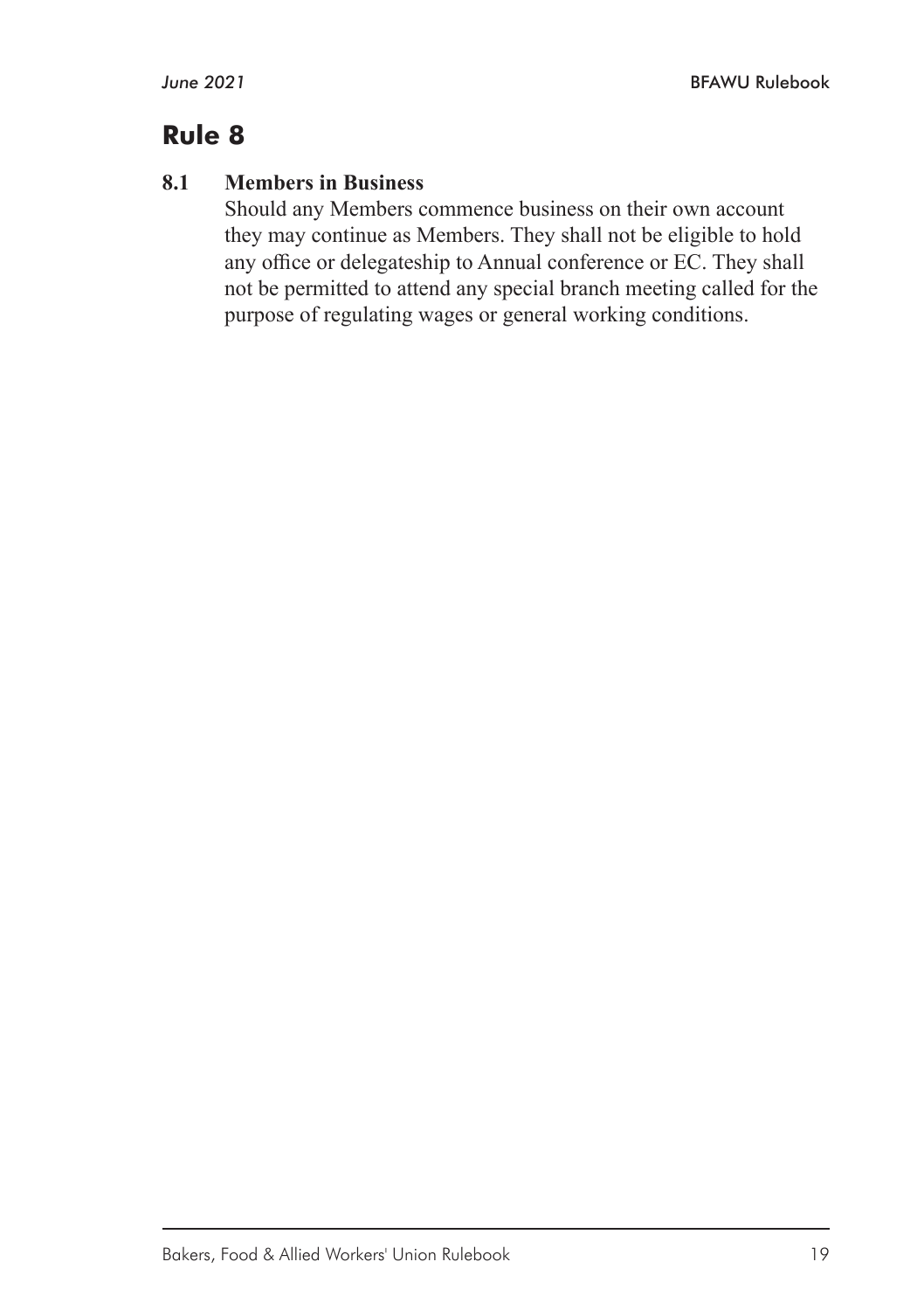#### **8.1 Members in Business**

Should any Members commence business on their own account they may continue as Members. They shall not be eligible to hold any office or delegateship to Annual conference or EC. They shall not be permitted to attend any special branch meeting called for the purpose of regulating wages or general working conditions.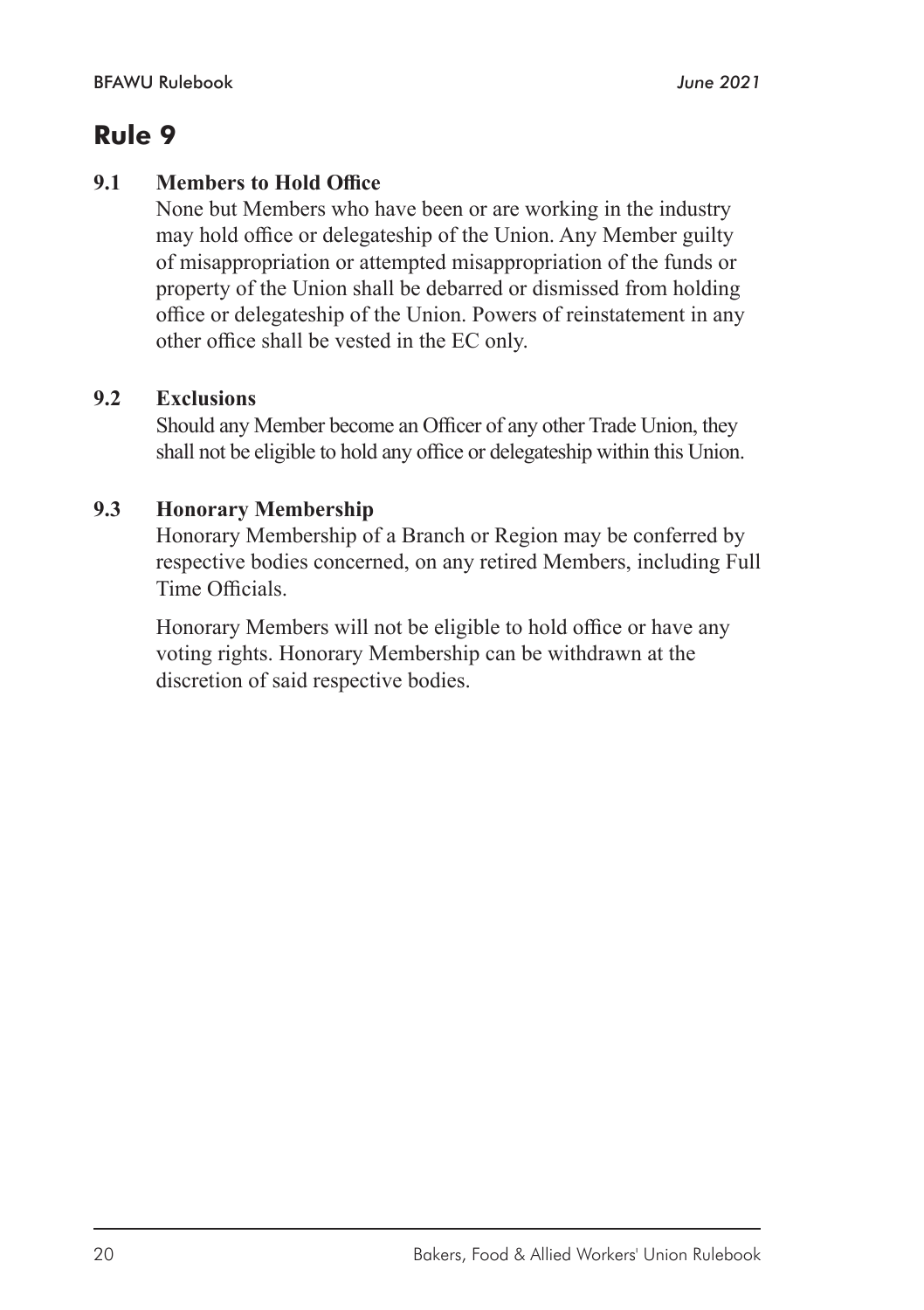#### **9.1 Members to Hold Office**

None but Members who have been or are working in the industry may hold office or delegateship of the Union. Any Member guilty of misappropriation or attempted misappropriation of the funds or property of the Union shall be debarred or dismissed from holding office or delegateship of the Union. Powers of reinstatement in any other office shall be vested in the EC only.

#### **9.2 Exclusions**

Should any Member become an Officer of any other Trade Union, they shall not be eligible to hold any office or delegateship within this Union.

#### **9.3 Honorary Membership**

Honorary Membership of a Branch or Region may be conferred by respective bodies concerned, on any retired Members, including Full Time Officials.

Honorary Members will not be eligible to hold office or have any voting rights. Honorary Membership can be withdrawn at the discretion of said respective bodies.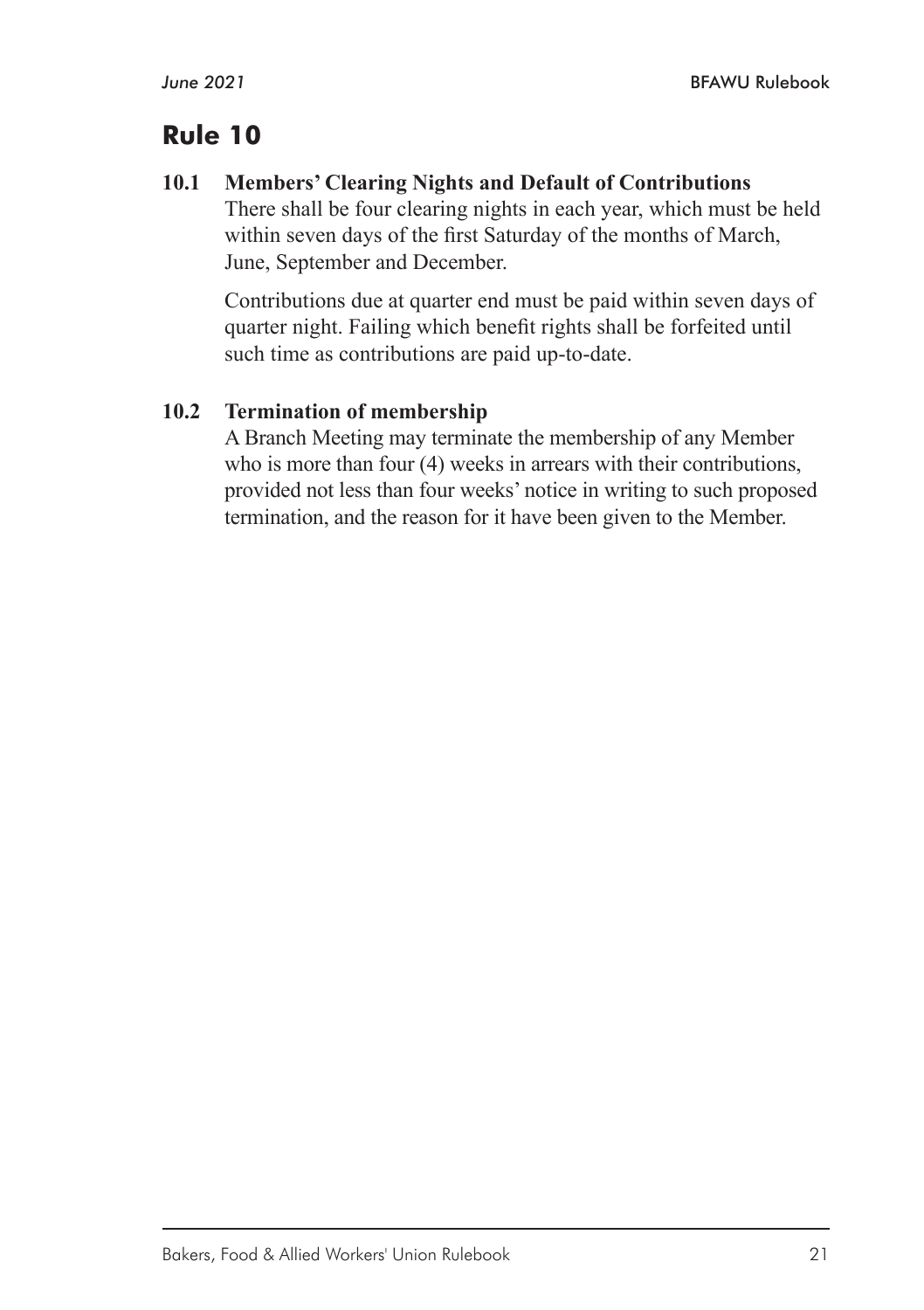#### **10.1 Members' Clearing Nights and Default of Contributions**

There shall be four clearing nights in each year, which must be held within seven days of the first Saturday of the months of March, June, September and December.

Contributions due at quarter end must be paid within seven days of quarter night. Failing which benefit rights shall be forfeited until such time as contributions are paid up-to-date.

#### **10.2 Termination of membership**

A Branch Meeting may terminate the membership of any Member who is more than four (4) weeks in arrears with their contributions, provided not less than four weeks' notice in writing to such proposed termination, and the reason for it have been given to the Member.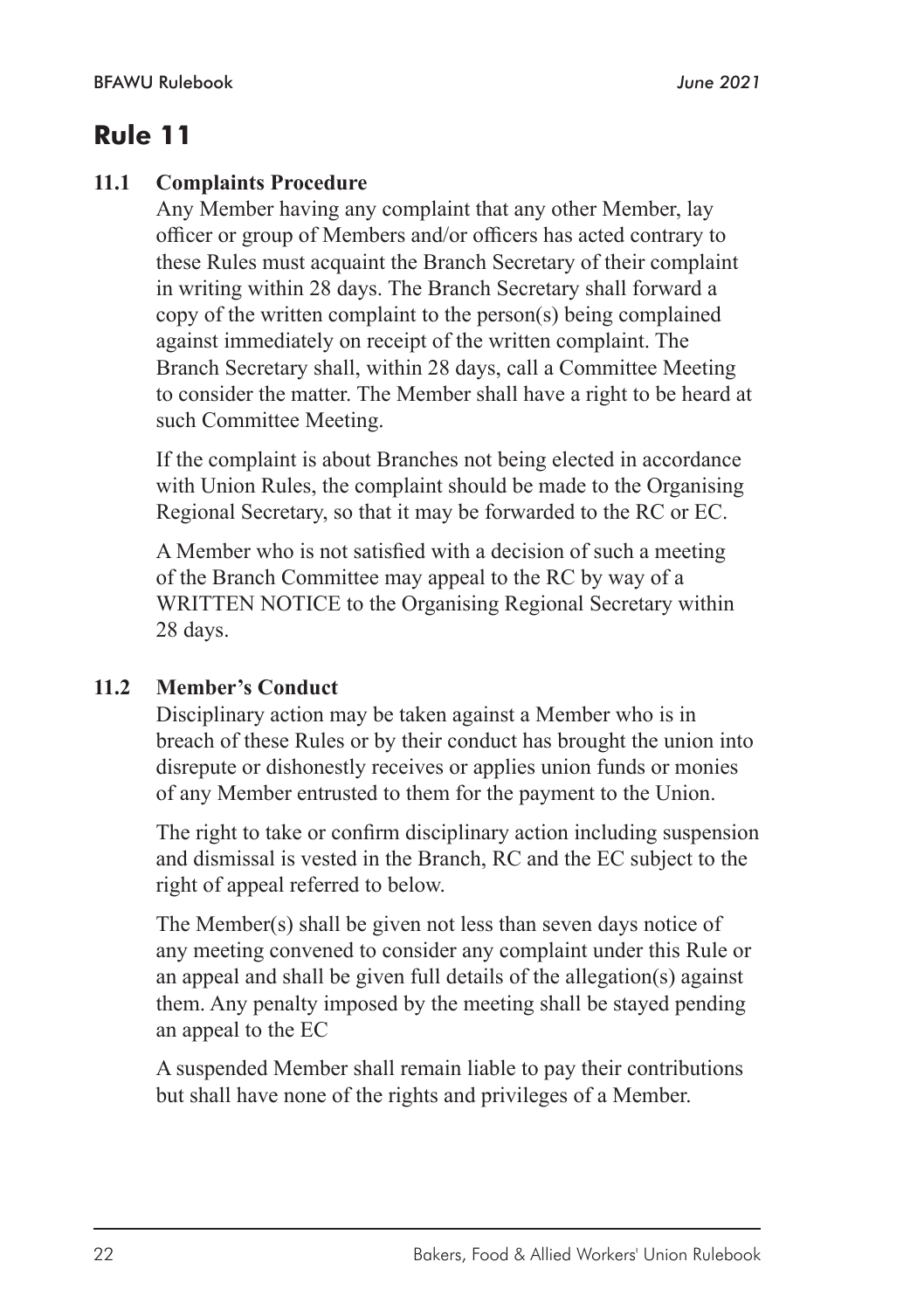#### **11.1 Complaints Procedure**

Any Member having any complaint that any other Member, lay officer or group of Members and/or officers has acted contrary to these Rules must acquaint the Branch Secretary of their complaint in writing within 28 days. The Branch Secretary shall forward a copy of the written complaint to the person(s) being complained against immediately on receipt of the written complaint. The Branch Secretary shall, within 28 days, call a Committee Meeting to consider the matter. The Member shall have a right to be heard at such Committee Meeting.

If the complaint is about Branches not being elected in accordance with Union Rules, the complaint should be made to the Organising Regional Secretary, so that it may be forwarded to the RC or EC.

A Member who is not satisfied with a decision of such a meeting of the Branch Committee may appeal to the RC by way of a WRITTEN NOTICE to the Organising Regional Secretary within 28 days.

#### **11.2 Member's Conduct**

Disciplinary action may be taken against a Member who is in breach of these Rules or by their conduct has brought the union into disrepute or dishonestly receives or applies union funds or monies of any Member entrusted to them for the payment to the Union.

The right to take or confirm disciplinary action including suspension and dismissal is vested in the Branch, RC and the EC subject to the right of appeal referred to below.

The Member(s) shall be given not less than seven days notice of any meeting convened to consider any complaint under this Rule or an appeal and shall be given full details of the allegation(s) against them. Any penalty imposed by the meeting shall be stayed pending an appeal to the EC

A suspended Member shall remain liable to pay their contributions but shall have none of the rights and privileges of a Member.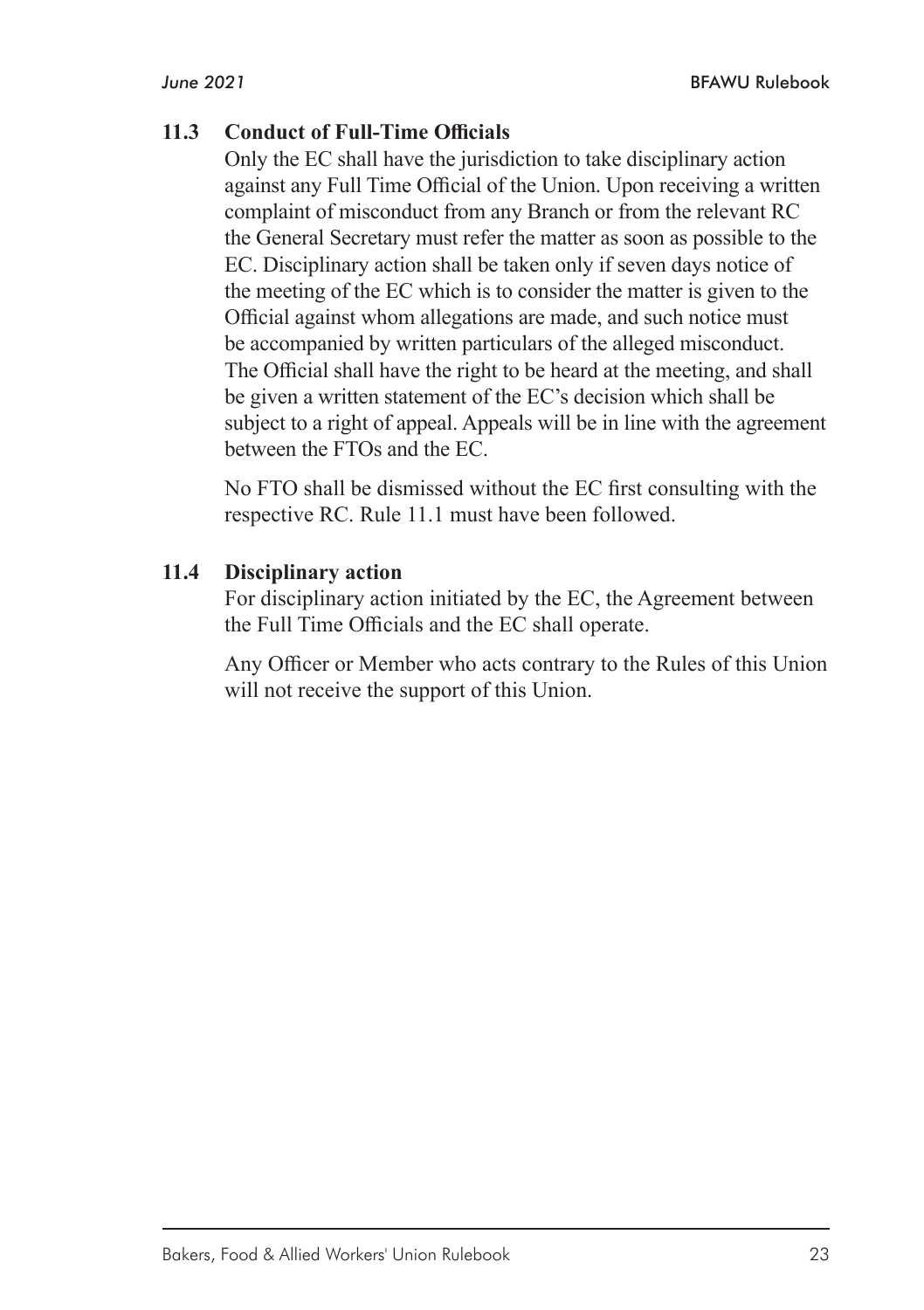#### **11.3 Conduct of Full-Time Officials**

Only the EC shall have the jurisdiction to take disciplinary action against any Full Time Official of the Union. Upon receiving a written complaint of misconduct from any Branch or from the relevant RC the General Secretary must refer the matter as soon as possible to the EC. Disciplinary action shall be taken only if seven days notice of the meeting of the EC which is to consider the matter is given to the Official against whom allegations are made, and such notice must be accompanied by written particulars of the alleged misconduct. The Official shall have the right to be heard at the meeting, and shall be given a written statement of the EC's decision which shall be subject to a right of appeal. Appeals will be in line with the agreement between the FTOs and the EC.

No FTO shall be dismissed without the EC first consulting with the respective RC. Rule 11.1 must have been followed.

#### **11.4 Disciplinary action**

For disciplinary action initiated by the EC, the Agreement between the Full Time Officials and the EC shall operate.

Any Officer or Member who acts contrary to the Rules of this Union will not receive the support of this Union.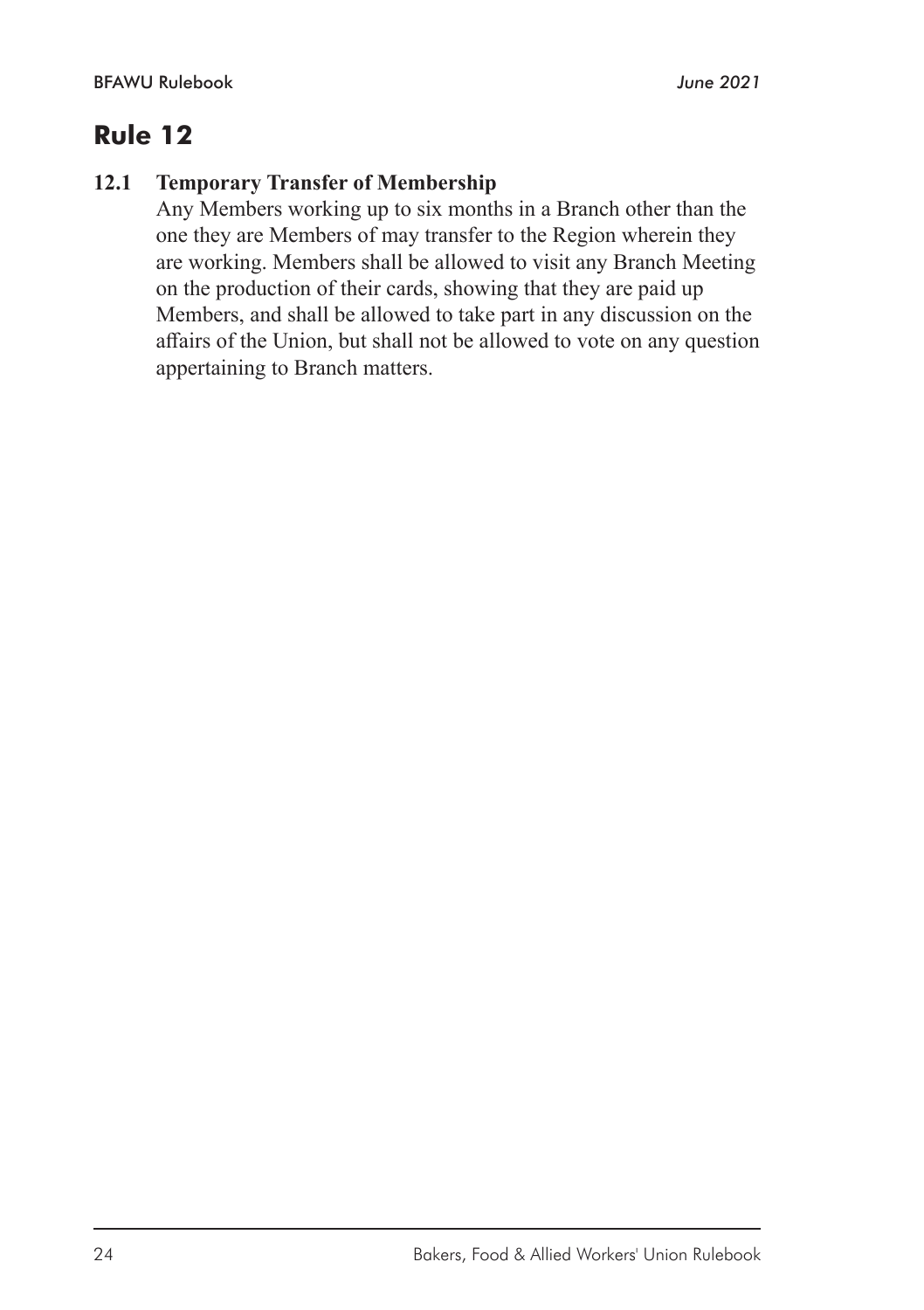#### **12.1 Temporary Transfer of Membership**

Any Members working up to six months in a Branch other than the one they are Members of may transfer to the Region wherein they are working. Members shall be allowed to visit any Branch Meeting on the production of their cards, showing that they are paid up Members, and shall be allowed to take part in any discussion on the affairs of the Union, but shall not be allowed to vote on any question appertaining to Branch matters.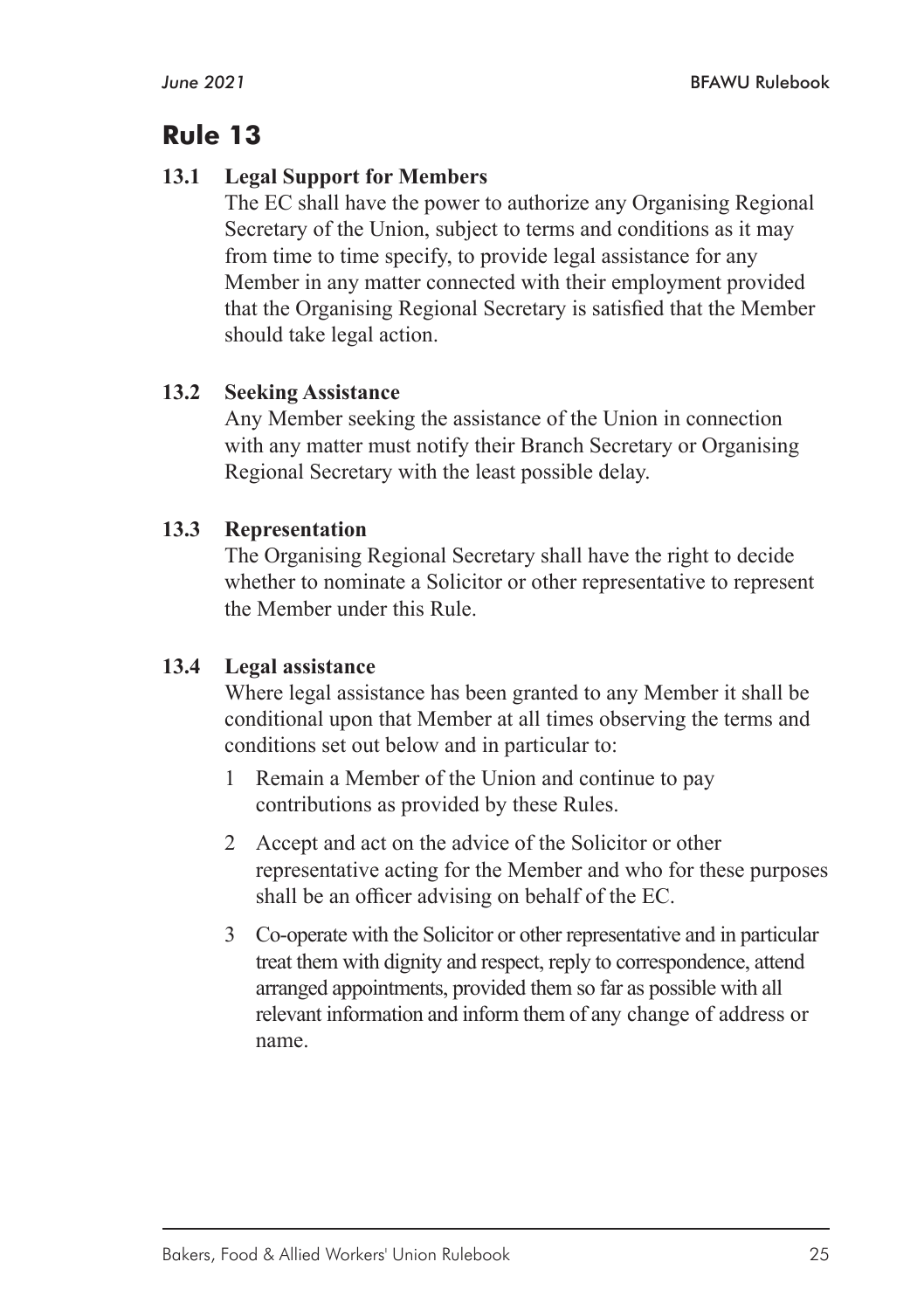#### **13.1 Legal Support for Members**

The EC shall have the power to authorize any Organising Regional Secretary of the Union, subject to terms and conditions as it may from time to time specify, to provide legal assistance for any Member in any matter connected with their employment provided that the Organising Regional Secretary is satisfied that the Member should take legal action.

#### **13.2 Seeking Assistance**

Any Member seeking the assistance of the Union in connection with any matter must notify their Branch Secretary or Organising Regional Secretary with the least possible delay.

#### **13.3 Representation**

The Organising Regional Secretary shall have the right to decide whether to nominate a Solicitor or other representative to represent the Member under this Rule.

#### **13.4 Legal assistance**

Where legal assistance has been granted to any Member it shall be conditional upon that Member at all times observing the terms and conditions set out below and in particular to:

- 1 Remain a Member of the Union and continue to pay contributions as provided by these Rules.
- 2 Accept and act on the advice of the Solicitor or other representative acting for the Member and who for these purposes shall be an officer advising on behalf of the EC.
- 3 Co-operate with the Solicitor or other representative and in particular treat them with dignity and respect, reply to correspondence, attend arranged appointments, provided them so far as possible with all relevant information and inform them of any change of address or name.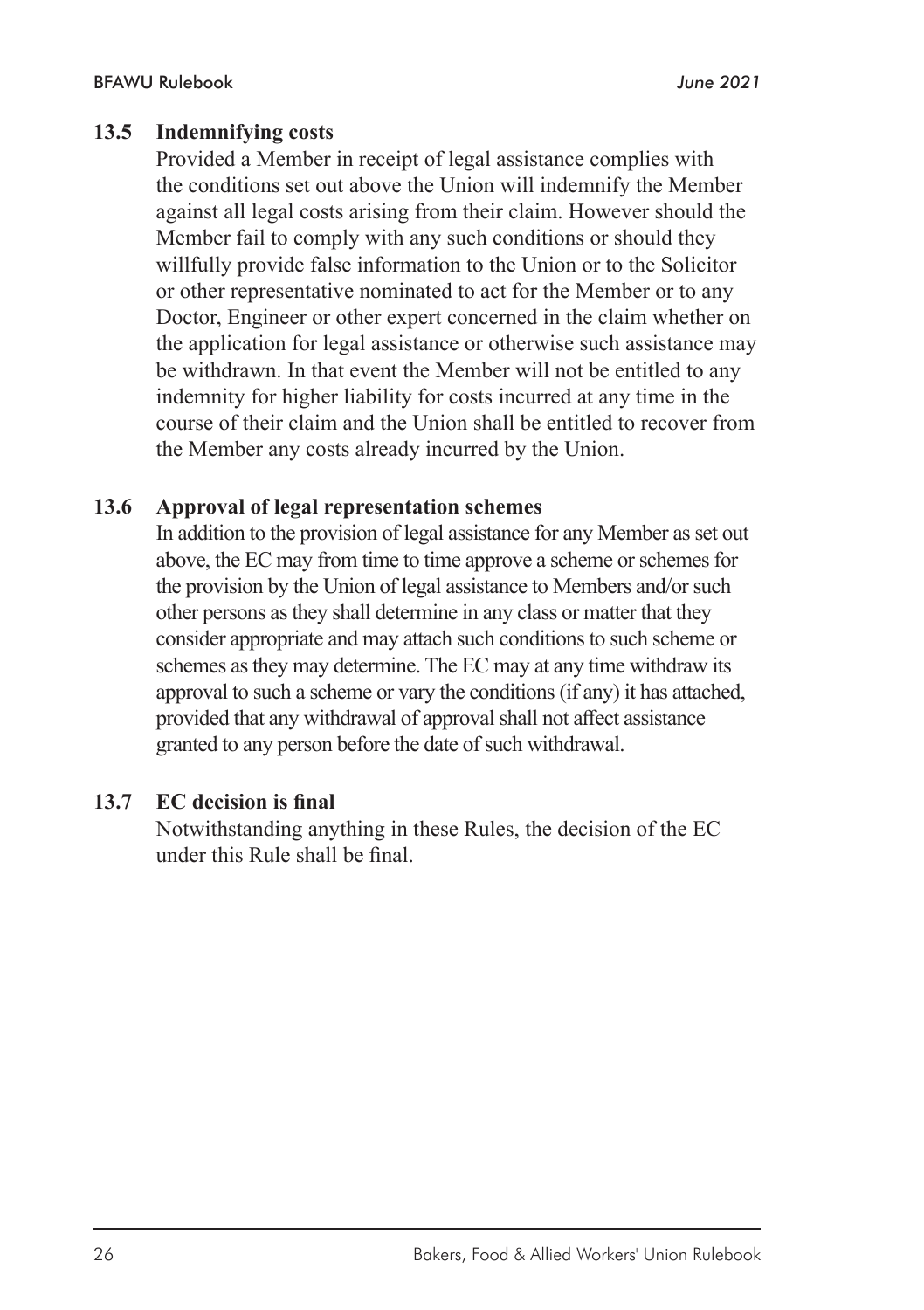#### **13.5 Indemnifying costs**

Provided a Member in receipt of legal assistance complies with the conditions set out above the Union will indemnify the Member against all legal costs arising from their claim. However should the Member fail to comply with any such conditions or should they willfully provide false information to the Union or to the Solicitor or other representative nominated to act for the Member or to any Doctor, Engineer or other expert concerned in the claim whether on the application for legal assistance or otherwise such assistance may be withdrawn. In that event the Member will not be entitled to any indemnity for higher liability for costs incurred at any time in the course of their claim and the Union shall be entitled to recover from the Member any costs already incurred by the Union.

#### **13.6 Approval of legal representation schemes**

In addition to the provision of legal assistance for any Member as set out above, the EC may from time to time approve a scheme or schemes for the provision by the Union of legal assistance to Members and/or such other persons as they shall determine in any class or matter that they consider appropriate and may attach such conditions to such scheme or schemes as they may determine. The EC may at any time withdraw its approval to such a scheme or vary the conditions (if any) it has attached, provided that any withdrawal of approval shall not affect assistance granted to any person before the date of such withdrawal.

#### **13.7 EC decision is final**

Notwithstanding anything in these Rules, the decision of the EC under this Rule shall be final.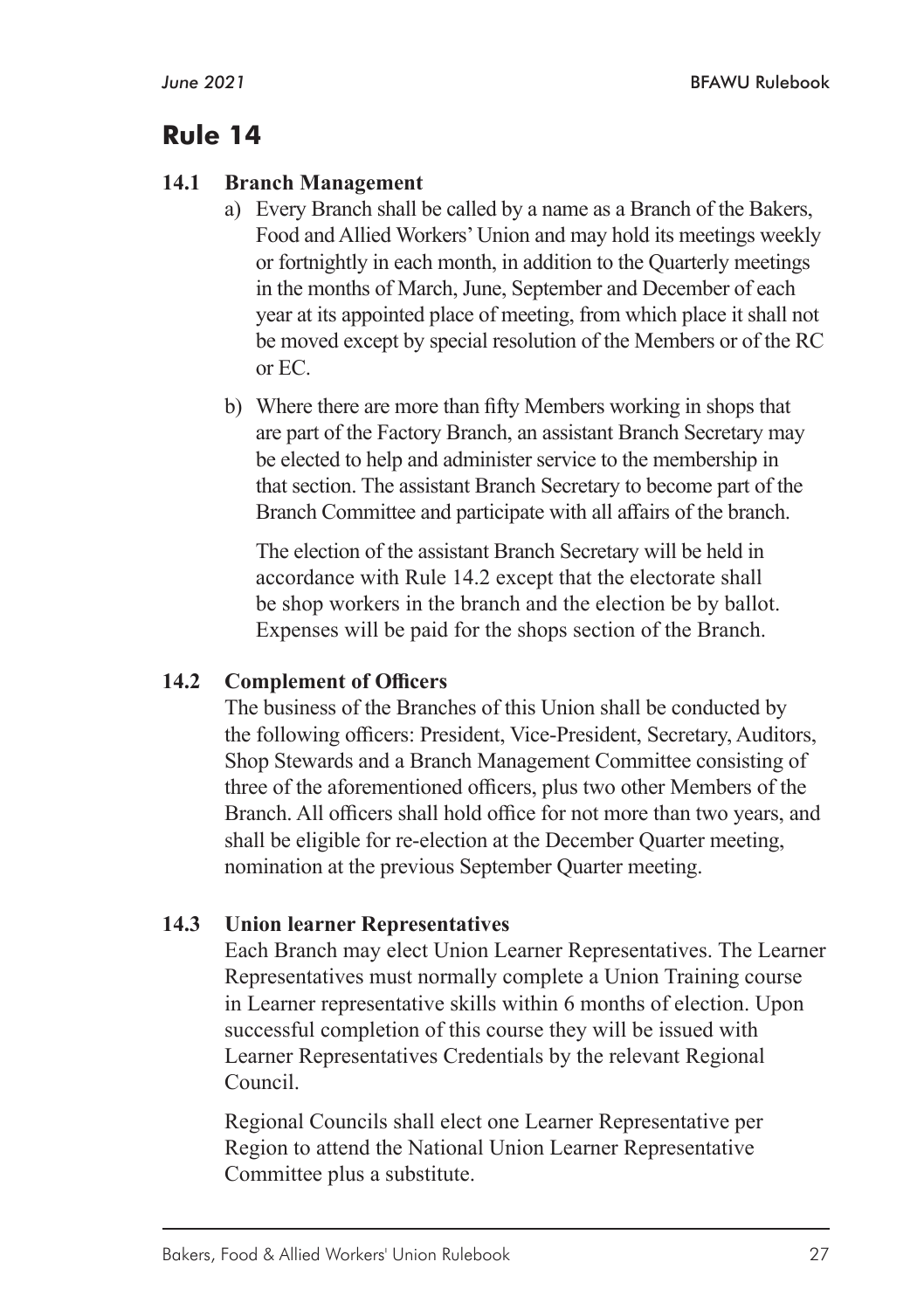#### **14.1 Branch Management**

- a) Every Branch shall be called by a name as a Branch of the Bakers, Food and Allied Workers' Union and may hold its meetings weekly or fortnightly in each month, in addition to the Quarterly meetings in the months of March, June, September and December of each year at its appointed place of meeting, from which place it shall not be moved except by special resolution of the Members or of the RC or EC.
- b) Where there are more than fifty Members working in shops that are part of the Factory Branch, an assistant Branch Secretary may be elected to help and administer service to the membership in that section. The assistant Branch Secretary to become part of the Branch Committee and participate with all affairs of the branch.

The election of the assistant Branch Secretary will be held in accordance with Rule 14.2 except that the electorate shall be shop workers in the branch and the election be by ballot. Expenses will be paid for the shops section of the Branch.

#### **14.2 Complement of Officers**

The business of the Branches of this Union shall be conducted by the following officers: President, Vice-President, Secretary, Auditors, Shop Stewards and a Branch Management Committee consisting of three of the aforementioned officers, plus two other Members of the Branch. All officers shall hold office for not more than two years, and shall be eligible for re-election at the December Quarter meeting, nomination at the previous September Quarter meeting.

#### **14.3 Union learner Representatives**

Each Branch may elect Union Learner Representatives. The Learner Representatives must normally complete a Union Training course in Learner representative skills within 6 months of election. Upon successful completion of this course they will be issued with Learner Representatives Credentials by the relevant Regional Council.

Regional Councils shall elect one Learner Representative per Region to attend the National Union Learner Representative Committee plus a substitute.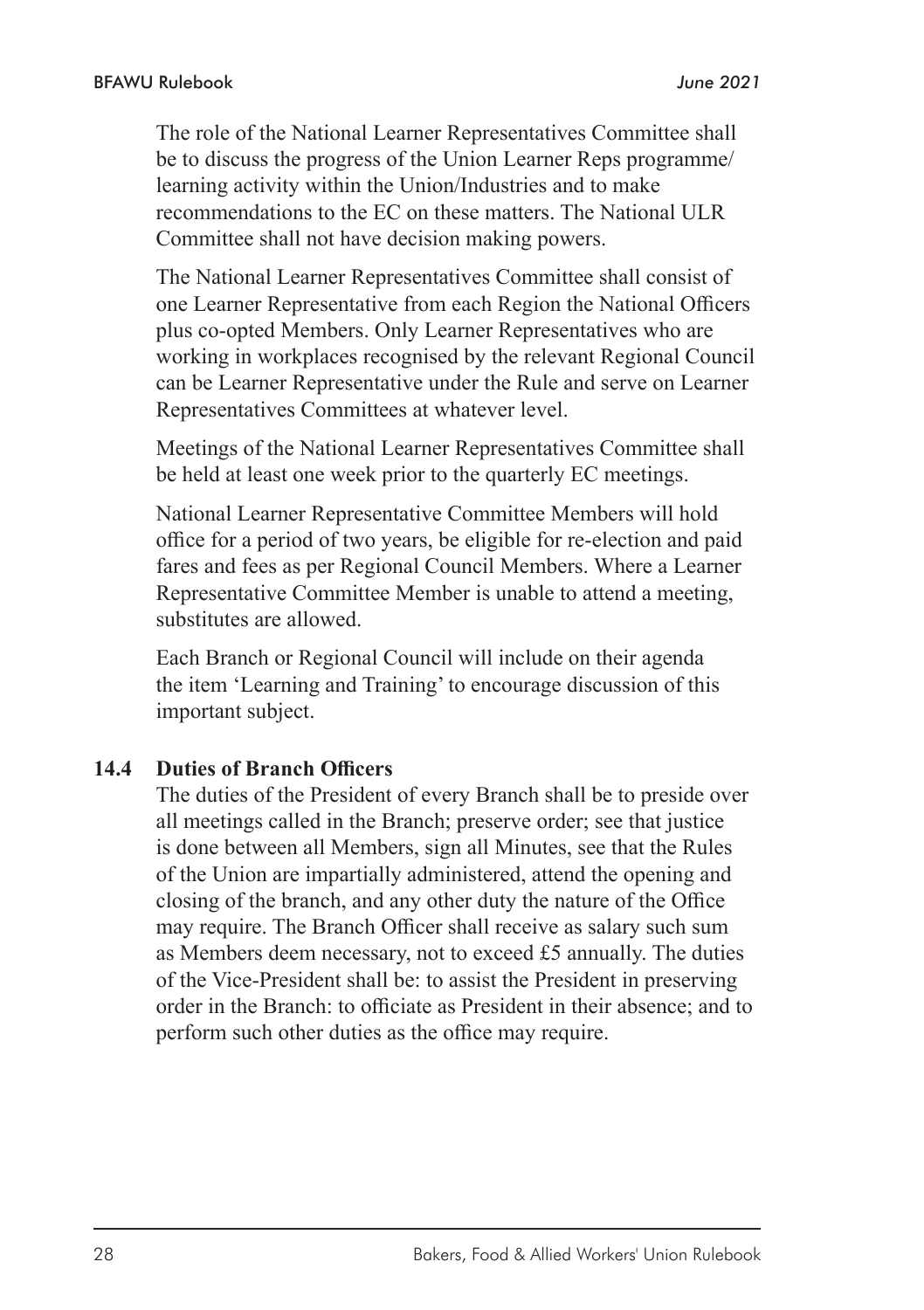The role of the National Learner Representatives Committee shall be to discuss the progress of the Union Learner Reps programme/ learning activity within the Union/Industries and to make recommendations to the EC on these matters. The National ULR Committee shall not have decision making powers.

The National Learner Representatives Committee shall consist of one Learner Representative from each Region the National Officers plus co-opted Members. Only Learner Representatives who are working in workplaces recognised by the relevant Regional Council can be Learner Representative under the Rule and serve on Learner Representatives Committees at whatever level.

Meetings of the National Learner Representatives Committee shall be held at least one week prior to the quarterly EC meetings.

National Learner Representative Committee Members will hold office for a period of two years, be eligible for re-election and paid fares and fees as per Regional Council Members. Where a Learner Representative Committee Member is unable to attend a meeting, substitutes are allowed.

Each Branch or Regional Council will include on their agenda the item 'Learning and Training' to encourage discussion of this important subject.

#### **14.4 Duties of Branch Officers**

The duties of the President of every Branch shall be to preside over all meetings called in the Branch; preserve order; see that justice is done between all Members, sign all Minutes, see that the Rules of the Union are impartially administered, attend the opening and closing of the branch, and any other duty the nature of the Office may require. The Branch Officer shall receive as salary such sum as Members deem necessary, not to exceed £5 annually. The duties of the Vice-President shall be: to assist the President in preserving order in the Branch: to officiate as President in their absence; and to perform such other duties as the office may require.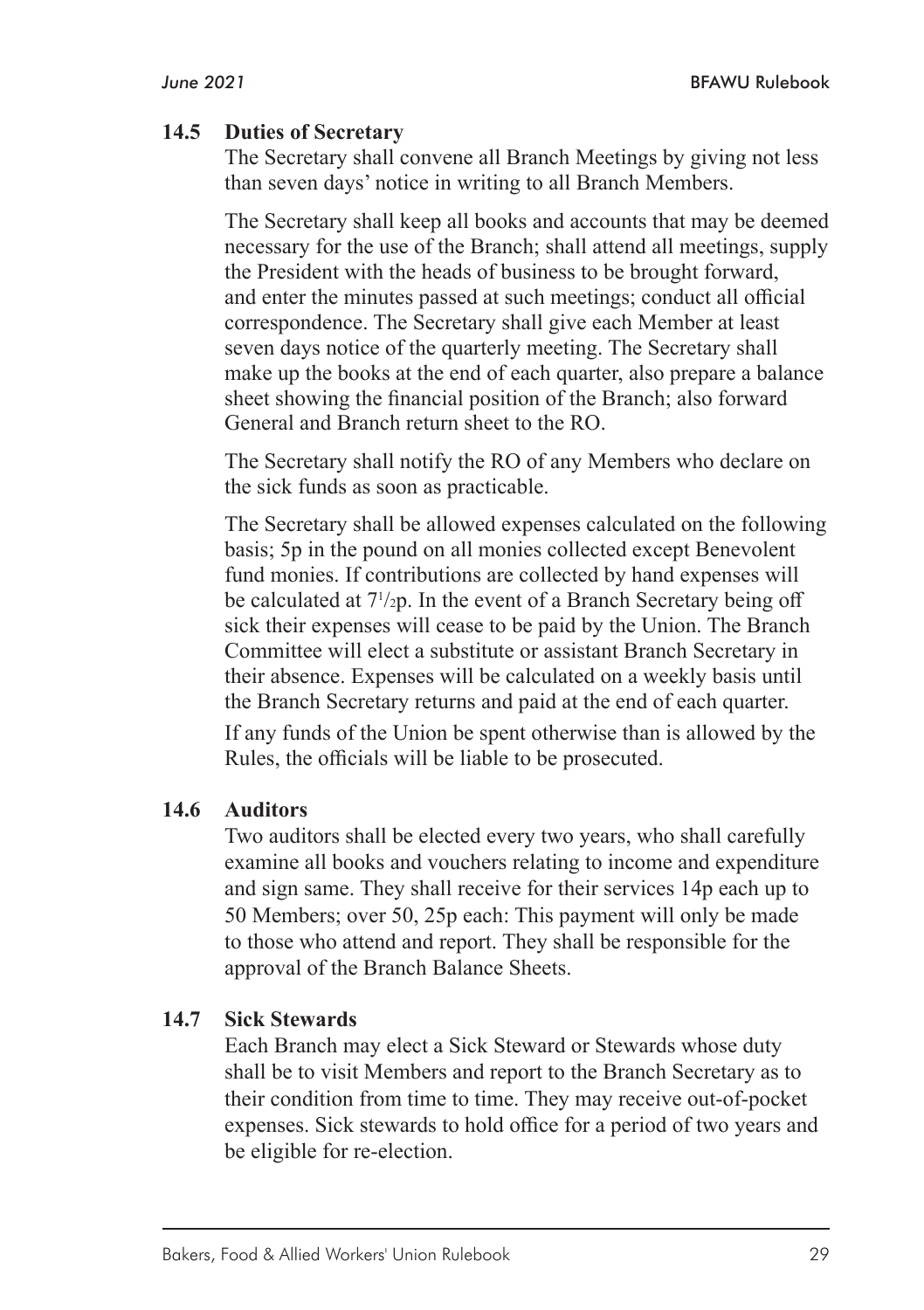#### **14.5 Duties of Secretary**

The Secretary shall convene all Branch Meetings by giving not less than seven days' notice in writing to all Branch Members.

The Secretary shall keep all books and accounts that may be deemed necessary for the use of the Branch; shall attend all meetings, supply the President with the heads of business to be brought forward, and enter the minutes passed at such meetings; conduct all official correspondence. The Secretary shall give each Member at least seven days notice of the quarterly meeting. The Secretary shall make up the books at the end of each quarter, also prepare a balance sheet showing the financial position of the Branch; also forward General and Branch return sheet to the RO.

The Secretary shall notify the RO of any Members who declare on the sick funds as soon as practicable.

The Secretary shall be allowed expenses calculated on the following basis; 5p in the pound on all monies collected except Benevolent fund monies. If contributions are collected by hand expenses will be calculated at 71 /2p. In the event of a Branch Secretary being off sick their expenses will cease to be paid by the Union. The Branch Committee will elect a substitute or assistant Branch Secretary in their absence. Expenses will be calculated on a weekly basis until the Branch Secretary returns and paid at the end of each quarter.

If any funds of the Union be spent otherwise than is allowed by the Rules, the officials will be liable to be prosecuted.

#### **14.6 Auditors**

Two auditors shall be elected every two years, who shall carefully examine all books and vouchers relating to income and expenditure and sign same. They shall receive for their services 14p each up to 50 Members; over 50, 25p each: This payment will only be made to those who attend and report. They shall be responsible for the approval of the Branch Balance Sheets.

#### **14.7 Sick Stewards**

Each Branch may elect a Sick Steward or Stewards whose duty shall be to visit Members and report to the Branch Secretary as to their condition from time to time. They may receive out-of-pocket expenses. Sick stewards to hold office for a period of two years and be eligible for re-election.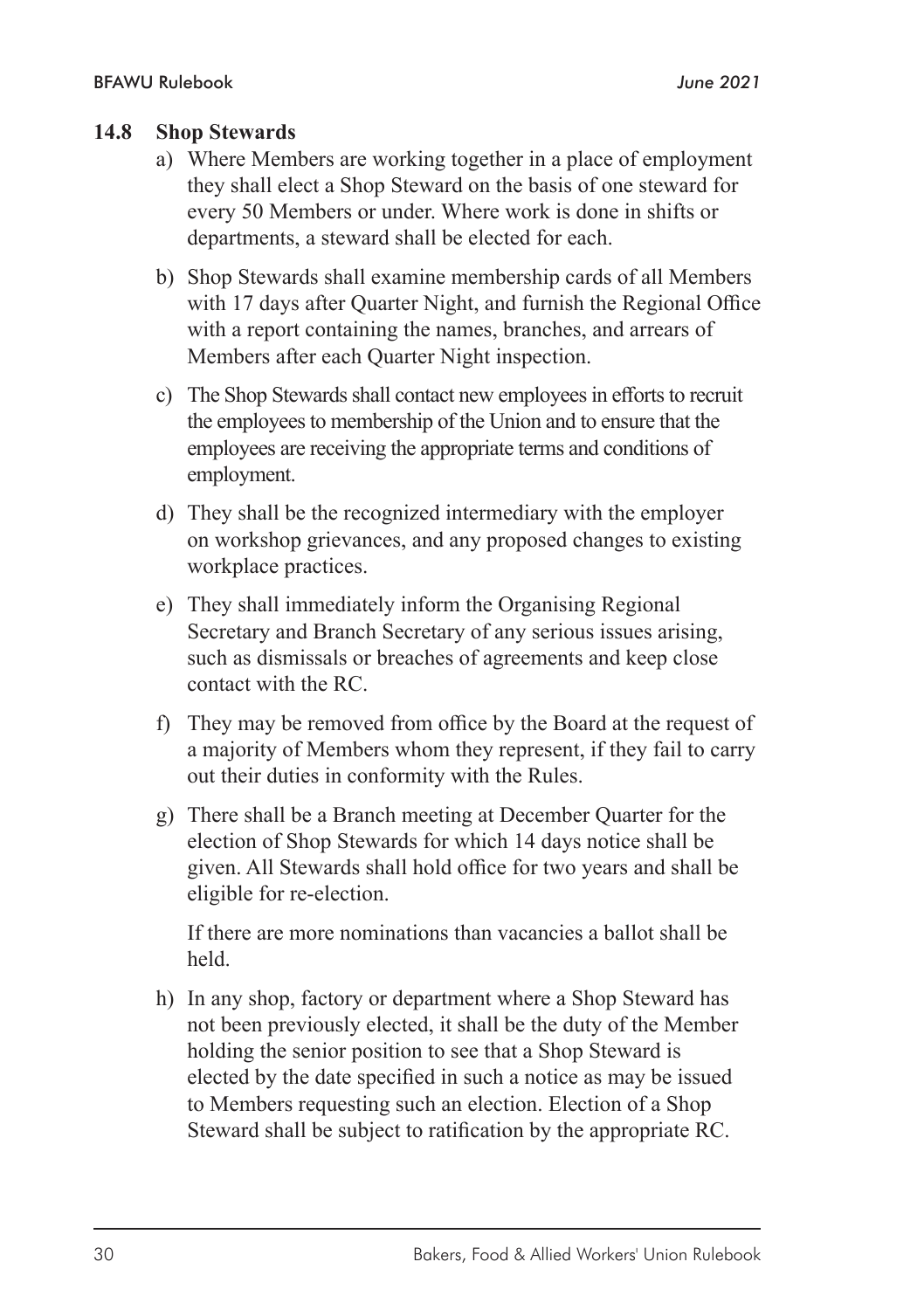#### **14.8 Shop Stewards**

- a) Where Members are working together in a place of employment they shall elect a Shop Steward on the basis of one steward for every 50 Members or under. Where work is done in shifts or departments, a steward shall be elected for each.
- b) Shop Stewards shall examine membership cards of all Members with 17 days after Quarter Night, and furnish the Regional Office with a report containing the names, branches, and arrears of Members after each Quarter Night inspection.
- c) The Shop Stewards shall contact new employees in efforts to recruit the employees to membership of the Union and to ensure that the employees are receiving the appropriate terms and conditions of employment.
- d) They shall be the recognized intermediary with the employer on workshop grievances, and any proposed changes to existing workplace practices.
- e) They shall immediately inform the Organising Regional Secretary and Branch Secretary of any serious issues arising, such as dismissals or breaches of agreements and keep close contact with the RC.
- f) They may be removed from office by the Board at the request of a majority of Members whom they represent, if they fail to carry out their duties in conformity with the Rules.
- g) There shall be a Branch meeting at December Quarter for the election of Shop Stewards for which 14 days notice shall be given. All Stewards shall hold office for two years and shall be eligible for re-election.

If there are more nominations than vacancies a ballot shall be held.

h) In any shop, factory or department where a Shop Steward has not been previously elected, it shall be the duty of the Member holding the senior position to see that a Shop Steward is elected by the date specified in such a notice as may be issued to Members requesting such an election. Election of a Shop Steward shall be subject to ratification by the appropriate RC.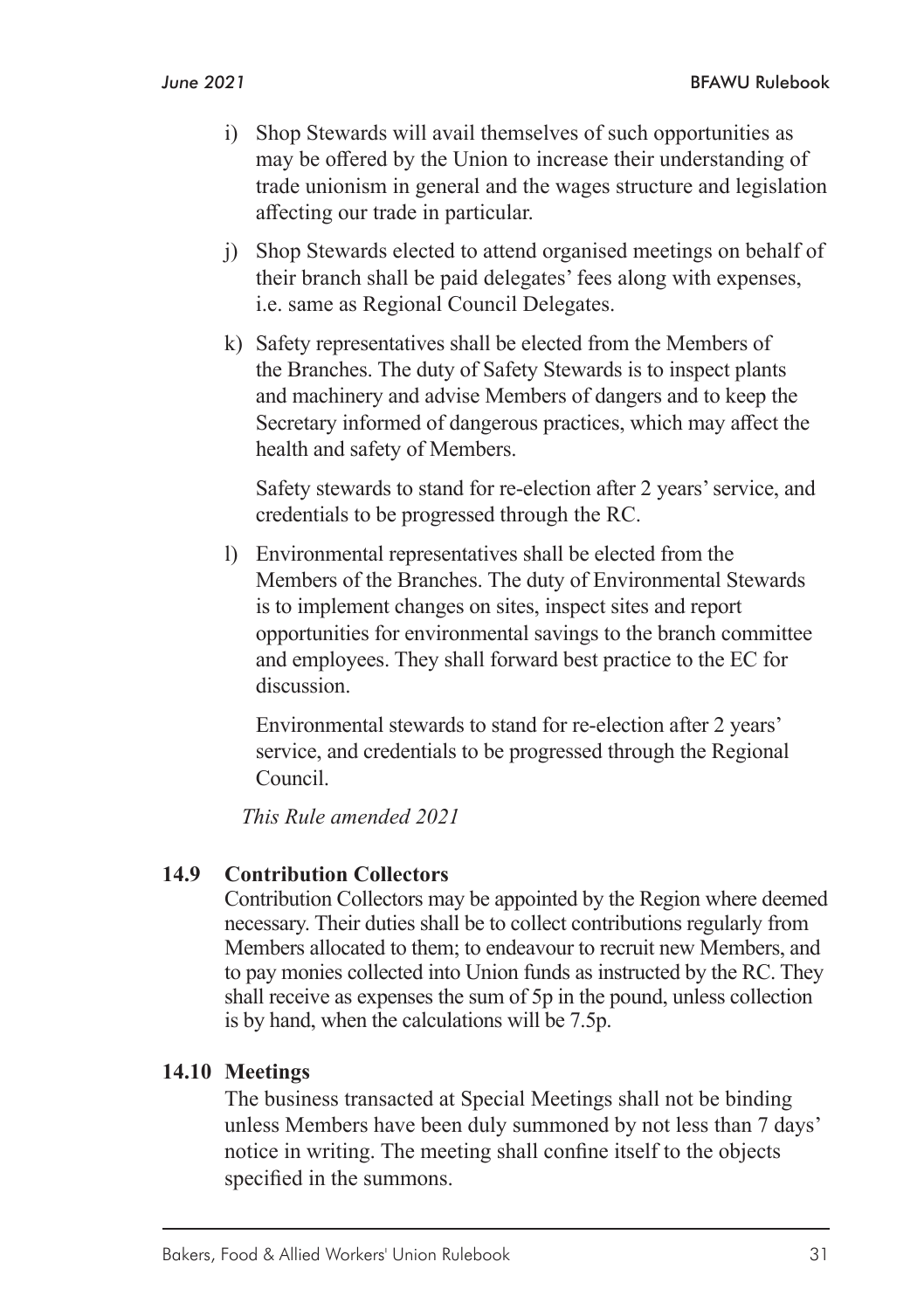- i) Shop Stewards will avail themselves of such opportunities as may be offered by the Union to increase their understanding of trade unionism in general and the wages structure and legislation affecting our trade in particular.
- j) Shop Stewards elected to attend organised meetings on behalf of their branch shall be paid delegates' fees along with expenses, i.e. same as Regional Council Delegates.
- k) Safety representatives shall be elected from the Members of the Branches. The duty of Safety Stewards is to inspect plants and machinery and advise Members of dangers and to keep the Secretary informed of dangerous practices, which may affect the health and safety of Members.

Safety stewards to stand for re-election after 2 years' service, and credentials to be progressed through the RC.

l) Environmental representatives shall be elected from the Members of the Branches. The duty of Environmental Stewards is to implement changes on sites, inspect sites and report opportunities for environmental savings to the branch committee and employees. They shall forward best practice to the EC for discussion.

Environmental stewards to stand for re-election after 2 years' service, and credentials to be progressed through the Regional Council.

*This Rule amended 2021*

#### **14.9 Contribution Collectors**

Contribution Collectors may be appointed by the Region where deemed necessary. Their duties shall be to collect contributions regularly from Members allocated to them; to endeavour to recruit new Members, and to pay monies collected into Union funds as instructed by the RC. They shall receive as expenses the sum of 5p in the pound, unless collection is by hand, when the calculations will be 7.5p.

#### **14.10 Meetings**

The business transacted at Special Meetings shall not be binding unless Members have been duly summoned by not less than 7 days' notice in writing. The meeting shall confine itself to the objects specified in the summons.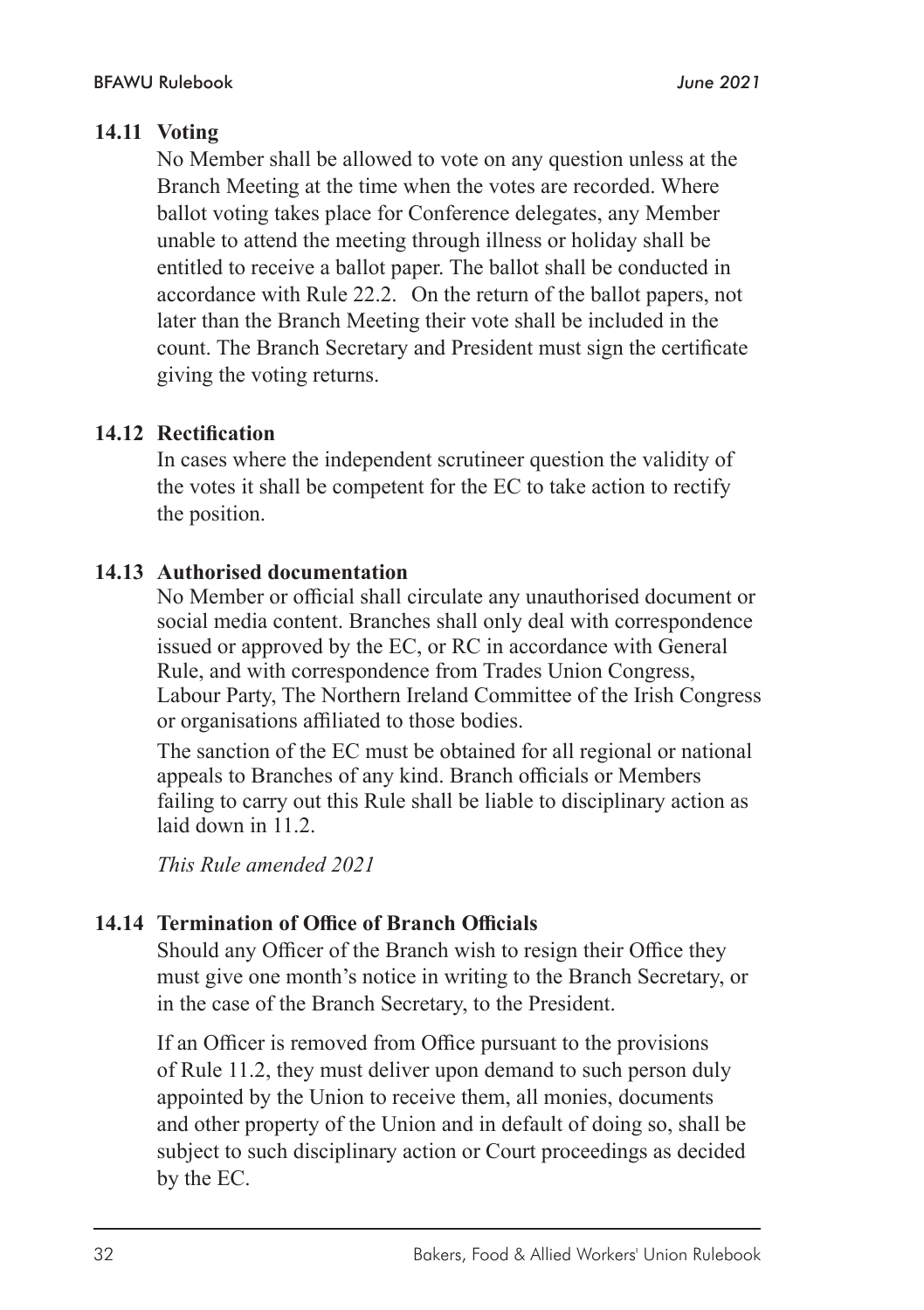No Member shall be allowed to vote on any question unless at the Branch Meeting at the time when the votes are recorded. Where ballot voting takes place for Conference delegates, any Member unable to attend the meeting through illness or holiday shall be entitled to receive a ballot paper. The ballot shall be conducted in accordance with Rule 22.2. On the return of the ballot papers, not later than the Branch Meeting their vote shall be included in the count. The Branch Secretary and President must sign the certificate giving the voting returns.

#### **14.12 Rectification**

In cases where the independent scrutineer question the validity of the votes it shall be competent for the EC to take action to rectify the position.

#### **14.13 Authorised documentation**

No Member or official shall circulate any unauthorised document or social media content. Branches shall only deal with correspondence issued or approved by the EC, or RC in accordance with General Rule, and with correspondence from Trades Union Congress, Labour Party, The Northern Ireland Committee of the Irish Congress or organisations affiliated to those bodies.

The sanction of the EC must be obtained for all regional or national appeals to Branches of any kind. Branch officials or Members failing to carry out this Rule shall be liable to disciplinary action as laid down in 11.2.

*This Rule amended 2021*

#### **14.14 Termination of Office of Branch Officials**

Should any Officer of the Branch wish to resign their Office they must give one month's notice in writing to the Branch Secretary, or in the case of the Branch Secretary, to the President.

If an Officer is removed from Office pursuant to the provisions of Rule 11.2, they must deliver upon demand to such person duly appointed by the Union to receive them, all monies, documents and other property of the Union and in default of doing so, shall be subject to such disciplinary action or Court proceedings as decided by the EC.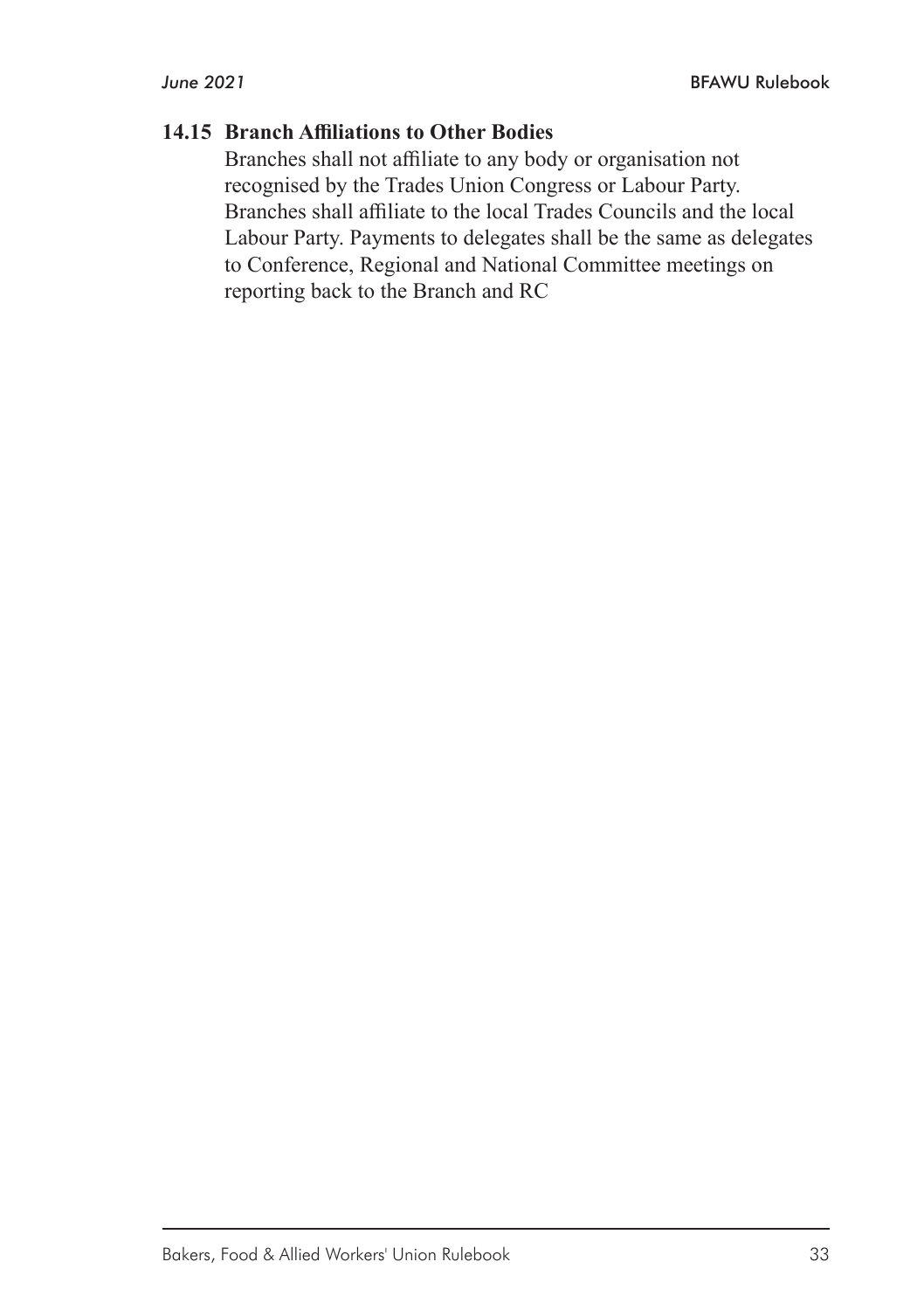#### **14.15 Branch Affiliations to Other Bodies**

Branches shall not affiliate to any body or organisation not recognised by the Trades Union Congress or Labour Party. Branches shall affiliate to the local Trades Councils and the local Labour Party. Payments to delegates shall be the same as delegates to Conference, Regional and National Committee meetings on reporting back to the Branch and RC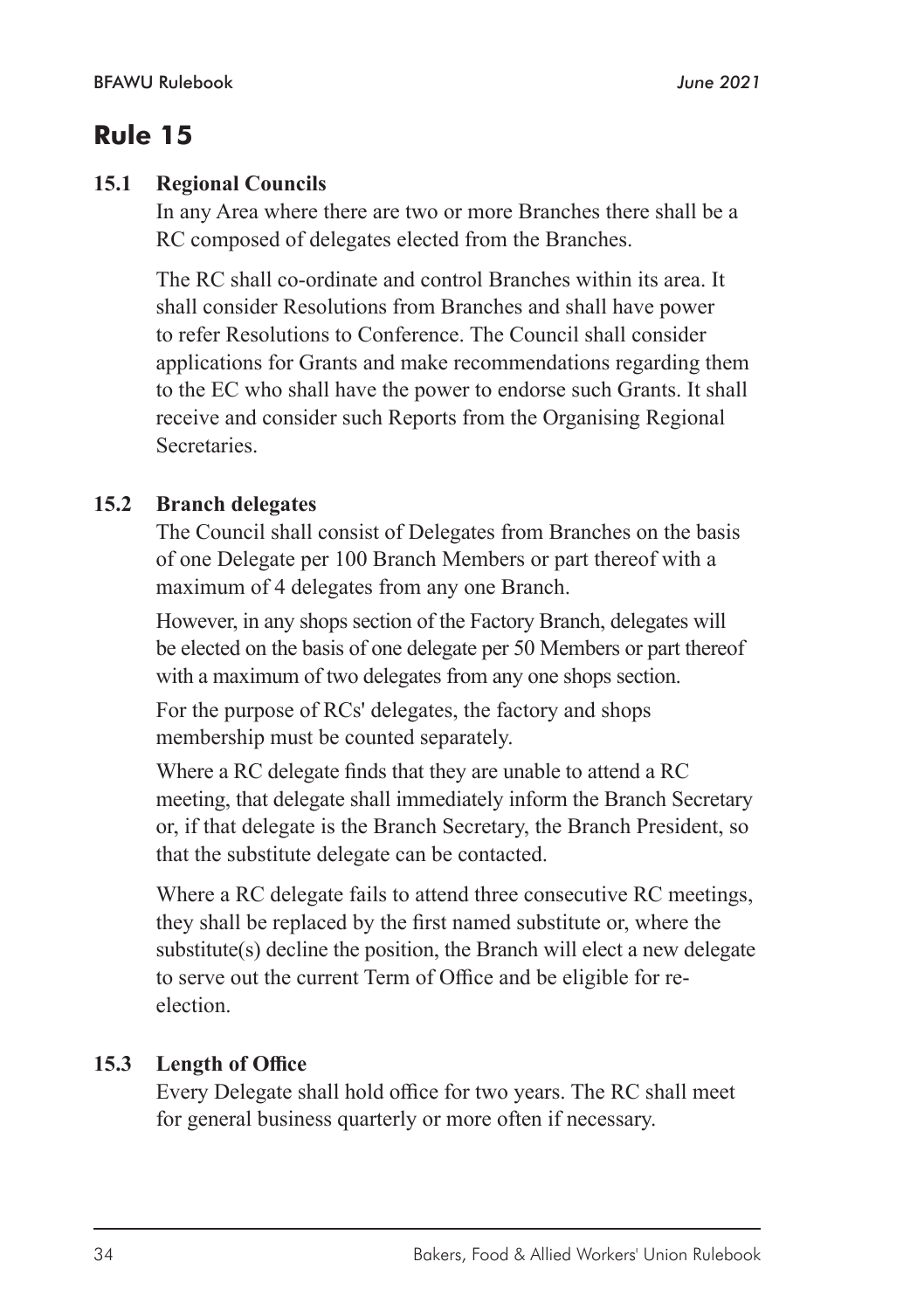#### **15.1 Regional Councils**

In any Area where there are two or more Branches there shall be a RC composed of delegates elected from the Branches.

The RC shall co-ordinate and control Branches within its area. It shall consider Resolutions from Branches and shall have power to refer Resolutions to Conference. The Council shall consider applications for Grants and make recommendations regarding them to the EC who shall have the power to endorse such Grants. It shall receive and consider such Reports from the Organising Regional Secretaries.

#### **15.2 Branch delegates**

The Council shall consist of Delegates from Branches on the basis of one Delegate per 100 Branch Members or part thereof with a maximum of 4 delegates from any one Branch.

However, in any shops section of the Factory Branch, delegates will be elected on the basis of one delegate per 50 Members or part thereof with a maximum of two delegates from any one shops section.

For the purpose of RCs' delegates, the factory and shops membership must be counted separately.

Where a RC delegate finds that they are unable to attend a RC meeting, that delegate shall immediately inform the Branch Secretary or, if that delegate is the Branch Secretary, the Branch President, so that the substitute delegate can be contacted.

Where a RC delegate fails to attend three consecutive RC meetings, they shall be replaced by the first named substitute or, where the substitute(s) decline the position, the Branch will elect a new delegate to serve out the current Term of Office and be eligible for reelection.

#### **15.3 Length of Office**

Every Delegate shall hold office for two years. The RC shall meet for general business quarterly or more often if necessary.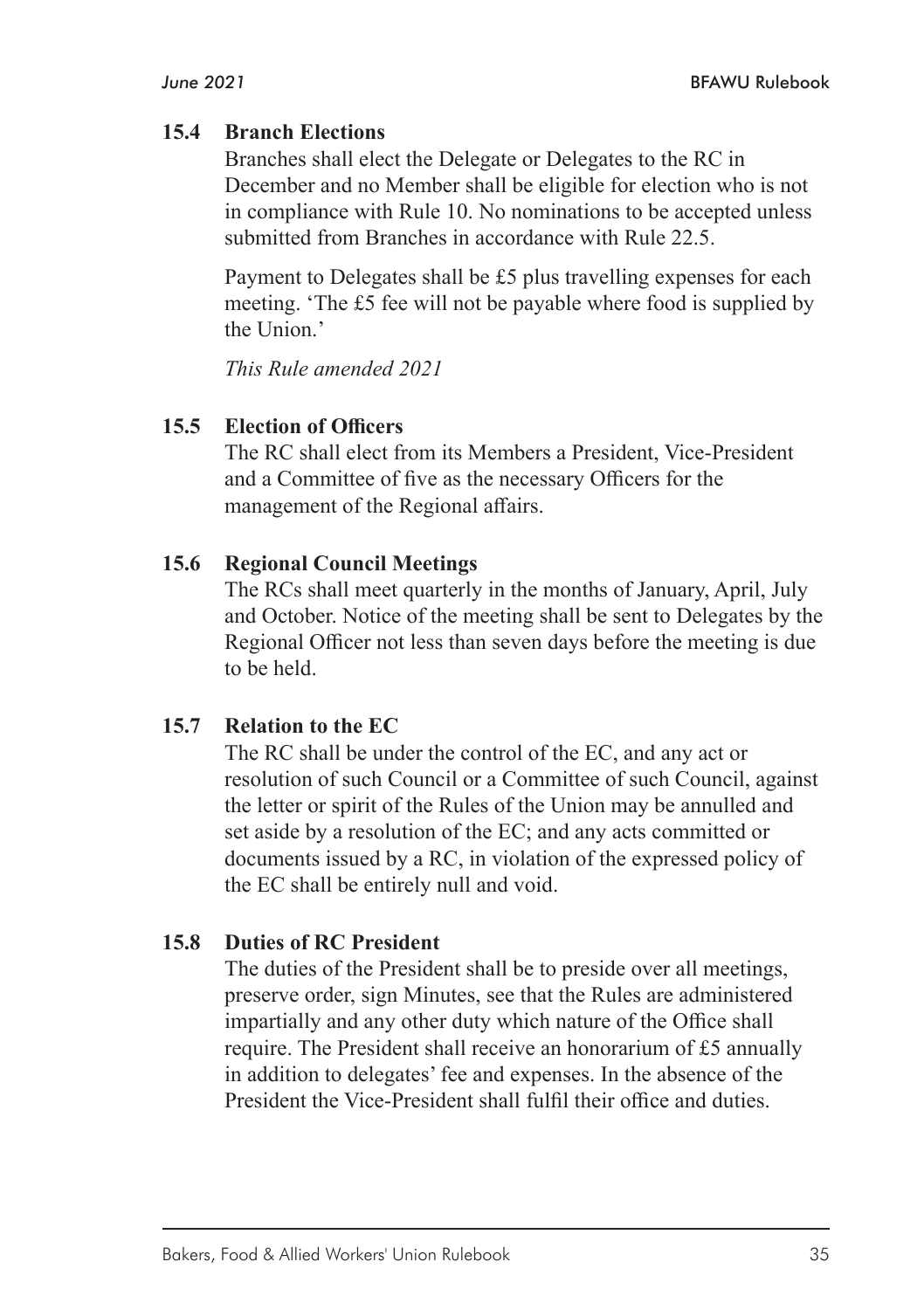#### **15.4 Branch Elections**

Branches shall elect the Delegate or Delegates to the RC in December and no Member shall be eligible for election who is not in compliance with Rule 10. No nominations to be accepted unless submitted from Branches in accordance with Rule 22.5.

Payment to Delegates shall be £5 plus travelling expenses for each meeting. 'The £5 fee will not be payable where food is supplied by the Union.'

*This Rule amended 2021*

#### **15.5 Election of Officers**

The RC shall elect from its Members a President, Vice-President and a Committee of five as the necessary Officers for the management of the Regional affairs.

#### **15.6 Regional Council Meetings**

The RCs shall meet quarterly in the months of January, April, July and October. Notice of the meeting shall be sent to Delegates by the Regional Officer not less than seven days before the meeting is due to be held.

#### **15.7 Relation to the EC**

The RC shall be under the control of the EC, and any act or resolution of such Council or a Committee of such Council, against the letter or spirit of the Rules of the Union may be annulled and set aside by a resolution of the EC; and any acts committed or documents issued by a RC, in violation of the expressed policy of the EC shall be entirely null and void.

#### **15.8 Duties of RC President**

The duties of the President shall be to preside over all meetings, preserve order, sign Minutes, see that the Rules are administered impartially and any other duty which nature of the Office shall require. The President shall receive an honorarium of £5 annually in addition to delegates' fee and expenses. In the absence of the President the Vice-President shall fulfil their office and duties.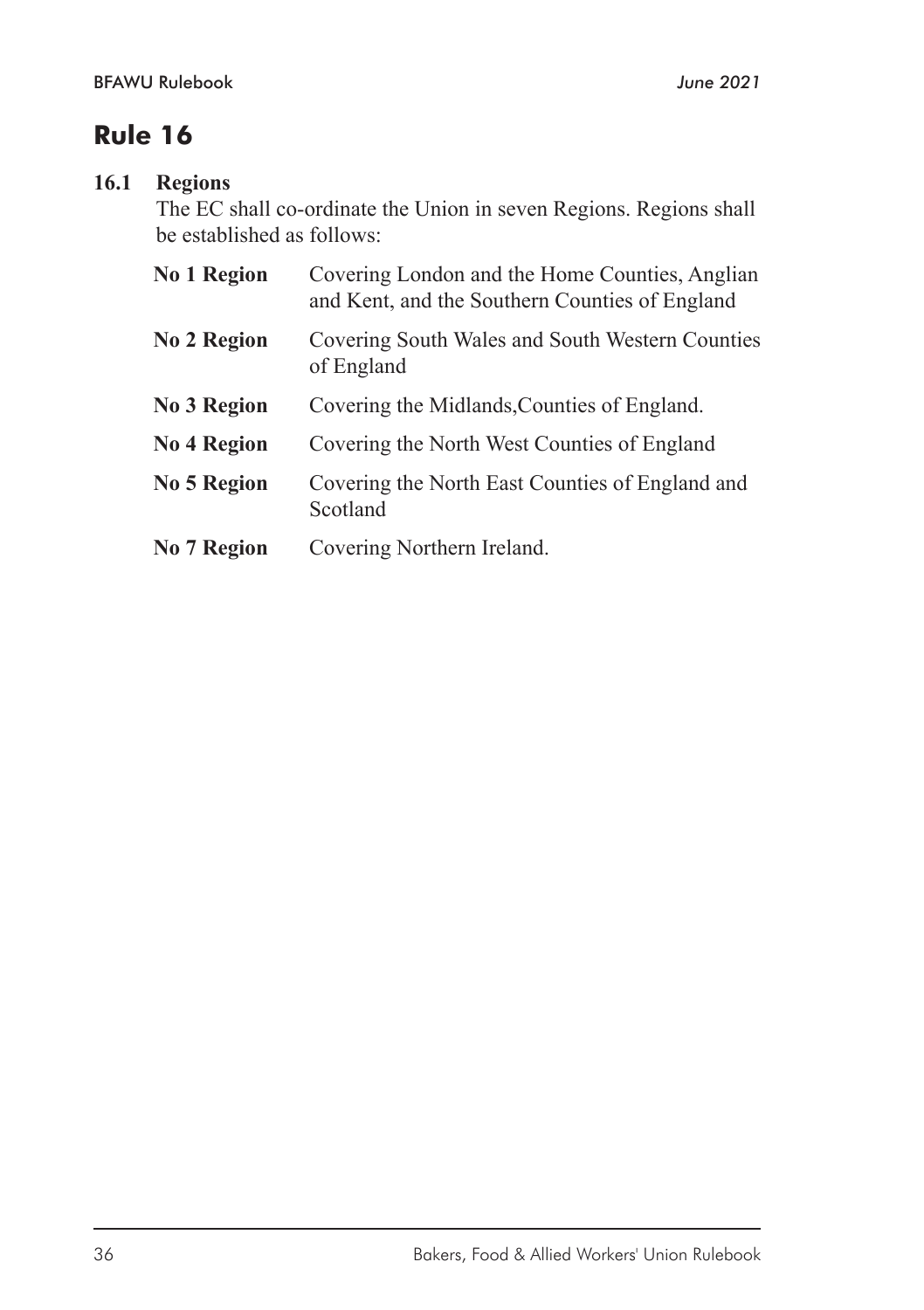## **16.1 Regions**

The EC shall co-ordinate the Union in seven Regions. Regions shall be established as follows:

| No 1 Region | Covering London and the Home Counties, Anglian<br>and Kent, and the Southern Counties of England |
|-------------|--------------------------------------------------------------------------------------------------|
| No 2 Region | Covering South Wales and South Western Counties<br>of England                                    |
| No 3 Region | Covering the Midlands, Counties of England.                                                      |
| No 4 Region | Covering the North West Counties of England                                                      |
| No 5 Region | Covering the North East Counties of England and<br>Scotland                                      |
| No 7 Region | Covering Northern Ireland.                                                                       |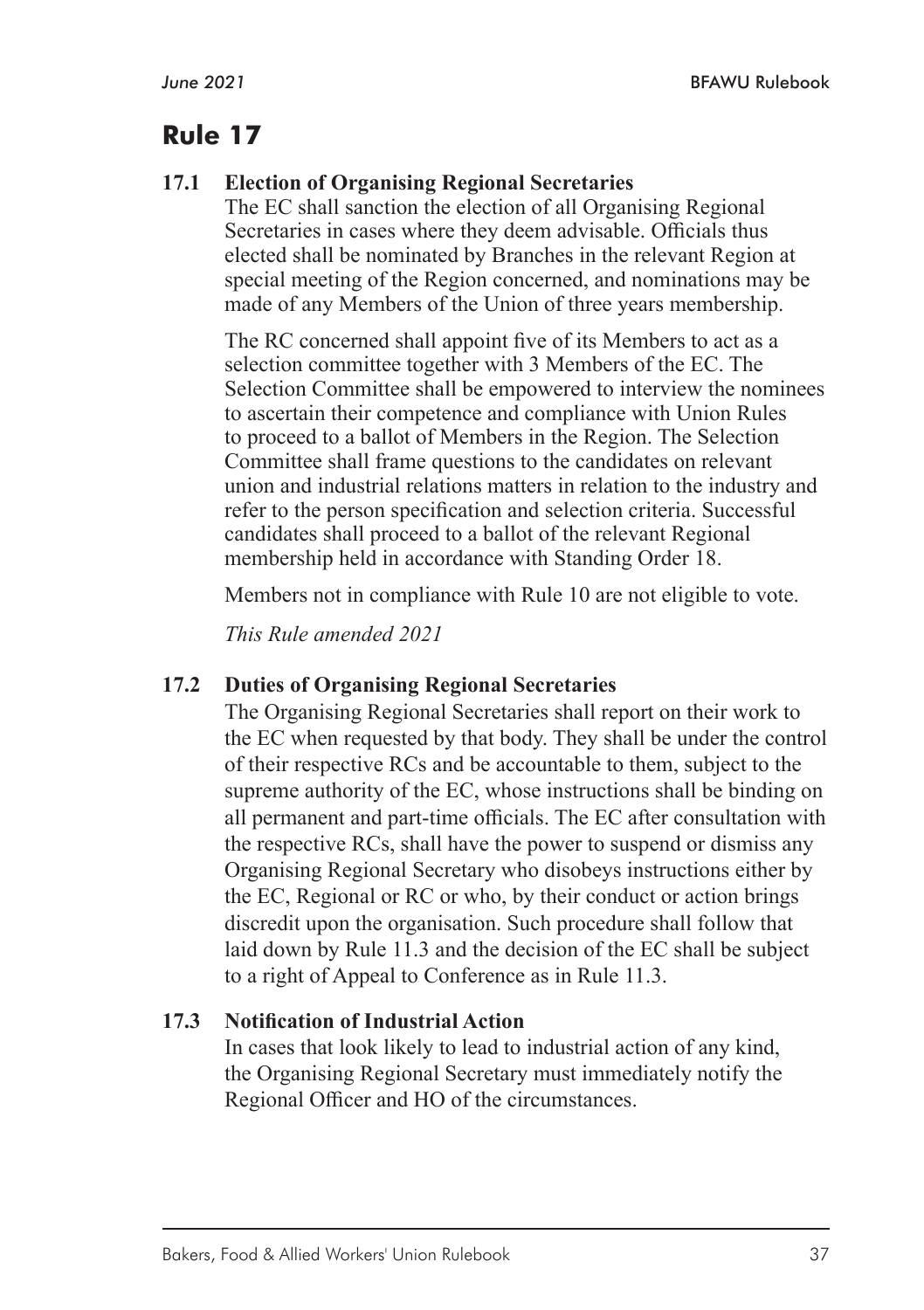## **17.1 Election of Organising Regional Secretaries**

The EC shall sanction the election of all Organising Regional Secretaries in cases where they deem advisable. Officials thus elected shall be nominated by Branches in the relevant Region at special meeting of the Region concerned, and nominations may be made of any Members of the Union of three years membership.

The RC concerned shall appoint five of its Members to act as a selection committee together with 3 Members of the EC. The Selection Committee shall be empowered to interview the nominees to ascertain their competence and compliance with Union Rules to proceed to a ballot of Members in the Region. The Selection Committee shall frame questions to the candidates on relevant union and industrial relations matters in relation to the industry and refer to the person specification and selection criteria. Successful candidates shall proceed to a ballot of the relevant Regional membership held in accordance with Standing Order 18.

Members not in compliance with Rule 10 are not eligible to vote.

*This Rule amended 2021*

#### **17.2 Duties of Organising Regional Secretaries**

The Organising Regional Secretaries shall report on their work to the EC when requested by that body. They shall be under the control of their respective RCs and be accountable to them, subject to the supreme authority of the EC, whose instructions shall be binding on all permanent and part-time officials. The EC after consultation with the respective RCs, shall have the power to suspend or dismiss any Organising Regional Secretary who disobeys instructions either by the EC, Regional or RC or who, by their conduct or action brings discredit upon the organisation. Such procedure shall follow that laid down by Rule 11.3 and the decision of the EC shall be subject to a right of Appeal to Conference as in Rule 11.3.

## **17.3 Notification of Industrial Action**

In cases that look likely to lead to industrial action of any kind, the Organising Regional Secretary must immediately notify the Regional Officer and HO of the circumstances.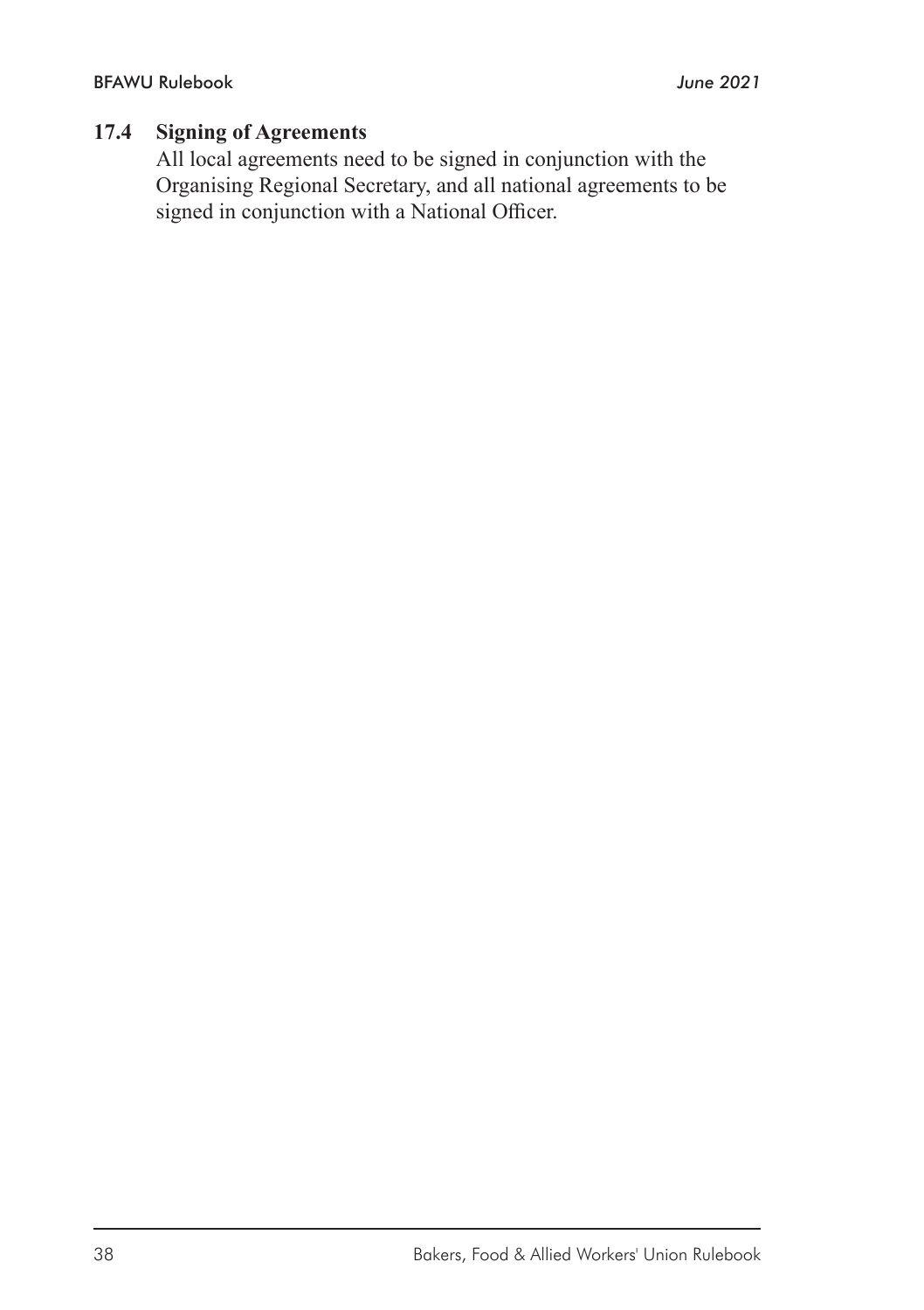#### **17.4 Signing of Agreements**

All local agreements need to be signed in conjunction with the Organising Regional Secretary, and all national agreements to be signed in conjunction with a National Officer.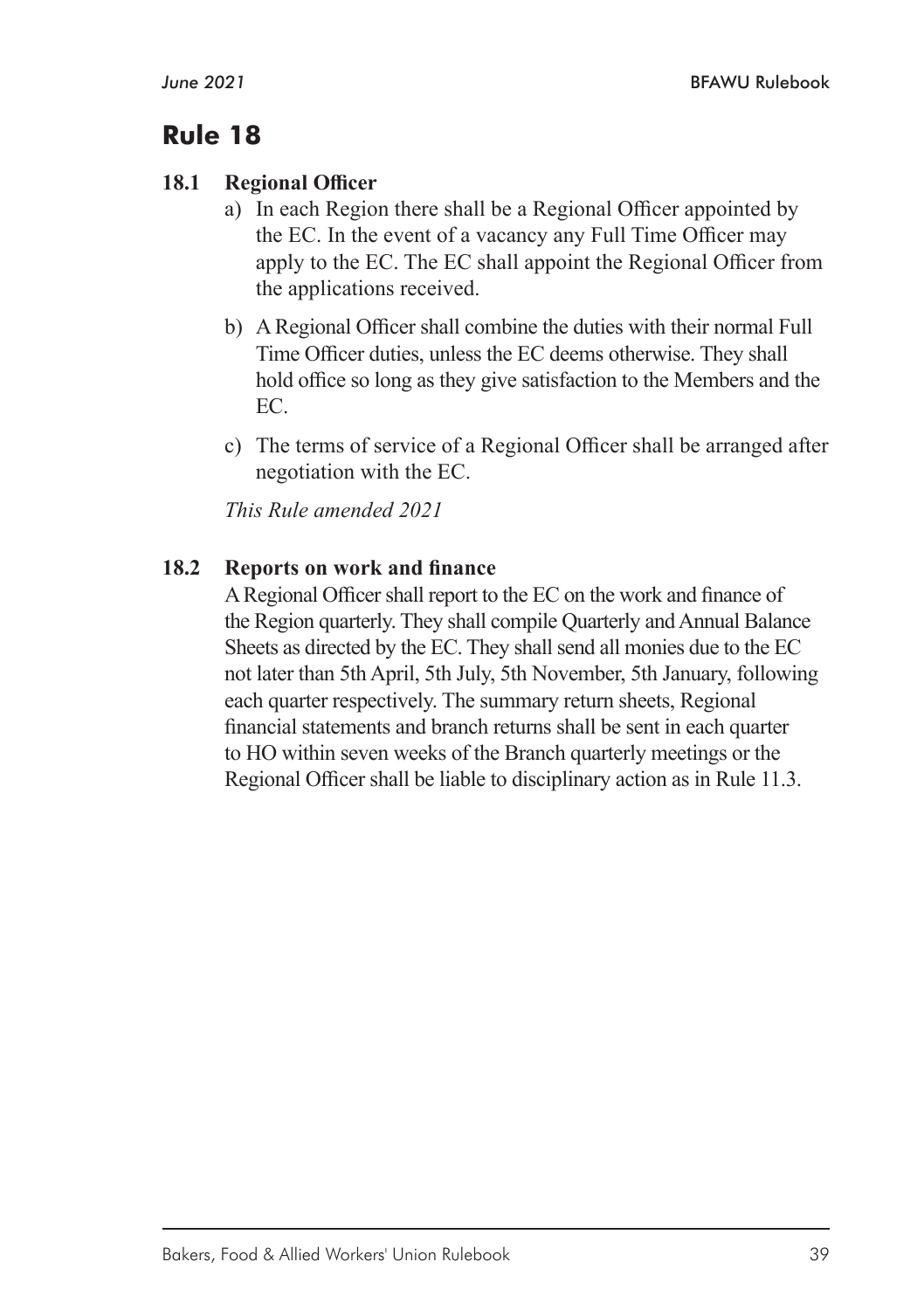#### **18.1 Regional Officer**

- a) In each Region there shall be a Regional Officer appointed by the EC. In the event of a vacancy any Full Time Officer may apply to the EC. The EC shall appoint the Regional Officer from the applications received.
- b) A Regional Officer shall combine the duties with their normal Full Time Officer duties, unless the EC deems otherwise. They shall hold office so long as they give satisfaction to the Members and the EC.
- c) The terms of service of a Regional Officer shall be arranged after negotiation with the EC.

*This Rule amended 2021*

#### **18.2 Reports on work and finance**

A Regional Officer shall report to the EC on the work and finance of the Region quarterly. They shall compile Quarterly and Annual Balance Sheets as directed by the EC. They shall send all monies due to the EC not later than 5th April, 5th July, 5th November, 5th January, following each quarter respectively. The summary return sheets, Regional financial statements and branch returns shall be sent in each quarter to HO within seven weeks of the Branch quarterly meetings or the Regional Officer shall be liable to disciplinary action as in Rule 11.3.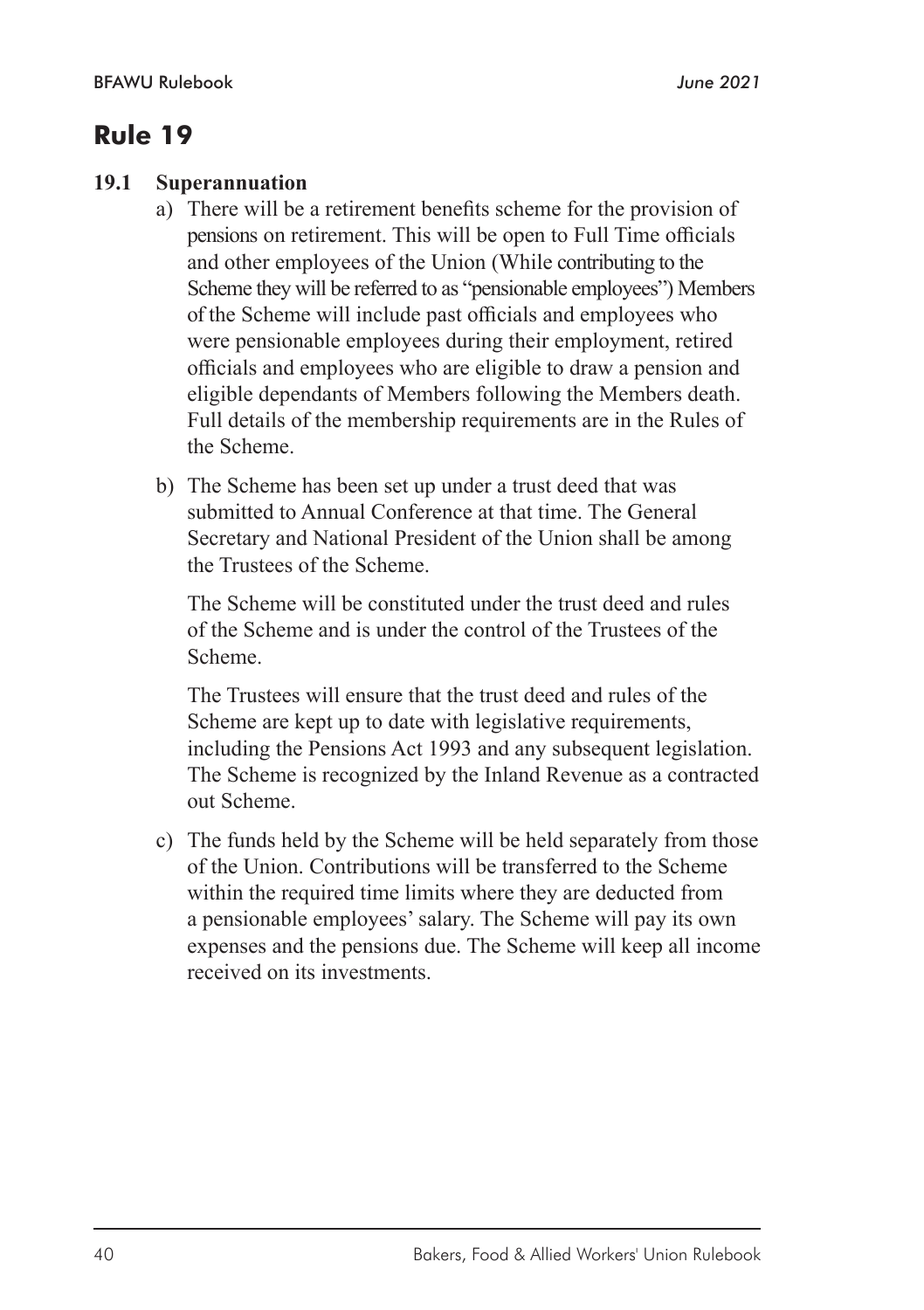#### **19.1 Superannuation**

- a) There will be a retirement benefits scheme for the provision of pensions on retirement. This will be open to Full Time officials and other employees of the Union (While contributing to the Scheme they will be referred to as "pensionable employees") Members of the Scheme will include past officials and employees who were pensionable employees during their employment, retired officials and employees who are eligible to draw a pension and eligible dependants of Members following the Members death. Full details of the membership requirements are in the Rules of the Scheme.
- b) The Scheme has been set up under a trust deed that was submitted to Annual Conference at that time. The General Secretary and National President of the Union shall be among the Trustees of the Scheme.

The Scheme will be constituted under the trust deed and rules of the Scheme and is under the control of the Trustees of the Scheme.

The Trustees will ensure that the trust deed and rules of the Scheme are kept up to date with legislative requirements, including the Pensions Act 1993 and any subsequent legislation. The Scheme is recognized by the Inland Revenue as a contracted out Scheme.

c) The funds held by the Scheme will be held separately from those of the Union. Contributions will be transferred to the Scheme within the required time limits where they are deducted from a pensionable employees' salary. The Scheme will pay its own expenses and the pensions due. The Scheme will keep all income received on its investments.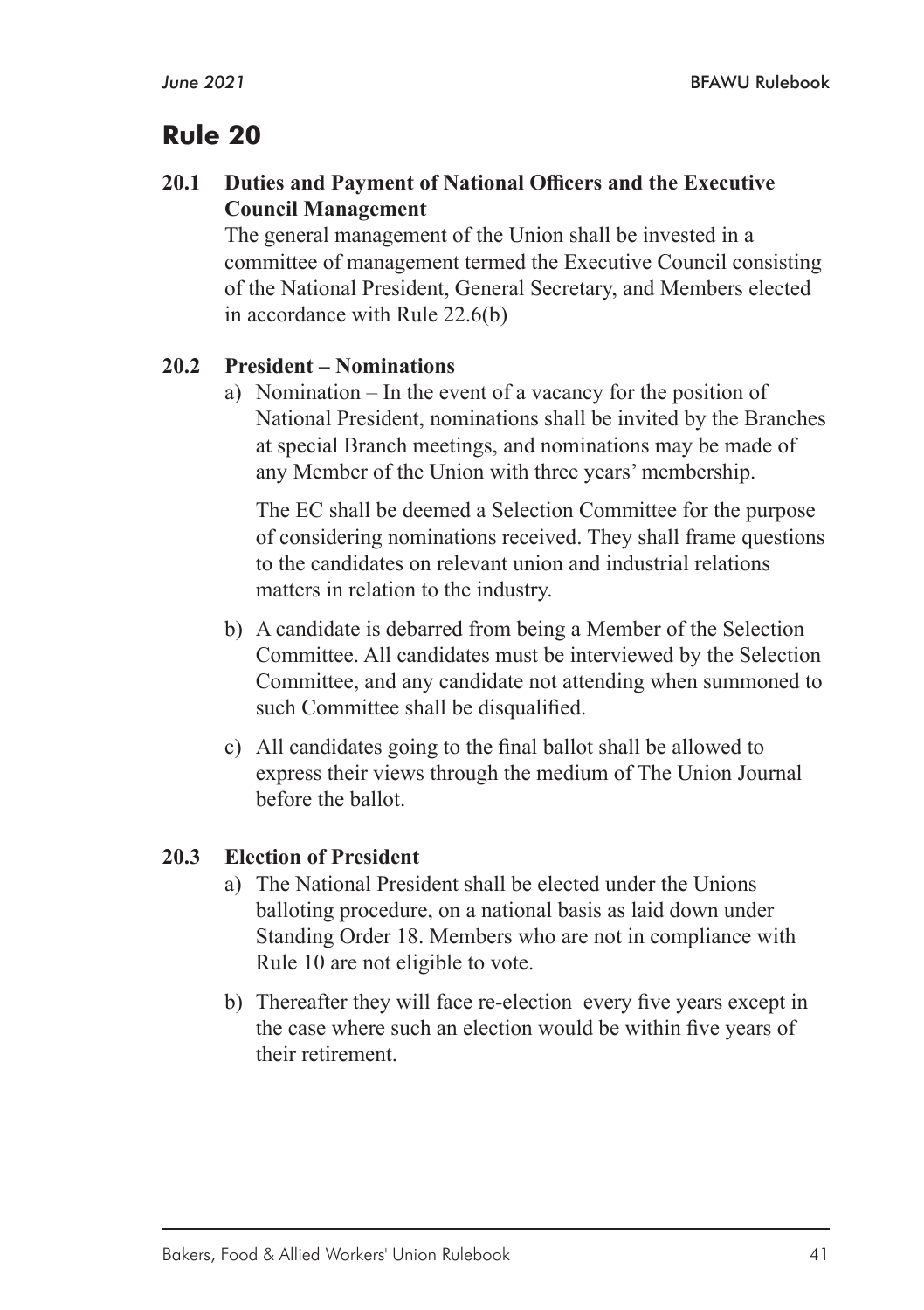#### **20.1 Duties and Payment of National Officers and the Executive Council Management**

The general management of the Union shall be invested in a committee of management termed the Executive Council consisting of the National President, General Secretary, and Members elected in accordance with Rule 22.6(b)

#### **20.2 President – Nominations**

a) Nomination – In the event of a vacancy for the position of National President, nominations shall be invited by the Branches at special Branch meetings, and nominations may be made of any Member of the Union with three years' membership.

The EC shall be deemed a Selection Committee for the purpose of considering nominations received. They shall frame questions to the candidates on relevant union and industrial relations matters in relation to the industry.

- b) A candidate is debarred from being a Member of the Selection Committee. All candidates must be interviewed by the Selection Committee, and any candidate not attending when summoned to such Committee shall be disqualified.
- c) All candidates going to the final ballot shall be allowed to express their views through the medium of The Union Journal before the ballot.

#### **20.3 Election of President**

- a) The National President shall be elected under the Unions balloting procedure, on a national basis as laid down under Standing Order 18. Members who are not in compliance with Rule 10 are not eligible to vote.
- b) Thereafter they will face re-election every five years except in the case where such an election would be within five years of their retirement.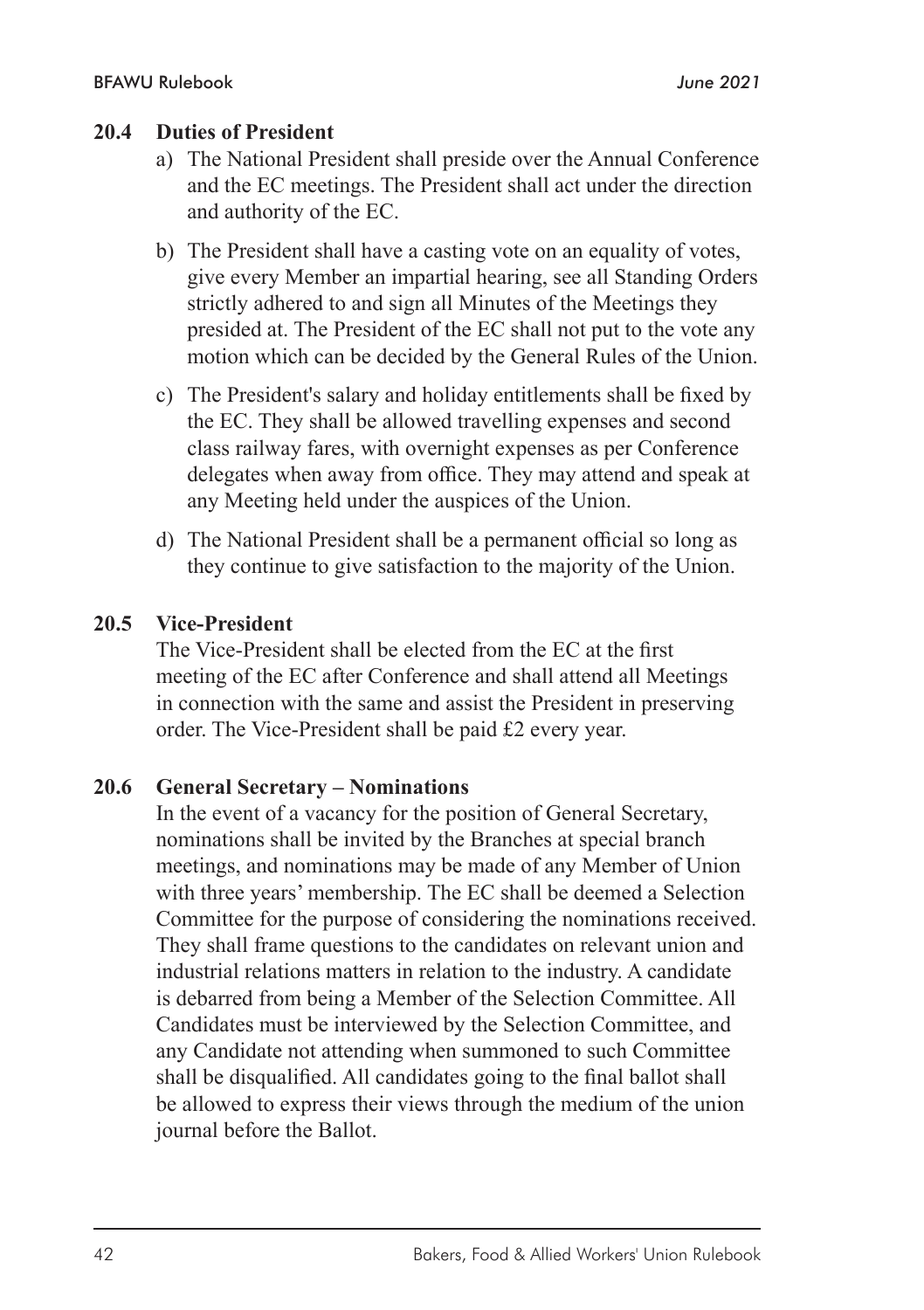#### **20.4 Duties of President**

- a) The National President shall preside over the Annual Conference and the EC meetings. The President shall act under the direction and authority of the EC.
- b) The President shall have a casting vote on an equality of votes, give every Member an impartial hearing, see all Standing Orders strictly adhered to and sign all Minutes of the Meetings they presided at. The President of the EC shall not put to the vote any motion which can be decided by the General Rules of the Union.
- c) The President's salary and holiday entitlements shall be fixed by the EC. They shall be allowed travelling expenses and second class railway fares, with overnight expenses as per Conference delegates when away from office. They may attend and speak at any Meeting held under the auspices of the Union.
- d) The National President shall be a permanent official so long as they continue to give satisfaction to the majority of the Union.

#### **20.5 Vice-President**

The Vice-President shall be elected from the EC at the first meeting of the EC after Conference and shall attend all Meetings in connection with the same and assist the President in preserving order. The Vice-President shall be paid £2 every year.

#### **20.6 General Secretary – Nominations**

In the event of a vacancy for the position of General Secretary, nominations shall be invited by the Branches at special branch meetings, and nominations may be made of any Member of Union with three years' membership. The EC shall be deemed a Selection Committee for the purpose of considering the nominations received. They shall frame questions to the candidates on relevant union and industrial relations matters in relation to the industry. A candidate is debarred from being a Member of the Selection Committee. All Candidates must be interviewed by the Selection Committee, and any Candidate not attending when summoned to such Committee shall be disqualified. All candidates going to the final ballot shall be allowed to express their views through the medium of the union journal before the Ballot.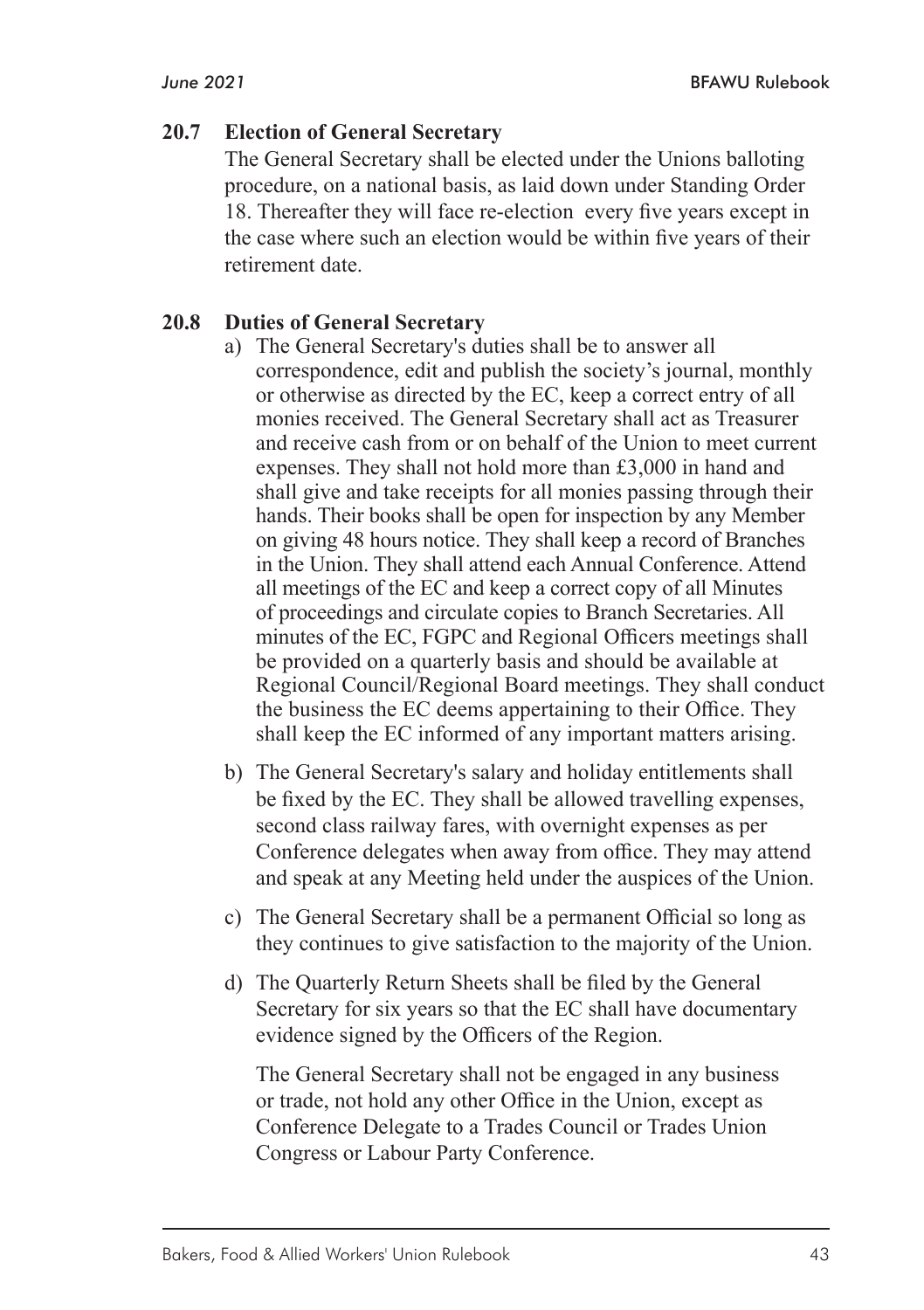#### **20.7 Election of General Secretary**

The General Secretary shall be elected under the Unions balloting procedure, on a national basis, as laid down under Standing Order 18. Thereafter they will face re-election every five years except in the case where such an election would be within five years of their retirement date.

#### **20.8 Duties of General Secretary**

- a) The General Secretary's duties shall be to answer all correspondence, edit and publish the society's journal, monthly or otherwise as directed by the EC, keep a correct entry of all monies received. The General Secretary shall act as Treasurer and receive cash from or on behalf of the Union to meet current expenses. They shall not hold more than £3,000 in hand and shall give and take receipts for all monies passing through their hands. Their books shall be open for inspection by any Member on giving 48 hours notice. They shall keep a record of Branches in the Union. They shall attend each Annual Conference. Attend all meetings of the EC and keep a correct copy of all Minutes of proceedings and circulate copies to Branch Secretaries. All minutes of the EC, FGPC and Regional Officers meetings shall be provided on a quarterly basis and should be available at Regional Council/Regional Board meetings. They shall conduct the business the EC deems appertaining to their Office. They shall keep the EC informed of any important matters arising.
- b) The General Secretary's salary and holiday entitlements shall be fixed by the EC. They shall be allowed travelling expenses, second class railway fares, with overnight expenses as per Conference delegates when away from office. They may attend and speak at any Meeting held under the auspices of the Union.
- c) The General Secretary shall be a permanent Official so long as they continues to give satisfaction to the majority of the Union.
- d) The Quarterly Return Sheets shall be filed by the General Secretary for six years so that the EC shall have documentary evidence signed by the Officers of the Region.

The General Secretary shall not be engaged in any business or trade, not hold any other Office in the Union, except as Conference Delegate to a Trades Council or Trades Union Congress or Labour Party Conference.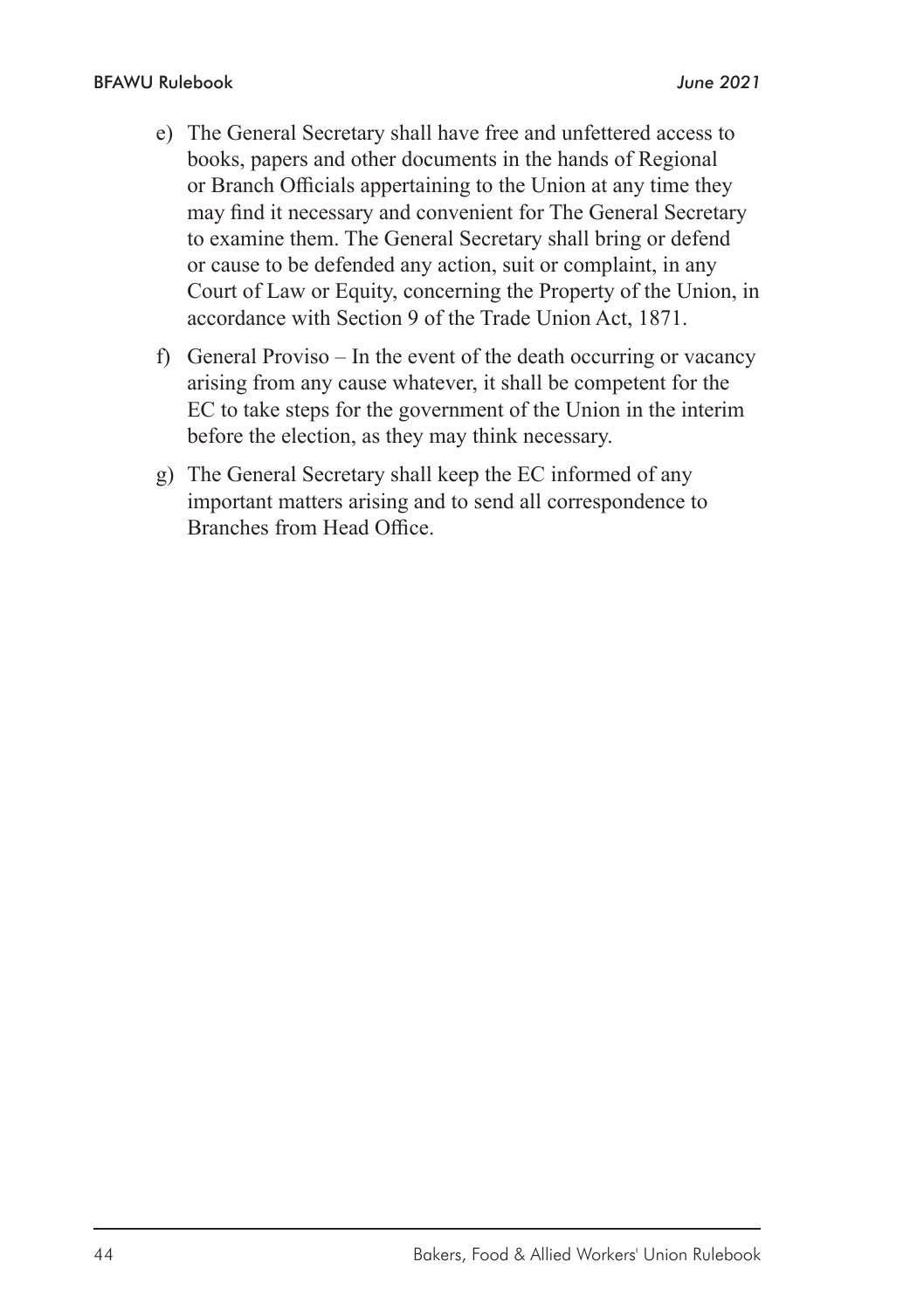- e) The General Secretary shall have free and unfettered access to books, papers and other documents in the hands of Regional or Branch Officials appertaining to the Union at any time they may find it necessary and convenient for The General Secretary to examine them. The General Secretary shall bring or defend or cause to be defended any action, suit or complaint, in any Court of Law or Equity, concerning the Property of the Union, in accordance with Section 9 of the Trade Union Act, 1871.
- f) General Proviso In the event of the death occurring or vacancy arising from any cause whatever, it shall be competent for the EC to take steps for the government of the Union in the interim before the election, as they may think necessary.
- g) The General Secretary shall keep the EC informed of any important matters arising and to send all correspondence to Branches from Head Office.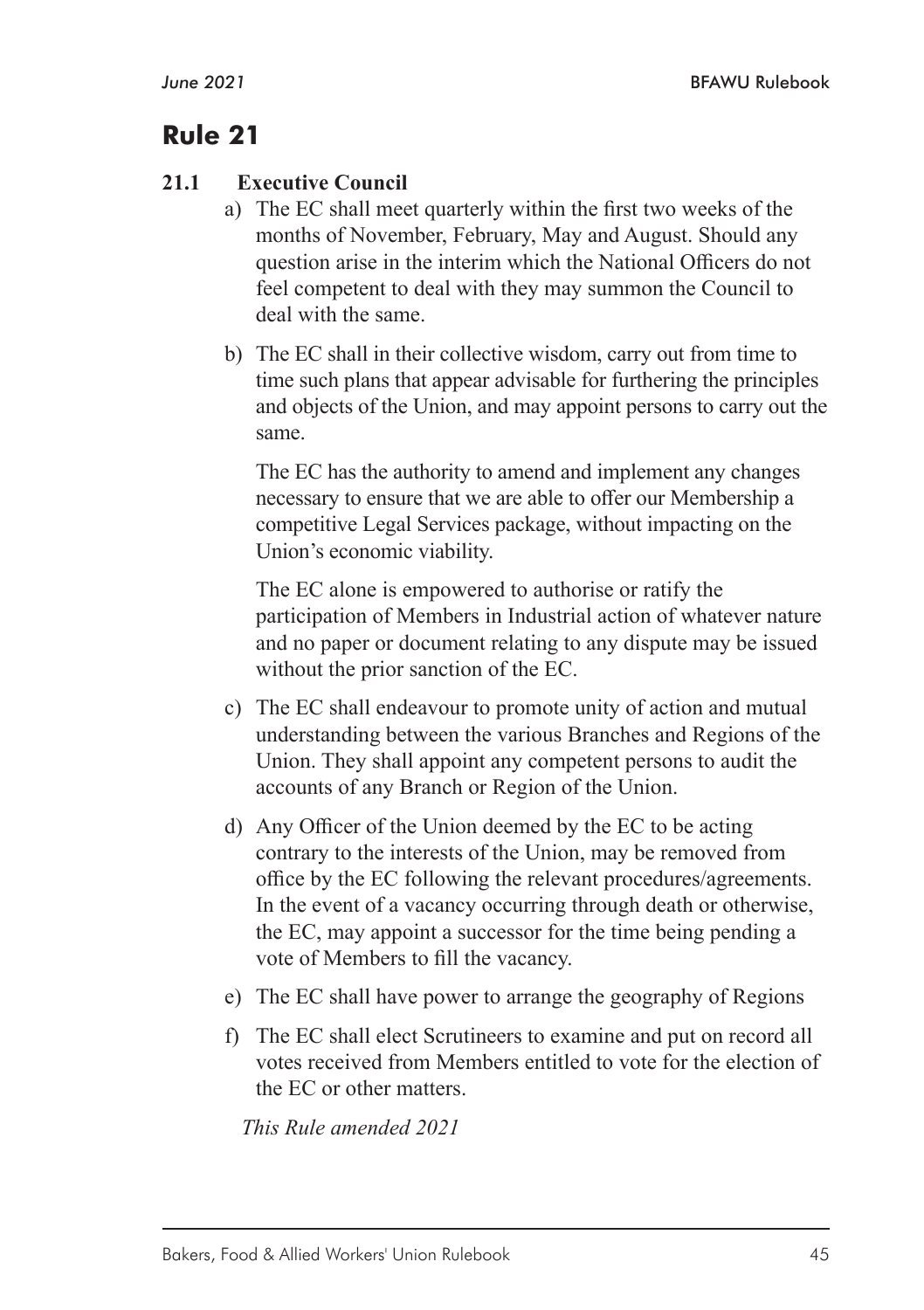#### **21.1 Executive Council**

- a) The EC shall meet quarterly within the first two weeks of the months of November, February, May and August. Should any question arise in the interim which the National Officers do not feel competent to deal with they may summon the Council to deal with the same.
- b) The EC shall in their collective wisdom, carry out from time to time such plans that appear advisable for furthering the principles and objects of the Union, and may appoint persons to carry out the same.

The EC has the authority to amend and implement any changes necessary to ensure that we are able to offer our Membership a competitive Legal Services package, without impacting on the Union's economic viability.

The EC alone is empowered to authorise or ratify the participation of Members in Industrial action of whatever nature and no paper or document relating to any dispute may be issued without the prior sanction of the EC.

- c) The EC shall endeavour to promote unity of action and mutual understanding between the various Branches and Regions of the Union. They shall appoint any competent persons to audit the accounts of any Branch or Region of the Union.
- d) Any Officer of the Union deemed by the EC to be acting contrary to the interests of the Union, may be removed from office by the EC following the relevant procedures/agreements. In the event of a vacancy occurring through death or otherwise, the EC, may appoint a successor for the time being pending a vote of Members to fill the vacancy.
- e) The EC shall have power to arrange the geography of Regions
- f) The EC shall elect Scrutineers to examine and put on record all votes received from Members entitled to vote for the election of the EC or other matters.

*This Rule amended 2021*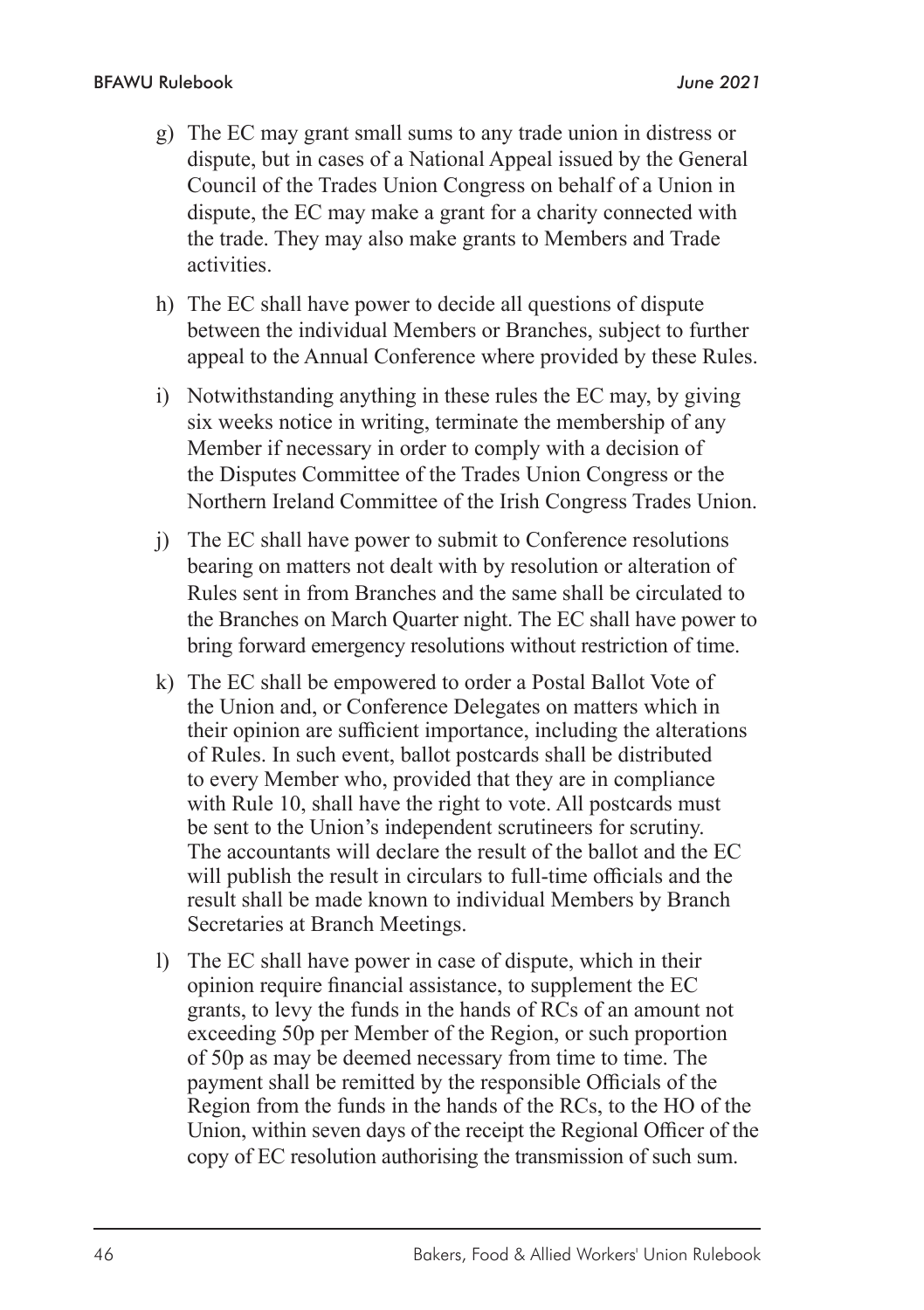- g) The EC may grant small sums to any trade union in distress or dispute, but in cases of a National Appeal issued by the General Council of the Trades Union Congress on behalf of a Union in dispute, the EC may make a grant for a charity connected with the trade. They may also make grants to Members and Trade activities.
- h) The EC shall have power to decide all questions of dispute between the individual Members or Branches, subject to further appeal to the Annual Conference where provided by these Rules.
- i) Notwithstanding anything in these rules the EC may, by giving six weeks notice in writing, terminate the membership of any Member if necessary in order to comply with a decision of the Disputes Committee of the Trades Union Congress or the Northern Ireland Committee of the Irish Congress Trades Union.
- j) The EC shall have power to submit to Conference resolutions bearing on matters not dealt with by resolution or alteration of Rules sent in from Branches and the same shall be circulated to the Branches on March Quarter night. The EC shall have power to bring forward emergency resolutions without restriction of time.
- k) The EC shall be empowered to order a Postal Ballot Vote of the Union and, or Conference Delegates on matters which in their opinion are sufficient importance, including the alterations of Rules. In such event, ballot postcards shall be distributed to every Member who, provided that they are in compliance with Rule 10, shall have the right to vote. All postcards must be sent to the Union's independent scrutineers for scrutiny. The accountants will declare the result of the ballot and the EC will publish the result in circulars to full-time officials and the result shall be made known to individual Members by Branch Secretaries at Branch Meetings.
- l) The EC shall have power in case of dispute, which in their opinion require financial assistance, to supplement the EC grants, to levy the funds in the hands of RCs of an amount not exceeding 50p per Member of the Region, or such proportion of 50p as may be deemed necessary from time to time. The payment shall be remitted by the responsible Officials of the Region from the funds in the hands of the RCs, to the HO of the Union, within seven days of the receipt the Regional Officer of the copy of EC resolution authorising the transmission of such sum.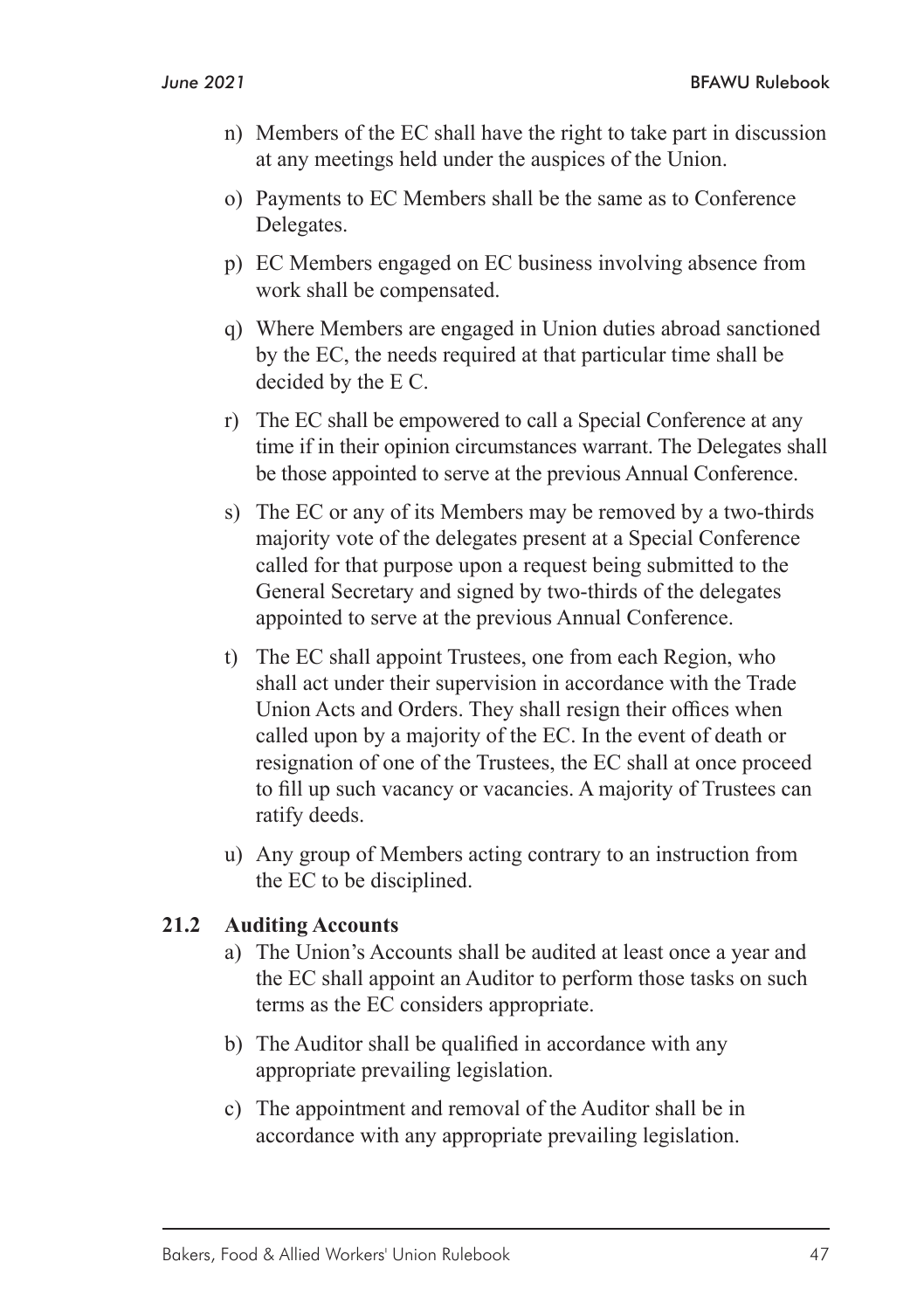- n) Members of the EC shall have the right to take part in discussion at any meetings held under the auspices of the Union.
- o) Payments to EC Members shall be the same as to Conference Delegates.
- p) EC Members engaged on EC business involving absence from work shall be compensated.
- q) Where Members are engaged in Union duties abroad sanctioned by the EC, the needs required at that particular time shall be decided by the E C.
- r) The EC shall be empowered to call a Special Conference at any time if in their opinion circumstances warrant. The Delegates shall be those appointed to serve at the previous Annual Conference.
- s) The EC or any of its Members may be removed by a two-thirds majority vote of the delegates present at a Special Conference called for that purpose upon a request being submitted to the General Secretary and signed by two-thirds of the delegates appointed to serve at the previous Annual Conference.
- t) The EC shall appoint Trustees, one from each Region, who shall act under their supervision in accordance with the Trade Union Acts and Orders. They shall resign their offices when called upon by a majority of the EC. In the event of death or resignation of one of the Trustees, the EC shall at once proceed to fill up such vacancy or vacancies. A majority of Trustees can ratify deeds.
- u) Any group of Members acting contrary to an instruction from the EC to be disciplined.

#### **21.2 Auditing Accounts**

- a) The Union's Accounts shall be audited at least once a year and the EC shall appoint an Auditor to perform those tasks on such terms as the EC considers appropriate.
- b) The Auditor shall be qualified in accordance with any appropriate prevailing legislation.
- c) The appointment and removal of the Auditor shall be in accordance with any appropriate prevailing legislation.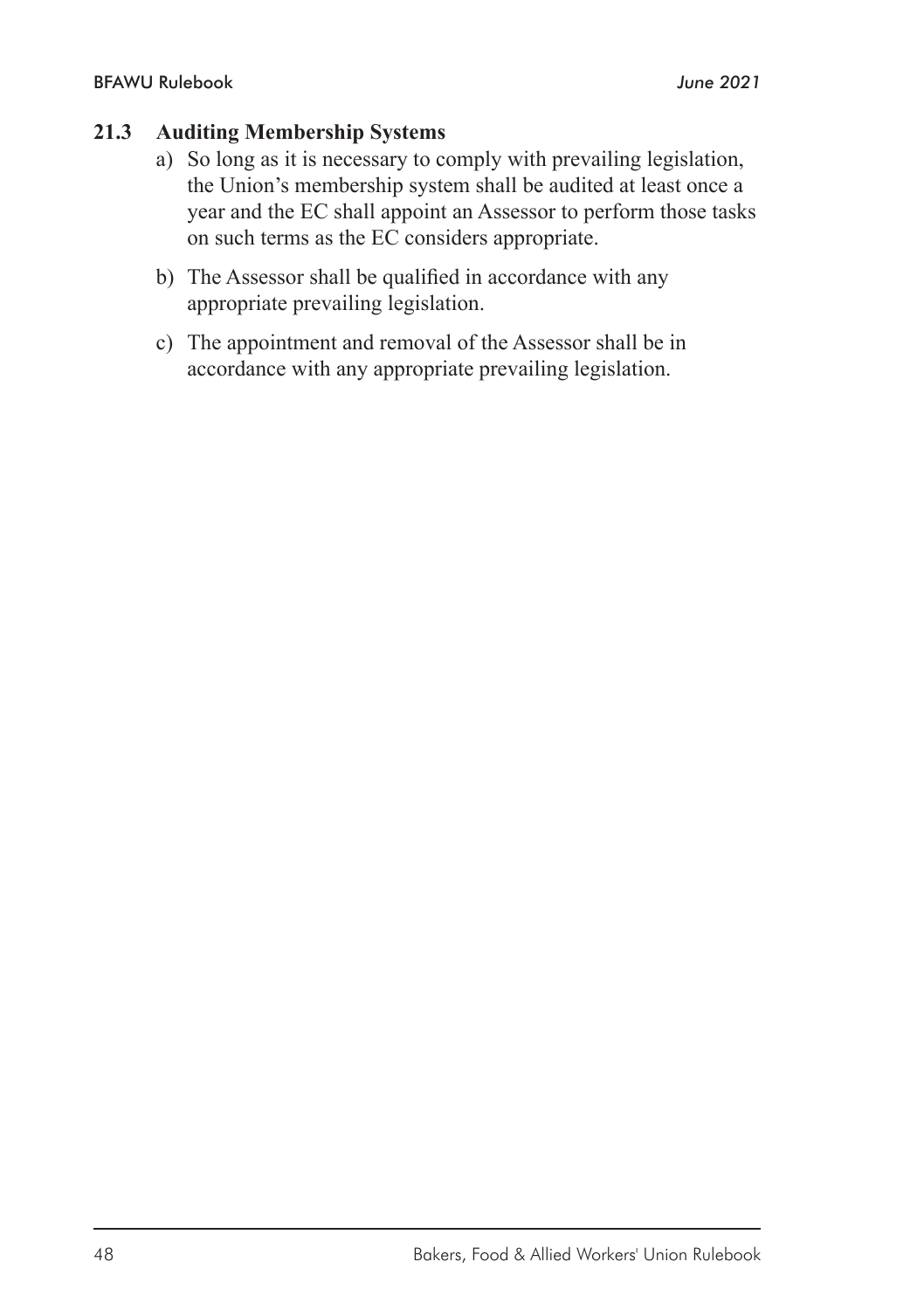#### **21.3 Auditing Membership Systems**

- a) So long as it is necessary to comply with prevailing legislation, the Union's membership system shall be audited at least once a year and the EC shall appoint an Assessor to perform those tasks on such terms as the EC considers appropriate.
- b) The Assessor shall be qualified in accordance with any appropriate prevailing legislation.
- c) The appointment and removal of the Assessor shall be in accordance with any appropriate prevailing legislation.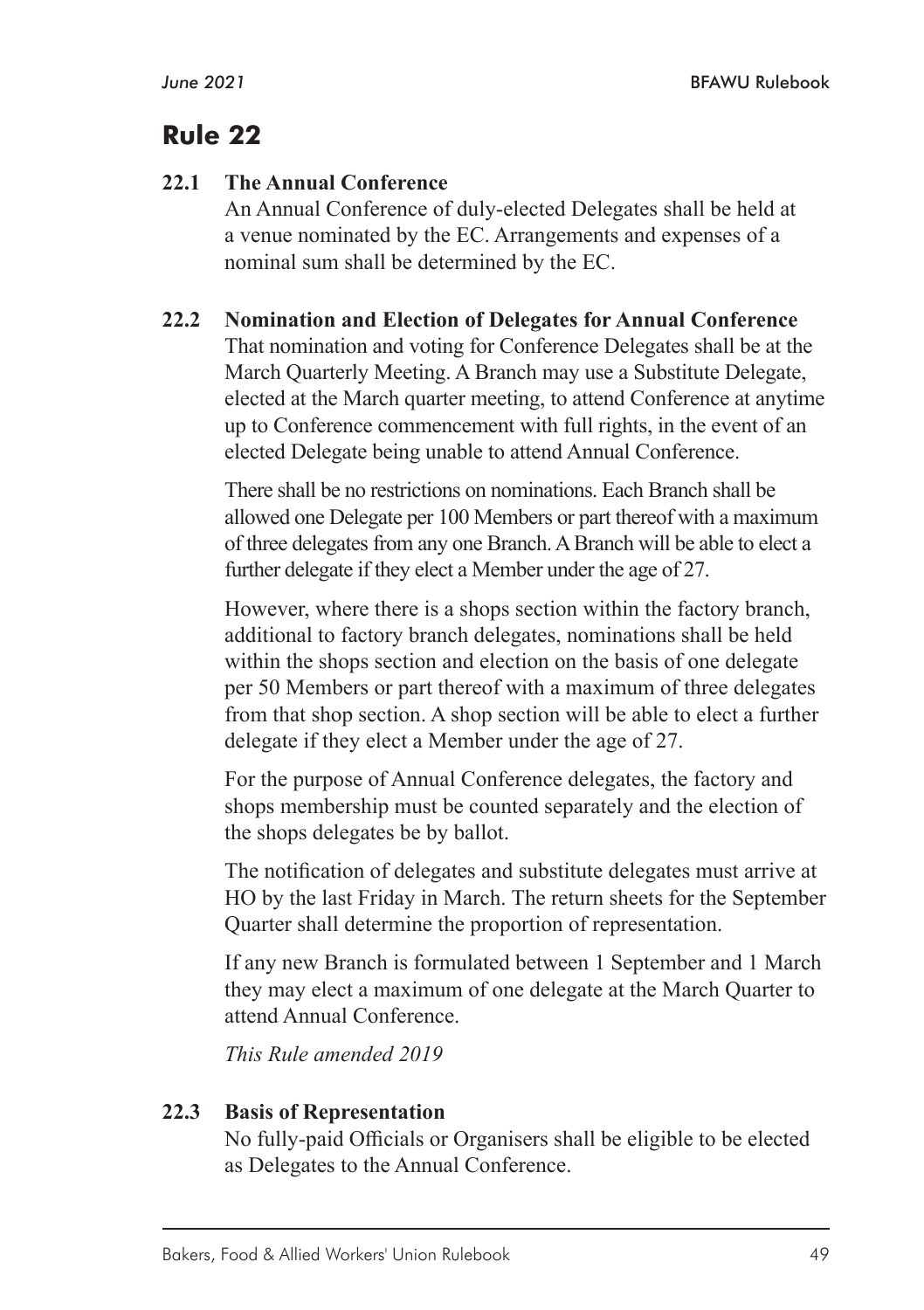## **22.1 The Annual Conference**

An Annual Conference of duly-elected Delegates shall be held at a venue nominated by the EC. Arrangements and expenses of a nominal sum shall be determined by the EC.

## **22.2 Nomination and Election of Delegates for Annual Conference**

That nomination and voting for Conference Delegates shall be at the March Quarterly Meeting. A Branch may use a Substitute Delegate, elected at the March quarter meeting, to attend Conference at anytime up to Conference commencement with full rights, in the event of an elected Delegate being unable to attend Annual Conference.

There shall be no restrictions on nominations. Each Branch shall be allowed one Delegate per 100 Members or part thereof with a maximum of three delegates from any one Branch. A Branch will be able to elect a further delegate if they elect a Member under the age of 27.

However, where there is a shops section within the factory branch, additional to factory branch delegates, nominations shall be held within the shops section and election on the basis of one delegate per 50 Members or part thereof with a maximum of three delegates from that shop section. A shop section will be able to elect a further delegate if they elect a Member under the age of 27.

For the purpose of Annual Conference delegates, the factory and shops membership must be counted separately and the election of the shops delegates be by ballot.

The notification of delegates and substitute delegates must arrive at HO by the last Friday in March. The return sheets for the September Quarter shall determine the proportion of representation.

If any new Branch is formulated between 1 September and 1 March they may elect a maximum of one delegate at the March Quarter to attend Annual Conference.

*This Rule amended 2019* 

## **22.3 Basis of Representation**

No fully-paid Officials or Organisers shall be eligible to be elected as Delegates to the Annual Conference.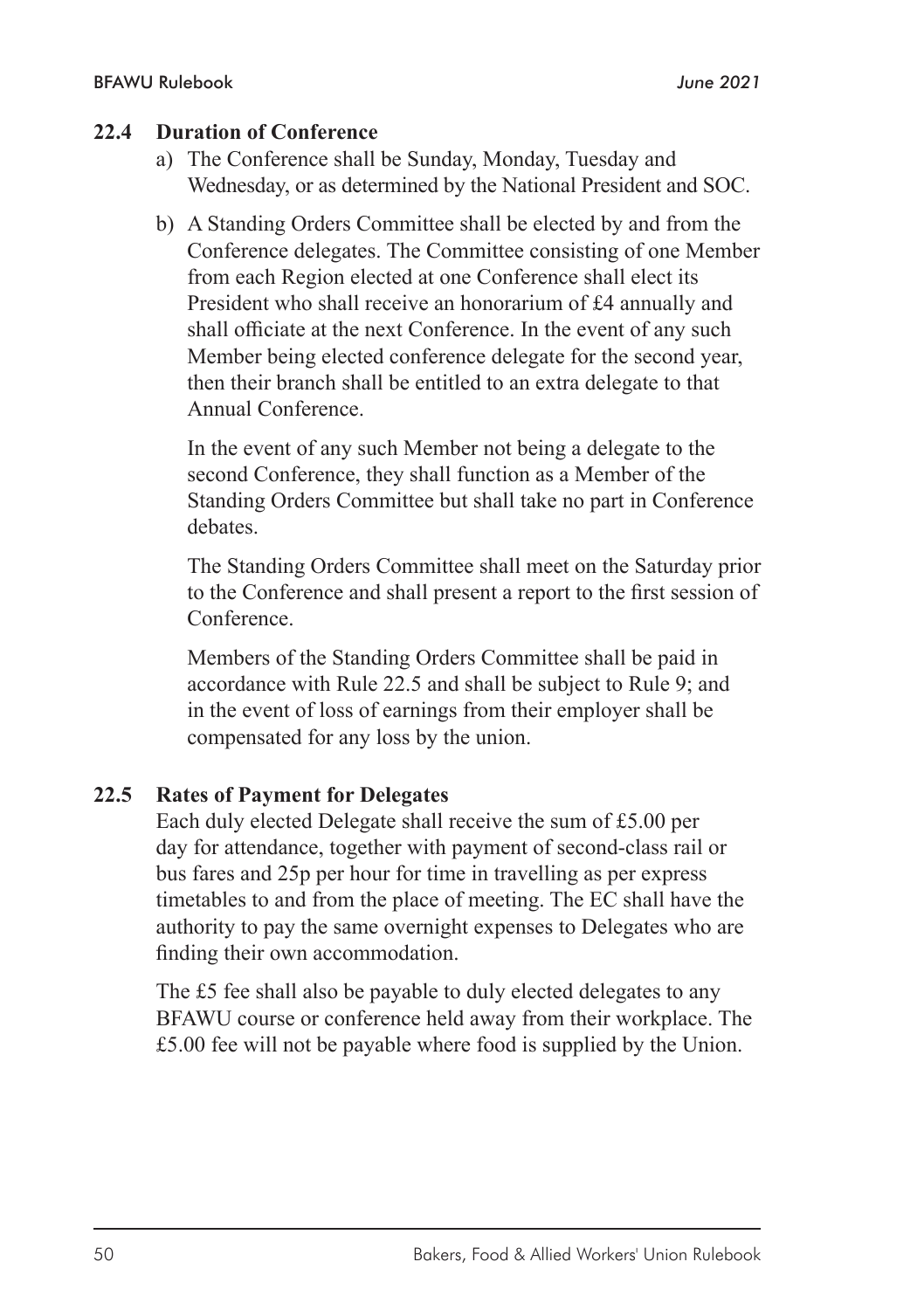#### **22.4 Duration of Conference**

- a) The Conference shall be Sunday, Monday, Tuesday and Wednesday, or as determined by the National President and SOC.
- b) A Standing Orders Committee shall be elected by and from the Conference delegates. The Committee consisting of one Member from each Region elected at one Conference shall elect its President who shall receive an honorarium of £4 annually and shall officiate at the next Conference. In the event of any such Member being elected conference delegate for the second year, then their branch shall be entitled to an extra delegate to that Annual Conference.

In the event of any such Member not being a delegate to the second Conference, they shall function as a Member of the Standing Orders Committee but shall take no part in Conference debates.

The Standing Orders Committee shall meet on the Saturday prior to the Conference and shall present a report to the first session of Conference.

Members of the Standing Orders Committee shall be paid in accordance with Rule 22.5 and shall be subject to Rule 9; and in the event of loss of earnings from their employer shall be compensated for any loss by the union.

#### **22.5 Rates of Payment for Delegates**

Each duly elected Delegate shall receive the sum of £5.00 per day for attendance, together with payment of second-class rail or bus fares and 25p per hour for time in travelling as per express timetables to and from the place of meeting. The EC shall have the authority to pay the same overnight expenses to Delegates who are finding their own accommodation.

The £5 fee shall also be payable to duly elected delegates to any BFAWU course or conference held away from their workplace. The £5.00 fee will not be payable where food is supplied by the Union.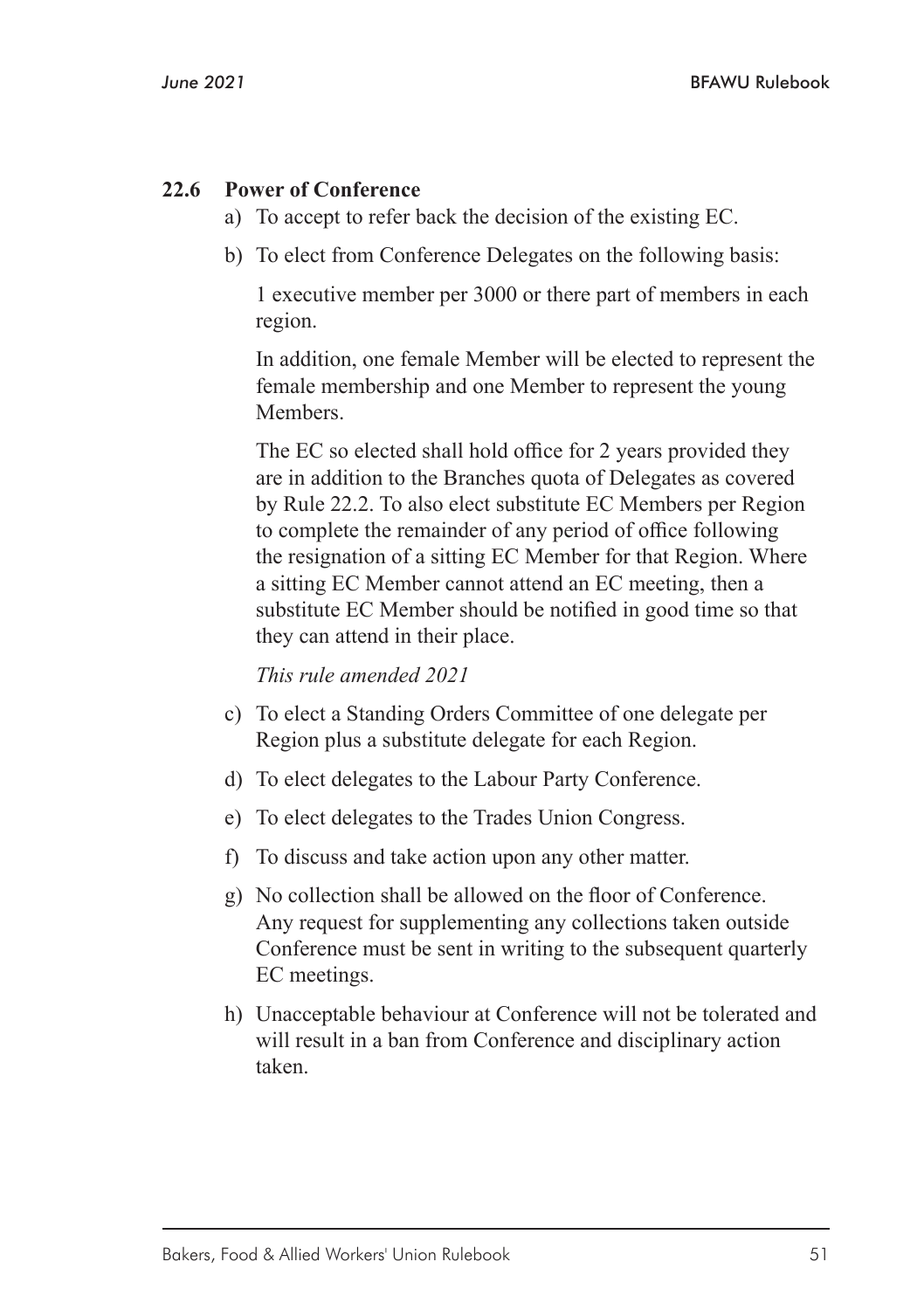#### **22.6 Power of Conference**

- a) To accept to refer back the decision of the existing EC.
- b) To elect from Conference Delegates on the following basis:

1 executive member per 3000 or there part of members in each region.

In addition, one female Member will be elected to represent the female membership and one Member to represent the young **Members**.

The EC so elected shall hold office for 2 years provided they are in addition to the Branches quota of Delegates as covered by Rule 22.2. To also elect substitute EC Members per Region to complete the remainder of any period of office following the resignation of a sitting EC Member for that Region. Where a sitting EC Member cannot attend an EC meeting, then a substitute EC Member should be notified in good time so that they can attend in their place.

*This rule amended 2021*

- c) To elect a Standing Orders Committee of one delegate per Region plus a substitute delegate for each Region.
- d) To elect delegates to the Labour Party Conference.
- e) To elect delegates to the Trades Union Congress.
- f) To discuss and take action upon any other matter.
- g) No collection shall be allowed on the floor of Conference. Any request for supplementing any collections taken outside Conference must be sent in writing to the subsequent quarterly EC meetings.
- h) Unacceptable behaviour at Conference will not be tolerated and will result in a ban from Conference and disciplinary action taken.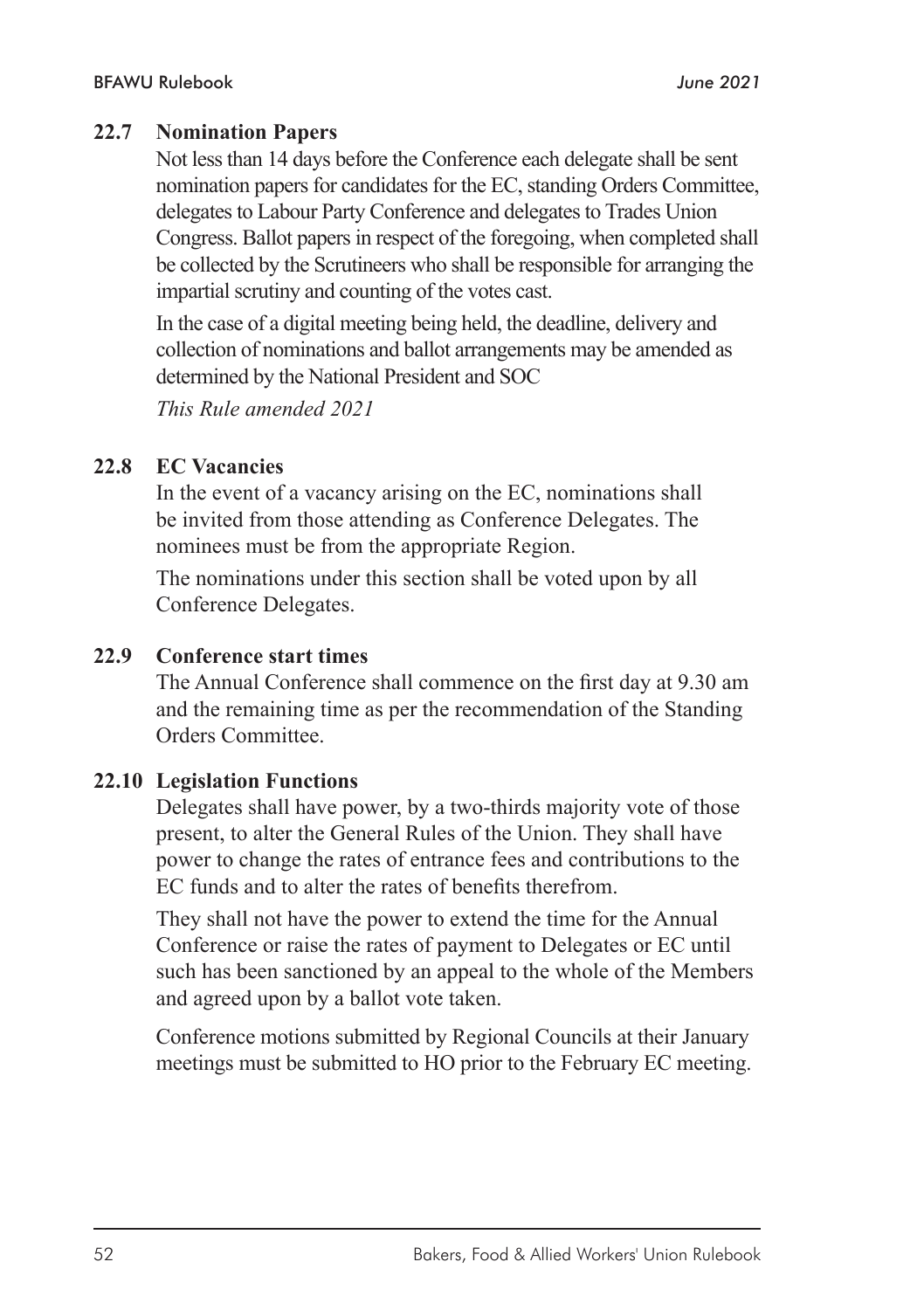#### **22.7 Nomination Papers**

Not less than 14 days before the Conference each delegate shall be sent nomination papers for candidates for the EC, standing Orders Committee, delegates to Labour Party Conference and delegates to Trades Union Congress. Ballot papers in respect of the foregoing, when completed shall be collected by the Scrutineers who shall be responsible for arranging the impartial scrutiny and counting of the votes cast.

In the case of a digital meeting being held, the deadline, delivery and collection of nominations and ballot arrangements may be amended as determined by the National President and SOC

*This Rule amended 2021*

#### **22.8 EC Vacancies**

In the event of a vacancy arising on the EC, nominations shall be invited from those attending as Conference Delegates. The nominees must be from the appropriate Region.

The nominations under this section shall be voted upon by all Conference Delegates.

#### **22.9 Conference start times**

The Annual Conference shall commence on the first day at 9.30 am and the remaining time as per the recommendation of the Standing Orders Committee.

#### **22.10 Legislation Functions**

Delegates shall have power, by a two-thirds majority vote of those present, to alter the General Rules of the Union. They shall have power to change the rates of entrance fees and contributions to the EC funds and to alter the rates of benefits therefrom.

They shall not have the power to extend the time for the Annual Conference or raise the rates of payment to Delegates or EC until such has been sanctioned by an appeal to the whole of the Members and agreed upon by a ballot vote taken.

Conference motions submitted by Regional Councils at their January meetings must be submitted to HO prior to the February EC meeting.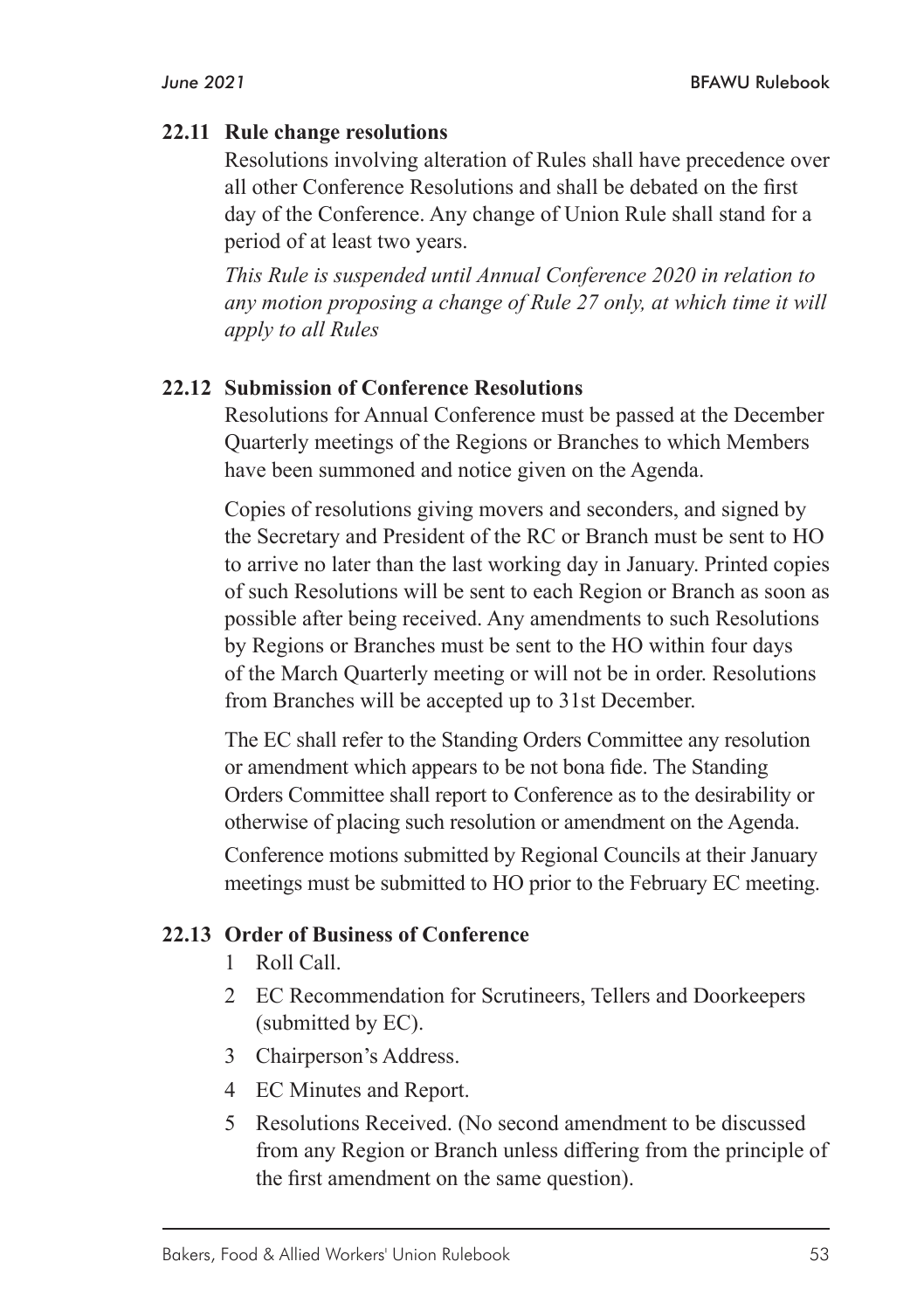#### **22.11 Rule change resolutions**

Resolutions involving alteration of Rules shall have precedence over all other Conference Resolutions and shall be debated on the first day of the Conference. Any change of Union Rule shall stand for a period of at least two years.

*This Rule is suspended until Annual Conference 2020 in relation to any motion proposing a change of Rule 27 only, at which time it will apply to all Rules*

#### **22.12 Submission of Conference Resolutions**

Resolutions for Annual Conference must be passed at the December Quarterly meetings of the Regions or Branches to which Members have been summoned and notice given on the Agenda.

Copies of resolutions giving movers and seconders, and signed by the Secretary and President of the RC or Branch must be sent to HO to arrive no later than the last working day in January. Printed copies of such Resolutions will be sent to each Region or Branch as soon as possible after being received. Any amendments to such Resolutions by Regions or Branches must be sent to the HO within four days of the March Quarterly meeting or will not be in order. Resolutions from Branches will be accepted up to 31st December.

The EC shall refer to the Standing Orders Committee any resolution or amendment which appears to be not bona fide. The Standing Orders Committee shall report to Conference as to the desirability or otherwise of placing such resolution or amendment on the Agenda.

Conference motions submitted by Regional Councils at their January meetings must be submitted to HO prior to the February EC meeting.

#### **22.13 Order of Business of Conference**

- 1 Roll Call.
- 2 EC Recommendation for Scrutineers, Tellers and Doorkeepers (submitted by EC).
- 3 Chairperson's Address.
- 4 EC Minutes and Report.
- 5 Resolutions Received. (No second amendment to be discussed from any Region or Branch unless differing from the principle of the first amendment on the same question).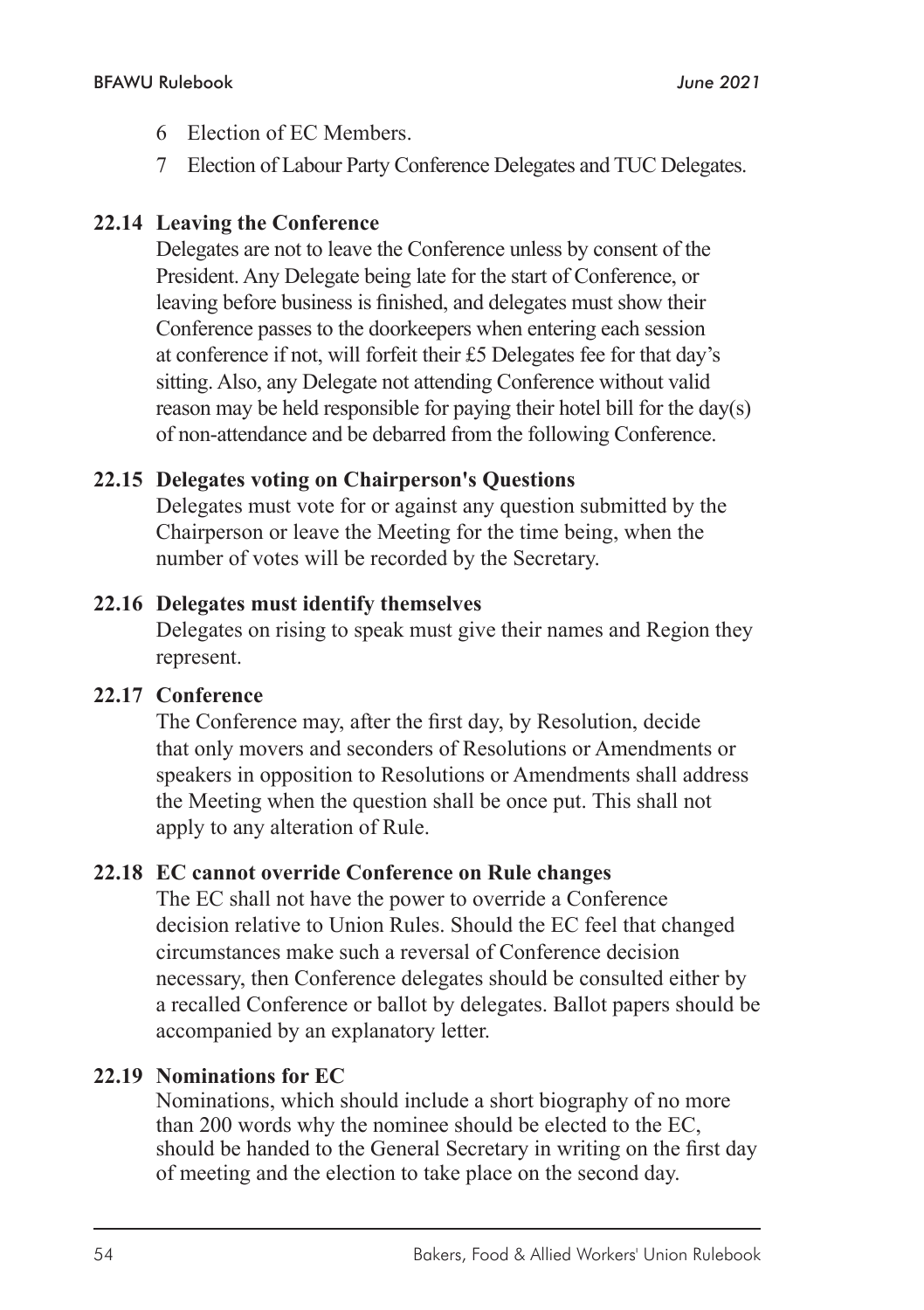- 6 Election of EC Members.
- 7 Election of Labour Party Conference Delegates and TUC Delegates.

## **22.14 Leaving the Conference**

Delegates are not to leave the Conference unless by consent of the President. Any Delegate being late for the start of Conference, or leaving before business is finished, and delegates must show their Conference passes to the doorkeepers when entering each session at conference if not, will forfeit their £5 Delegates fee for that day's sitting. Also, any Delegate not attending Conference without valid reason may be held responsible for paying their hotel bill for the day(s) of non-attendance and be debarred from the following Conference.

#### **22.15 Delegates voting on Chairperson's Questions**

Delegates must vote for or against any question submitted by the Chairperson or leave the Meeting for the time being, when the number of votes will be recorded by the Secretary.

#### **22.16 Delegates must identify themselves**

Delegates on rising to speak must give their names and Region they represent.

#### **22.17 Conference**

The Conference may, after the first day, by Resolution, decide that only movers and seconders of Resolutions or Amendments or speakers in opposition to Resolutions or Amendments shall address the Meeting when the question shall be once put. This shall not apply to any alteration of Rule.

#### **22.18 EC cannot override Conference on Rule changes**

The EC shall not have the power to override a Conference decision relative to Union Rules. Should the EC feel that changed circumstances make such a reversal of Conference decision necessary, then Conference delegates should be consulted either by a recalled Conference or ballot by delegates. Ballot papers should be accompanied by an explanatory letter.

#### **22.19 Nominations for EC**

Nominations, which should include a short biography of no more than 200 words why the nominee should be elected to the EC, should be handed to the General Secretary in writing on the first day of meeting and the election to take place on the second day.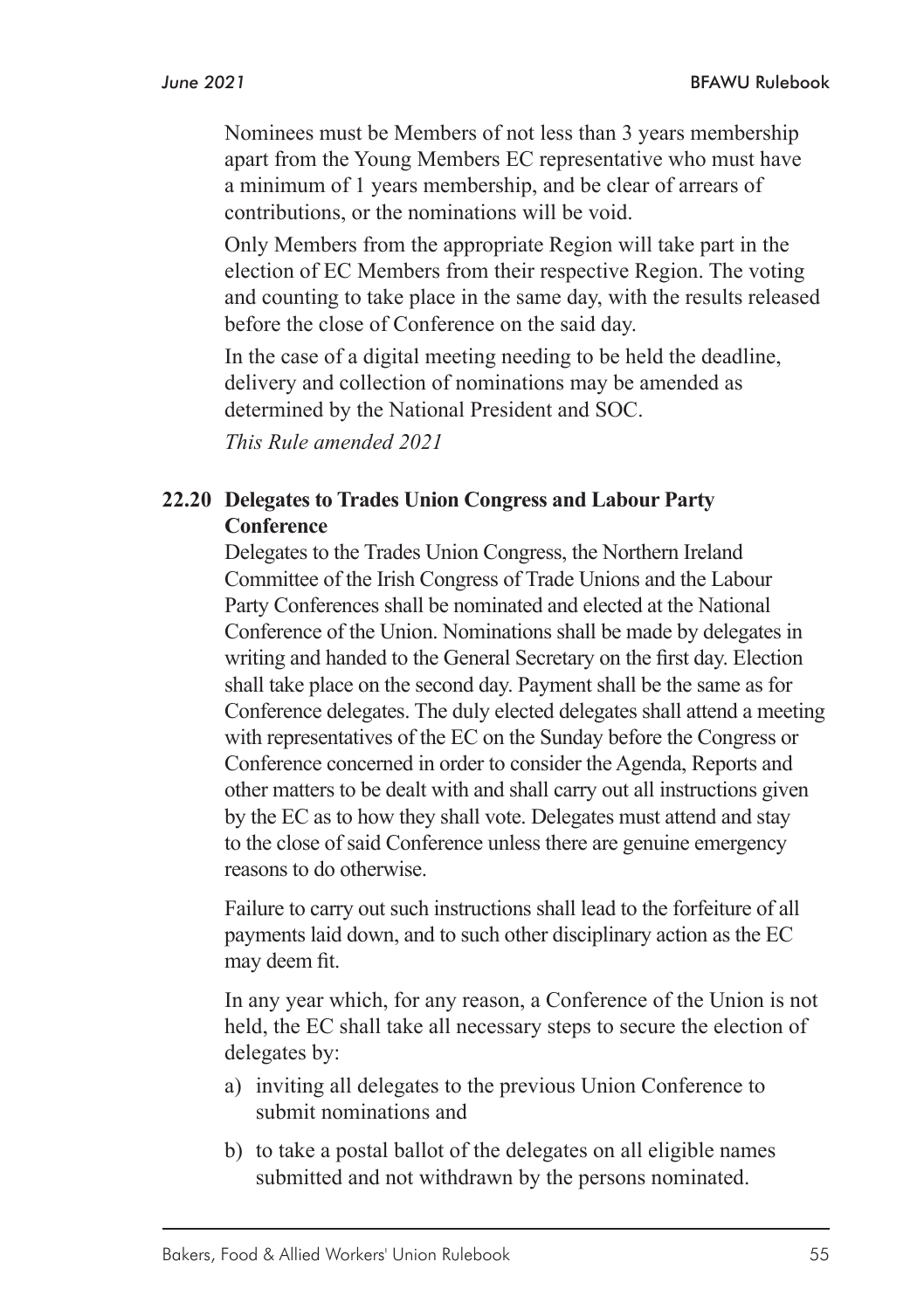Nominees must be Members of not less than 3 years membership apart from the Young Members EC representative who must have a minimum of 1 years membership, and be clear of arrears of contributions, or the nominations will be void.

Only Members from the appropriate Region will take part in the election of EC Members from their respective Region. The voting and counting to take place in the same day, with the results released before the close of Conference on the said day.

In the case of a digital meeting needing to be held the deadline, delivery and collection of nominations may be amended as determined by the National President and SOC.

*This Rule amended 2021*

#### **22.20 Delegates to Trades Union Congress and Labour Party Conference**

Delegates to the Trades Union Congress, the Northern Ireland Committee of the Irish Congress of Trade Unions and the Labour Party Conferences shall be nominated and elected at the National Conference of the Union. Nominations shall be made by delegates in writing and handed to the General Secretary on the first day. Election shall take place on the second day. Payment shall be the same as for Conference delegates. The duly elected delegates shall attend a meeting with representatives of the EC on the Sunday before the Congress or Conference concerned in order to consider the Agenda, Reports and other matters to be dealt with and shall carry out all instructions given by the EC as to how they shall vote. Delegates must attend and stay to the close of said Conference unless there are genuine emergency reasons to do otherwise.

Failure to carry out such instructions shall lead to the forfeiture of all payments laid down, and to such other disciplinary action as the EC may deem fit.

In any year which, for any reason, a Conference of the Union is not held, the EC shall take all necessary steps to secure the election of delegates by:

- a) inviting all delegates to the previous Union Conference to submit nominations and
- b) to take a postal ballot of the delegates on all eligible names submitted and not withdrawn by the persons nominated.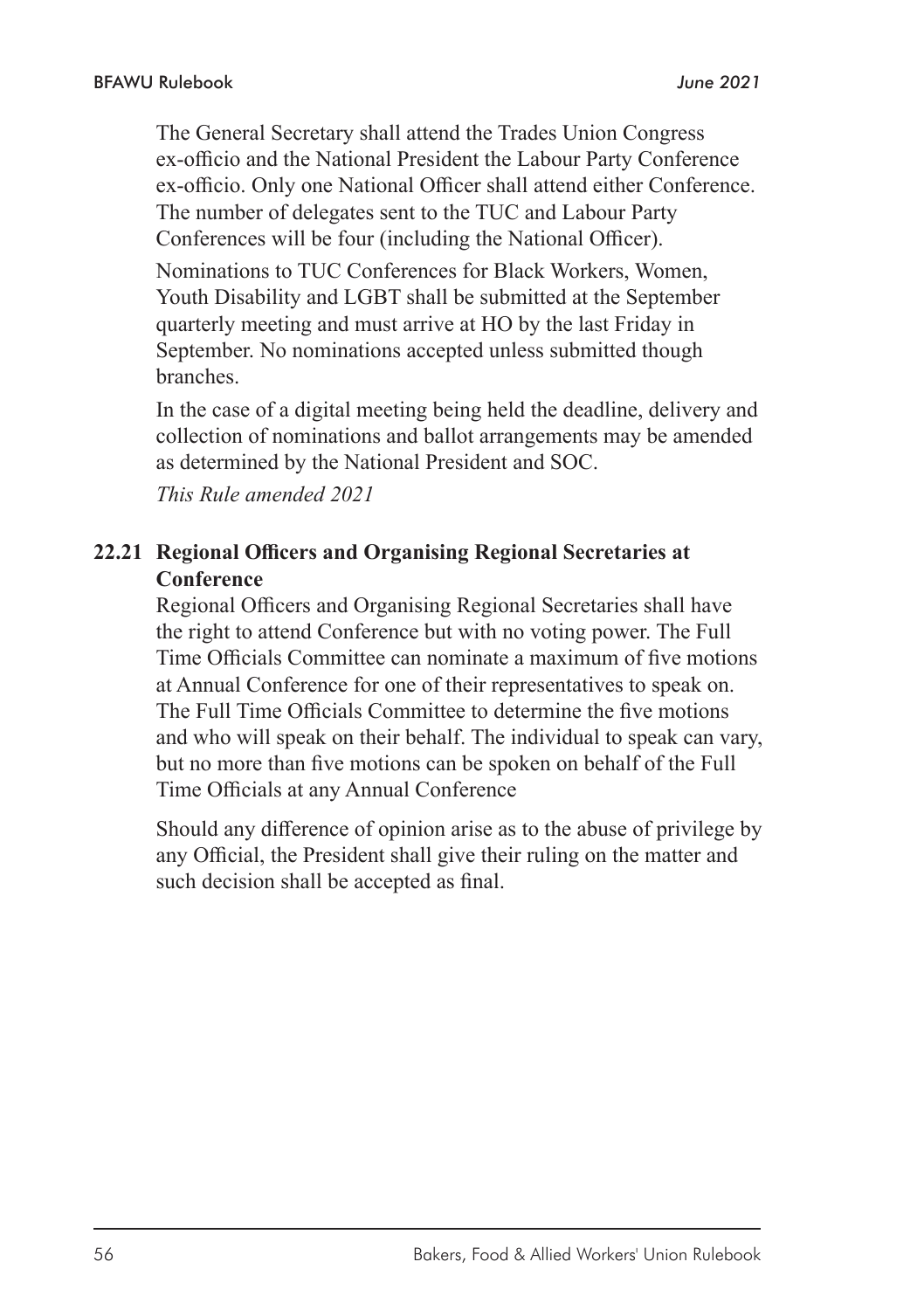The General Secretary shall attend the Trades Union Congress ex-officio and the National President the Labour Party Conference ex-officio. Only one National Officer shall attend either Conference. The number of delegates sent to the TUC and Labour Party Conferences will be four (including the National Officer).

Nominations to TUC Conferences for Black Workers, Women, Youth Disability and LGBT shall be submitted at the September quarterly meeting and must arrive at HO by the last Friday in September. No nominations accepted unless submitted though branches.

In the case of a digital meeting being held the deadline, delivery and collection of nominations and ballot arrangements may be amended as determined by the National President and SOC.

*This Rule amended 2021*

#### **22.21 Regional Officers and Organising Regional Secretaries at Conference**

Regional Officers and Organising Regional Secretaries shall have the right to attend Conference but with no voting power. The Full Time Officials Committee can nominate a maximum of five motions at Annual Conference for one of their representatives to speak on. The Full Time Officials Committee to determine the five motions and who will speak on their behalf. The individual to speak can vary, but no more than five motions can be spoken on behalf of the Full Time Officials at any Annual Conference

Should any difference of opinion arise as to the abuse of privilege by any Official, the President shall give their ruling on the matter and such decision shall be accepted as final.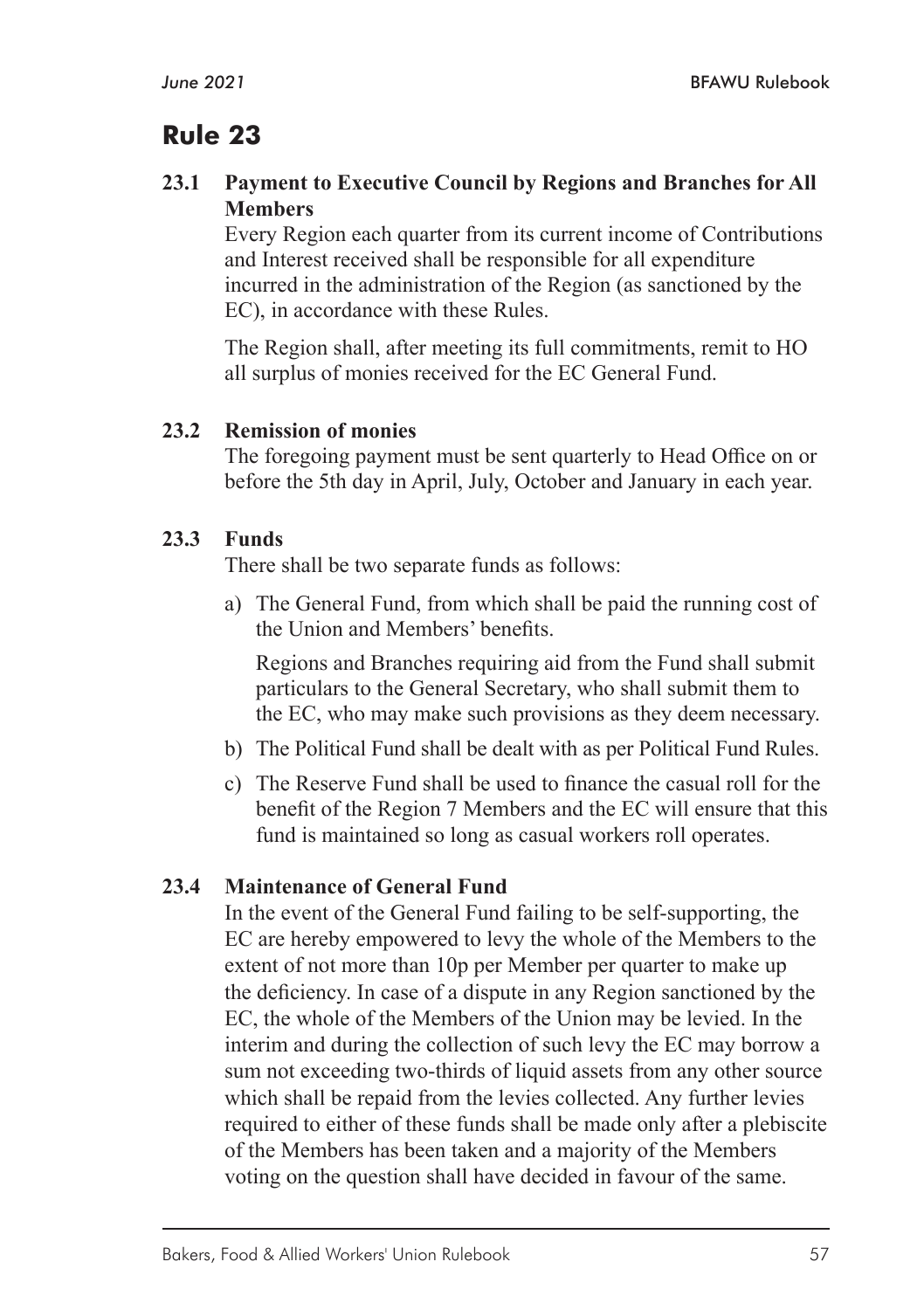#### **23.1 Payment to Executive Council by Regions and Branches for All Members**

Every Region each quarter from its current income of Contributions and Interest received shall be responsible for all expenditure incurred in the administration of the Region (as sanctioned by the EC), in accordance with these Rules.

The Region shall, after meeting its full commitments, remit to HO all surplus of monies received for the EC General Fund.

#### **23.2 Remission of monies**

The foregoing payment must be sent quarterly to Head Office on or before the 5th day in April, July, October and January in each year.

#### **23.3 Funds**

There shall be two separate funds as follows:

a) The General Fund, from which shall be paid the running cost of the Union and Members' benefits.

Regions and Branches requiring aid from the Fund shall submit particulars to the General Secretary, who shall submit them to the EC, who may make such provisions as they deem necessary.

- b) The Political Fund shall be dealt with as per Political Fund Rules.
- c) The Reserve Fund shall be used to finance the casual roll for the benefit of the Region 7 Members and the EC will ensure that this fund is maintained so long as casual workers roll operates.

#### **23.4 Maintenance of General Fund**

In the event of the General Fund failing to be self-supporting, the EC are hereby empowered to levy the whole of the Members to the extent of not more than 10p per Member per quarter to make up the deficiency. In case of a dispute in any Region sanctioned by the EC, the whole of the Members of the Union may be levied. In the interim and during the collection of such levy the EC may borrow a sum not exceeding two-thirds of liquid assets from any other source which shall be repaid from the levies collected. Any further levies required to either of these funds shall be made only after a plebiscite of the Members has been taken and a majority of the Members voting on the question shall have decided in favour of the same.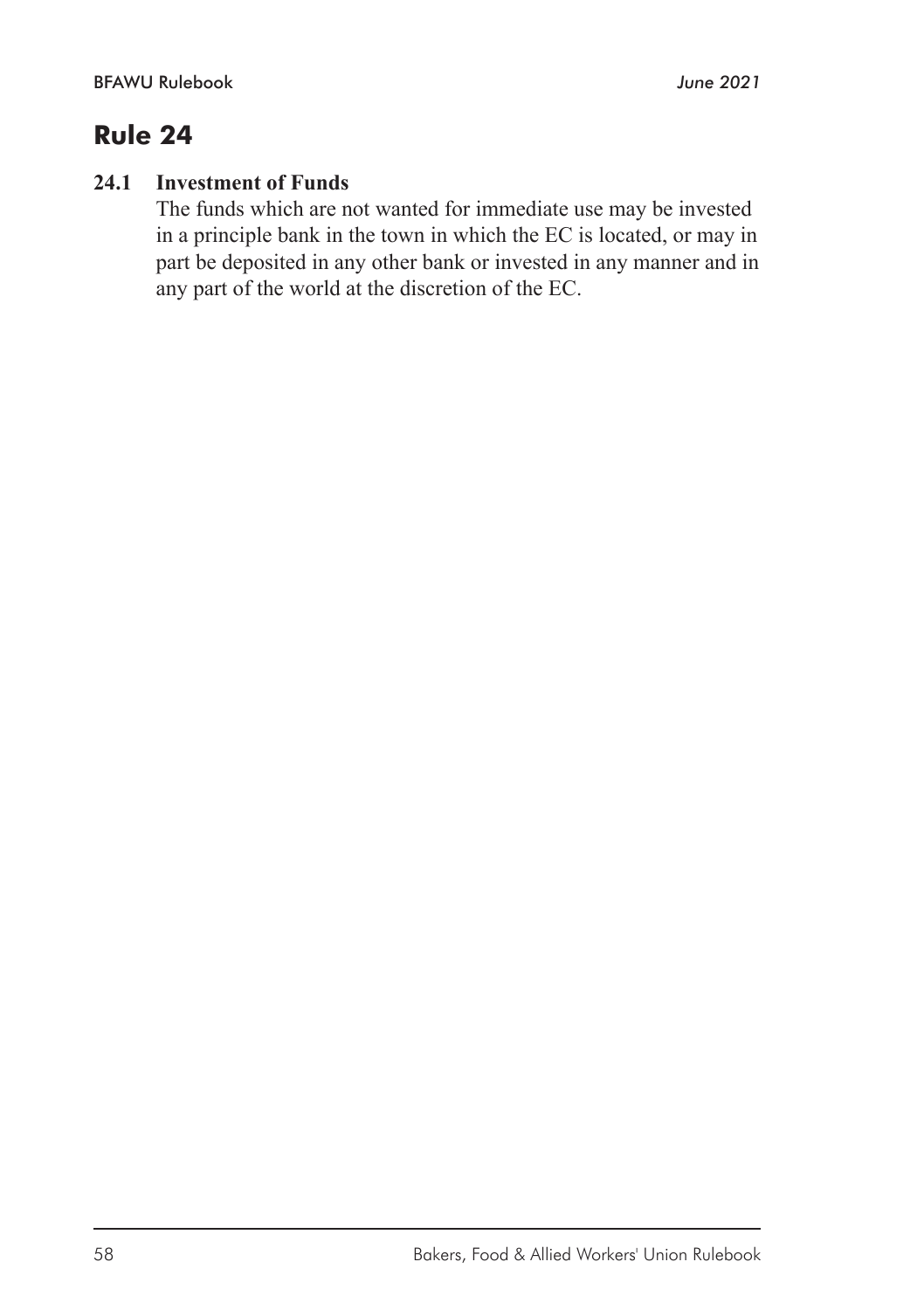## **24.1 Investment of Funds**

The funds which are not wanted for immediate use may be invested in a principle bank in the town in which the EC is located, or may in part be deposited in any other bank or invested in any manner and in any part of the world at the discretion of the EC.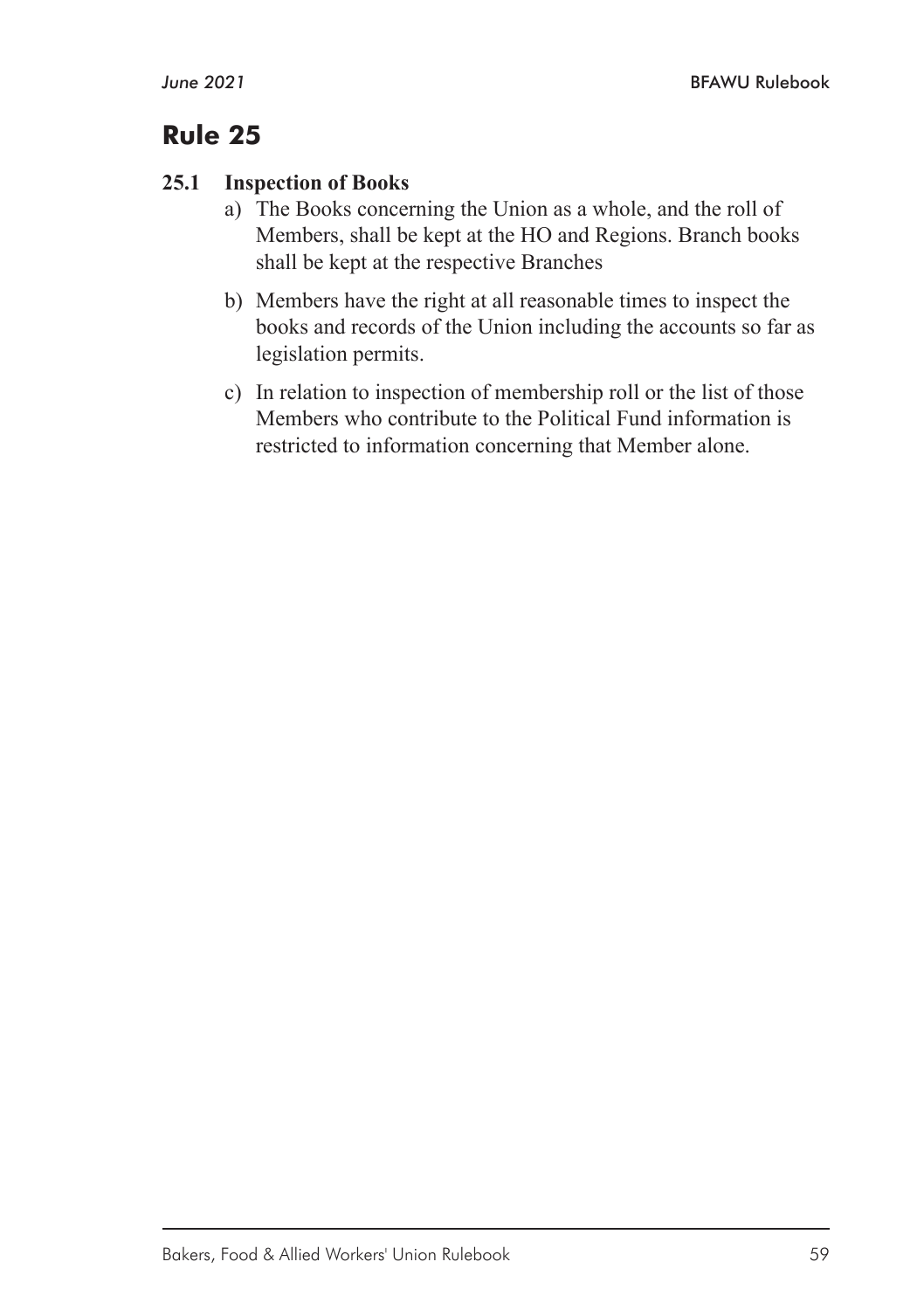#### **25.1 Inspection of Books**

- a) The Books concerning the Union as a whole, and the roll of Members, shall be kept at the HO and Regions. Branch books shall be kept at the respective Branches
- b) Members have the right at all reasonable times to inspect the books and records of the Union including the accounts so far as legislation permits.
- c) In relation to inspection of membership roll or the list of those Members who contribute to the Political Fund information is restricted to information concerning that Member alone.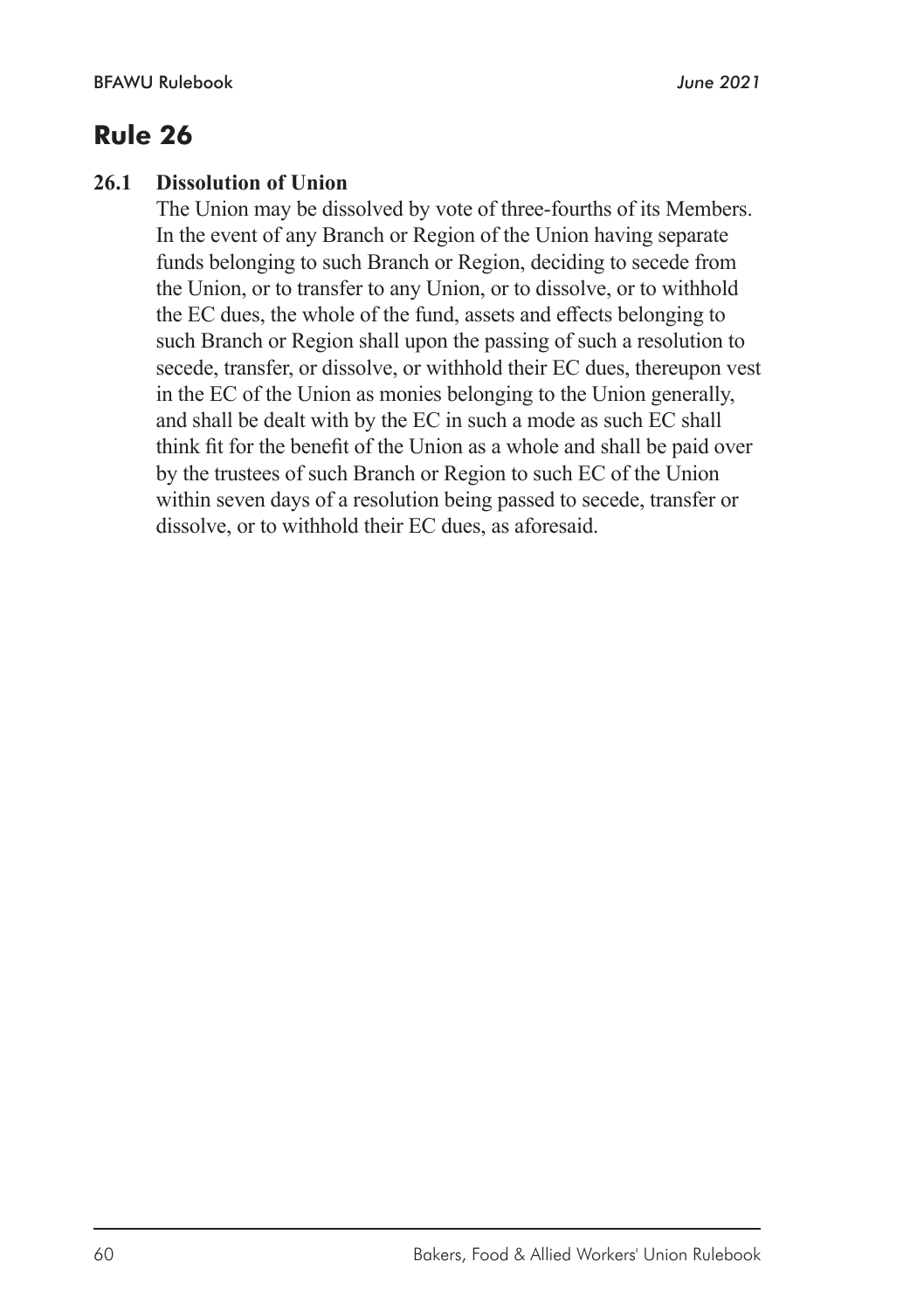#### **26.1 Dissolution of Union**

The Union may be dissolved by vote of three-fourths of its Members. In the event of any Branch or Region of the Union having separate funds belonging to such Branch or Region, deciding to secede from the Union, or to transfer to any Union, or to dissolve, or to withhold the EC dues, the whole of the fund, assets and effects belonging to such Branch or Region shall upon the passing of such a resolution to secede, transfer, or dissolve, or withhold their EC dues, thereupon vest in the EC of the Union as monies belonging to the Union generally, and shall be dealt with by the EC in such a mode as such EC shall think fit for the benefit of the Union as a whole and shall be paid over by the trustees of such Branch or Region to such EC of the Union within seven days of a resolution being passed to secede, transfer or dissolve, or to withhold their EC dues, as aforesaid.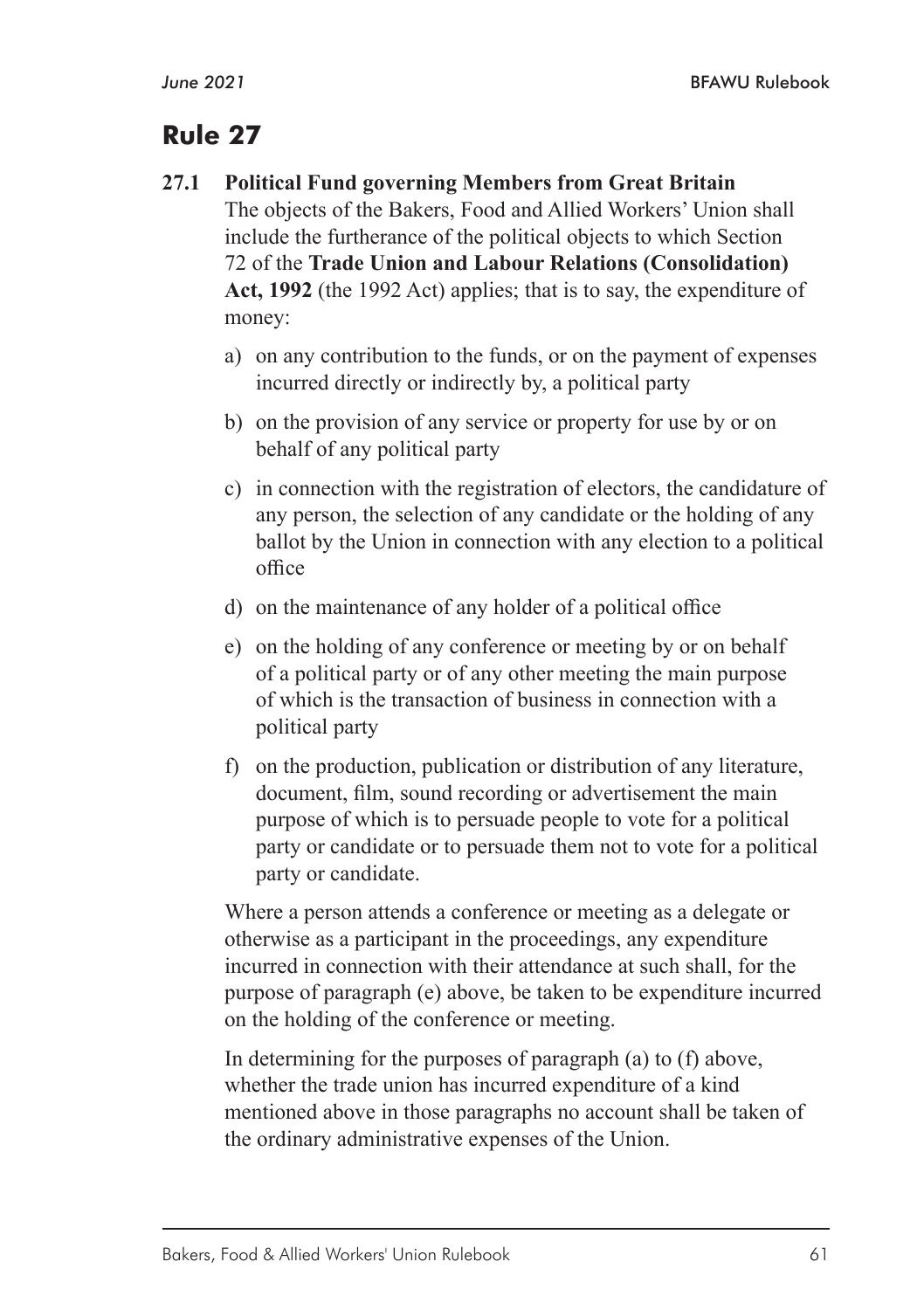#### **27.1 Political Fund governing Members from Great Britain**

The objects of the Bakers, Food and Allied Workers' Union shall include the furtherance of the political objects to which Section 72 of the **Trade Union and Labour Relations (Consolidation) Act, 1992** (the 1992 Act) applies; that is to say, the expenditure of money:

- a) on any contribution to the funds, or on the payment of expenses incurred directly or indirectly by, a political party
- b) on the provision of any service or property for use by or on behalf of any political party
- c) in connection with the registration of electors, the candidature of any person, the selection of any candidate or the holding of any ballot by the Union in connection with any election to a political office
- d) on the maintenance of any holder of a political office
- e) on the holding of any conference or meeting by or on behalf of a political party or of any other meeting the main purpose of which is the transaction of business in connection with a political party
- f) on the production, publication or distribution of any literature, document, film, sound recording or advertisement the main purpose of which is to persuade people to vote for a political party or candidate or to persuade them not to vote for a political party or candidate.

Where a person attends a conference or meeting as a delegate or otherwise as a participant in the proceedings, any expenditure incurred in connection with their attendance at such shall, for the purpose of paragraph (e) above, be taken to be expenditure incurred on the holding of the conference or meeting.

In determining for the purposes of paragraph (a) to (f) above, whether the trade union has incurred expenditure of a kind mentioned above in those paragraphs no account shall be taken of the ordinary administrative expenses of the Union.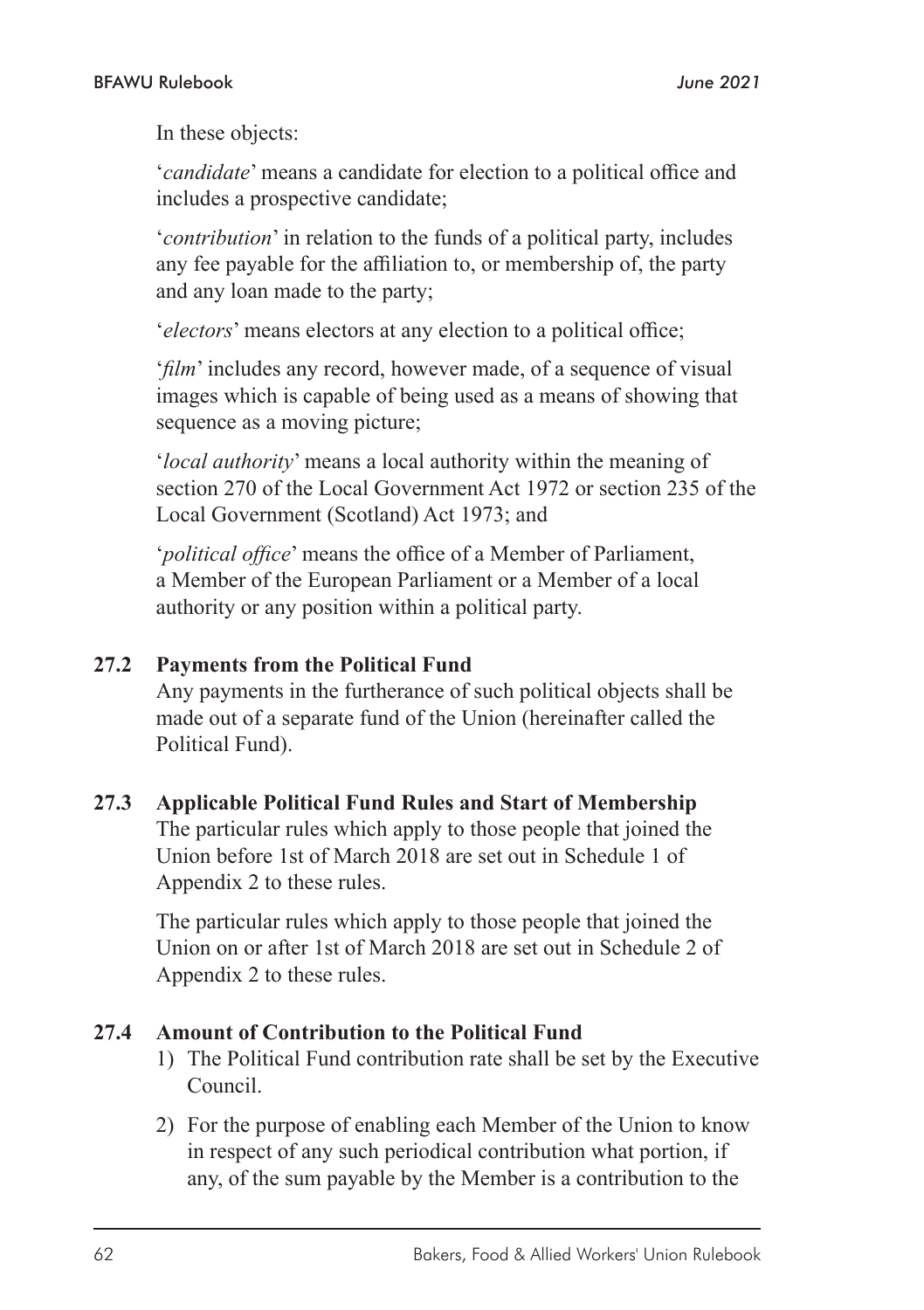In these objects:

'*candidate*' means a candidate for election to a political office and includes a prospective candidate;

'*contribution*' in relation to the funds of a political party, includes any fee payable for the affiliation to, or membership of, the party and any loan made to the party;

'*electors*' means electors at any election to a political office;

'*film*' includes any record, however made, of a sequence of visual images which is capable of being used as a means of showing that sequence as a moving picture;

'*local authority*' means a local authority within the meaning of section 270 of the Local Government Act 1972 or section 235 of the Local Government (Scotland) Act 1973; and

'*political office*' means the office of a Member of Parliament, a Member of the European Parliament or a Member of a local authority or any position within a political party.

#### **27.2 Payments from the Political Fund**

Any payments in the furtherance of such political objects shall be made out of a separate fund of the Union (hereinafter called the Political Fund).

#### **27.3 Applicable Political Fund Rules and Start of Membership**

The particular rules which apply to those people that joined the Union before 1st of March 2018 are set out in Schedule 1 of Appendix 2 to these rules.

The particular rules which apply to those people that joined the Union on or after 1st of March 2018 are set out in Schedule 2 of Appendix 2 to these rules.

#### **27.4 Amount of Contribution to the Political Fund**

- 1) The Political Fund contribution rate shall be set by the Executive Council.
- 2) For the purpose of enabling each Member of the Union to know in respect of any such periodical contribution what portion, if any, of the sum payable by the Member is a contribution to the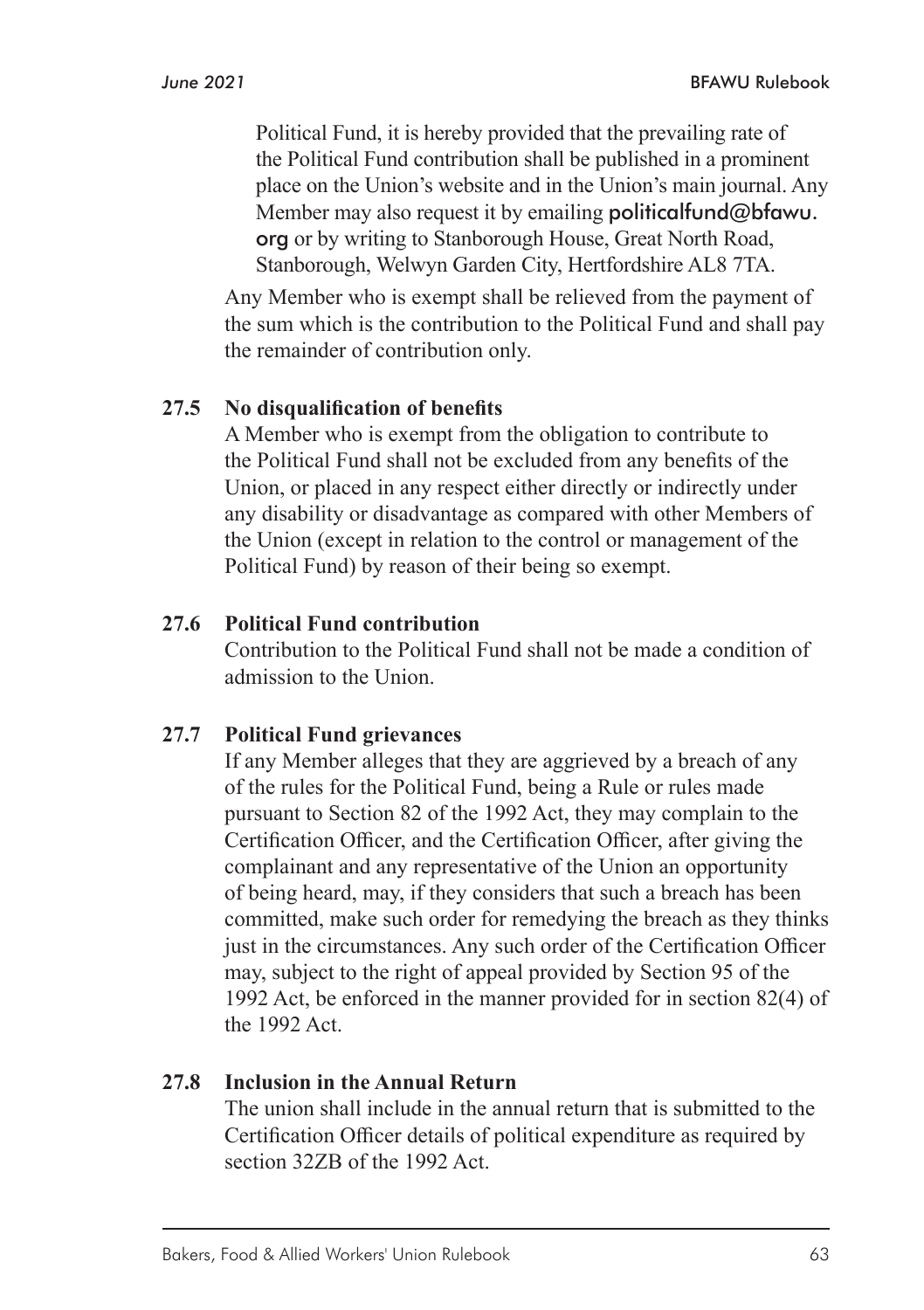Political Fund, it is hereby provided that the prevailing rate of the Political Fund contribution shall be published in a prominent place on the Union's website and in the Union's main journal. Any Member may also request it by emailing **politicalfund@bfawu**. org or by writing to Stanborough House, Great North Road, Stanborough, Welwyn Garden City, Hertfordshire AL8 7TA.

Any Member who is exempt shall be relieved from the payment of the sum which is the contribution to the Political Fund and shall pay the remainder of contribution only.

#### **27.5 No disqualification of benefits**

A Member who is exempt from the obligation to contribute to the Political Fund shall not be excluded from any benefits of the Union, or placed in any respect either directly or indirectly under any disability or disadvantage as compared with other Members of the Union (except in relation to the control or management of the Political Fund) by reason of their being so exempt.

#### **27.6 Political Fund contribution**

Contribution to the Political Fund shall not be made a condition of admission to the Union.

#### **27.7 Political Fund grievances**

If any Member alleges that they are aggrieved by a breach of any of the rules for the Political Fund, being a Rule or rules made pursuant to Section 82 of the 1992 Act, they may complain to the Certification Officer, and the Certification Officer, after giving the complainant and any representative of the Union an opportunity of being heard, may, if they considers that such a breach has been committed, make such order for remedying the breach as they thinks just in the circumstances. Any such order of the Certification Officer may, subject to the right of appeal provided by Section 95 of the 1992 Act, be enforced in the manner provided for in section 82(4) of the 1992 Act.

#### **27.8 Inclusion in the Annual Return**

The union shall include in the annual return that is submitted to the Certification Officer details of political expenditure as required by section 32ZB of the 1992 Act.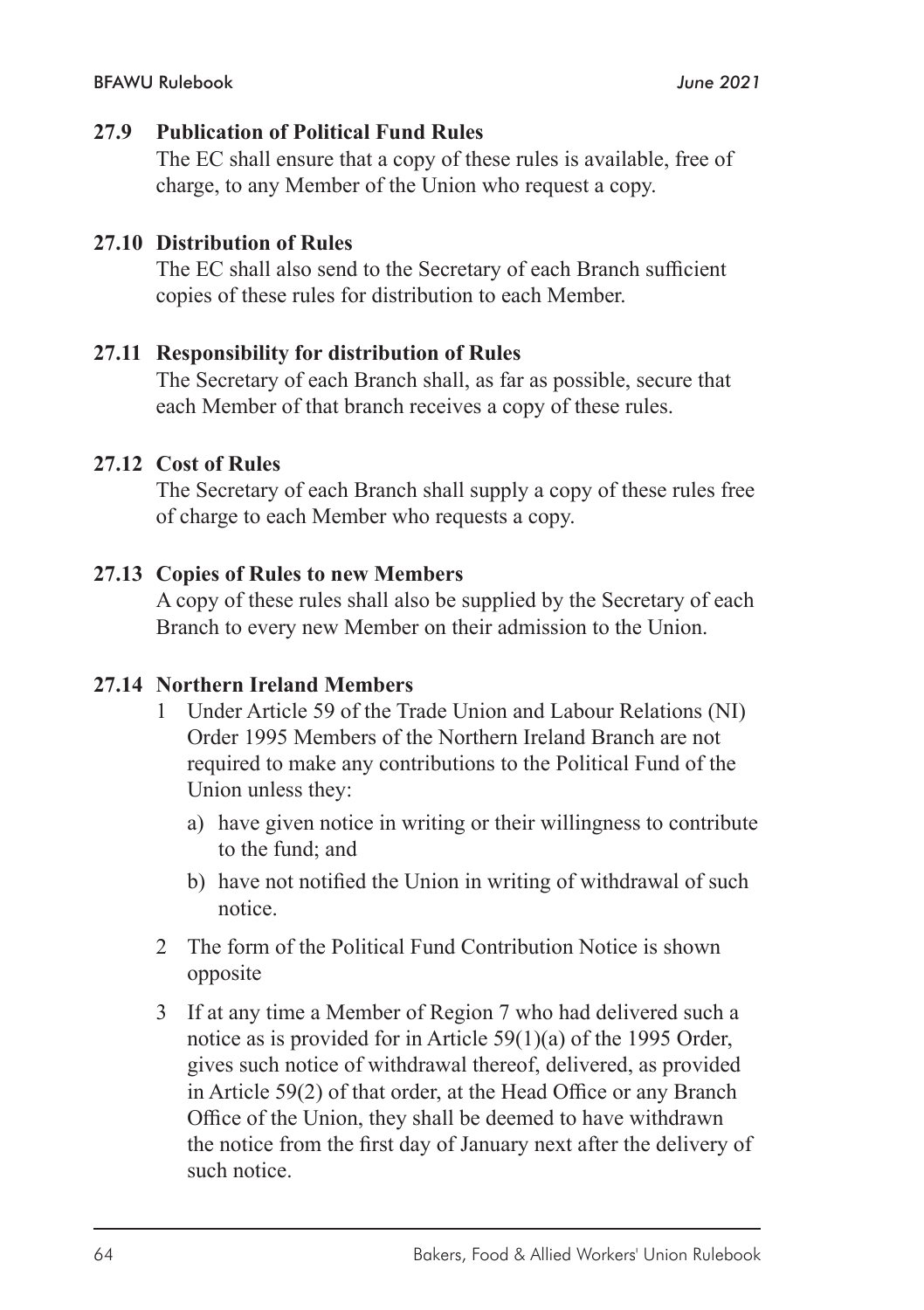#### **27.9 Publication of Political Fund Rules**

The EC shall ensure that a copy of these rules is available, free of charge, to any Member of the Union who request a copy.

#### **27.10 Distribution of Rules**

The EC shall also send to the Secretary of each Branch sufficient copies of these rules for distribution to each Member.

#### **27.11 Responsibility for distribution of Rules**

The Secretary of each Branch shall, as far as possible, secure that each Member of that branch receives a copy of these rules.

#### **27.12 Cost of Rules**

The Secretary of each Branch shall supply a copy of these rules free of charge to each Member who requests a copy.

#### **27.13 Copies of Rules to new Members**

A copy of these rules shall also be supplied by the Secretary of each Branch to every new Member on their admission to the Union.

#### **27.14 Northern Ireland Members**

- 1 Under Article 59 of the Trade Union and Labour Relations (NI) Order 1995 Members of the Northern Ireland Branch are not required to make any contributions to the Political Fund of the Union unless they:
	- a) have given notice in writing or their willingness to contribute to the fund; and
	- b) have not notified the Union in writing of withdrawal of such notice.
- 2 The form of the Political Fund Contribution Notice is shown opposite
- 3 If at any time a Member of Region 7 who had delivered such a notice as is provided for in Article 59(1)(a) of the 1995 Order, gives such notice of withdrawal thereof, delivered, as provided in Article 59(2) of that order, at the Head Office or any Branch Office of the Union, they shall be deemed to have withdrawn the notice from the first day of January next after the delivery of such notice.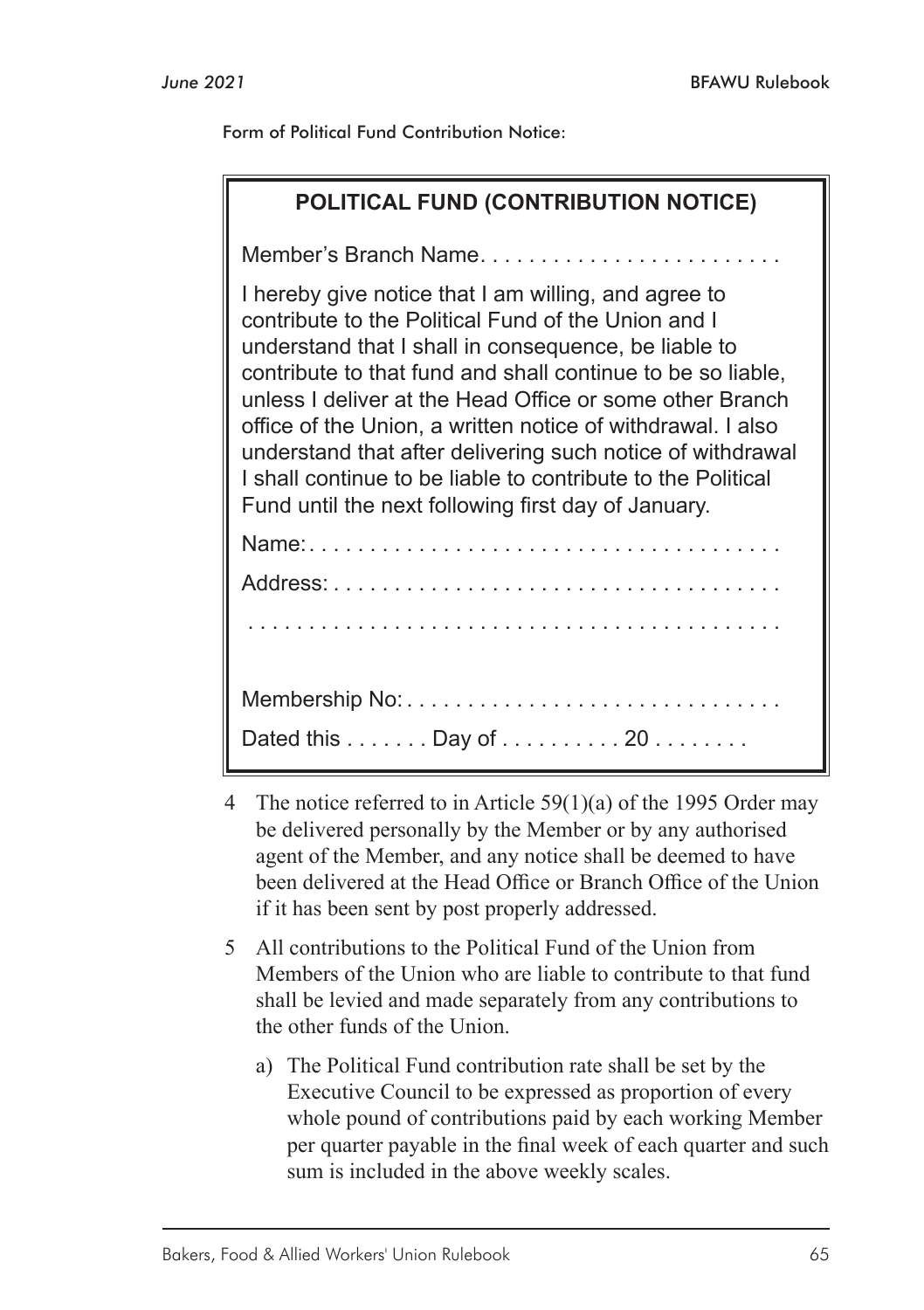Form of Political Fund Contribution Notice:

| POLITICAL FUND (CONTRIBUTION NOTICE)                                                                                                                                                                                                                                                                                                                                                                                                                                                                                                               |  |
|----------------------------------------------------------------------------------------------------------------------------------------------------------------------------------------------------------------------------------------------------------------------------------------------------------------------------------------------------------------------------------------------------------------------------------------------------------------------------------------------------------------------------------------------------|--|
| Member's Branch Name                                                                                                                                                                                                                                                                                                                                                                                                                                                                                                                               |  |
| I hereby give notice that I am willing, and agree to<br>contribute to the Political Fund of the Union and I<br>understand that I shall in consequence, be liable to<br>contribute to that fund and shall continue to be so liable,<br>unless I deliver at the Head Office or some other Branch<br>office of the Union, a written notice of withdrawal. I also<br>understand that after delivering such notice of withdrawal<br>I shall continue to be liable to contribute to the Political<br>Fund until the next following first day of January. |  |
|                                                                                                                                                                                                                                                                                                                                                                                                                                                                                                                                                    |  |
|                                                                                                                                                                                                                                                                                                                                                                                                                                                                                                                                                    |  |
|                                                                                                                                                                                                                                                                                                                                                                                                                                                                                                                                                    |  |
|                                                                                                                                                                                                                                                                                                                                                                                                                                                                                                                                                    |  |
| Dated this Day of 20                                                                                                                                                                                                                                                                                                                                                                                                                                                                                                                               |  |

- 4 The notice referred to in Article 59(1)(a) of the 1995 Order may be delivered personally by the Member or by any authorised agent of the Member, and any notice shall be deemed to have been delivered at the Head Office or Branch Office of the Union if it has been sent by post properly addressed.
- 5 All contributions to the Political Fund of the Union from Members of the Union who are liable to contribute to that fund shall be levied and made separately from any contributions to the other funds of the Union.
	- a) The Political Fund contribution rate shall be set by the Executive Council to be expressed as proportion of every whole pound of contributions paid by each working Member per quarter payable in the final week of each quarter and such sum is included in the above weekly scales.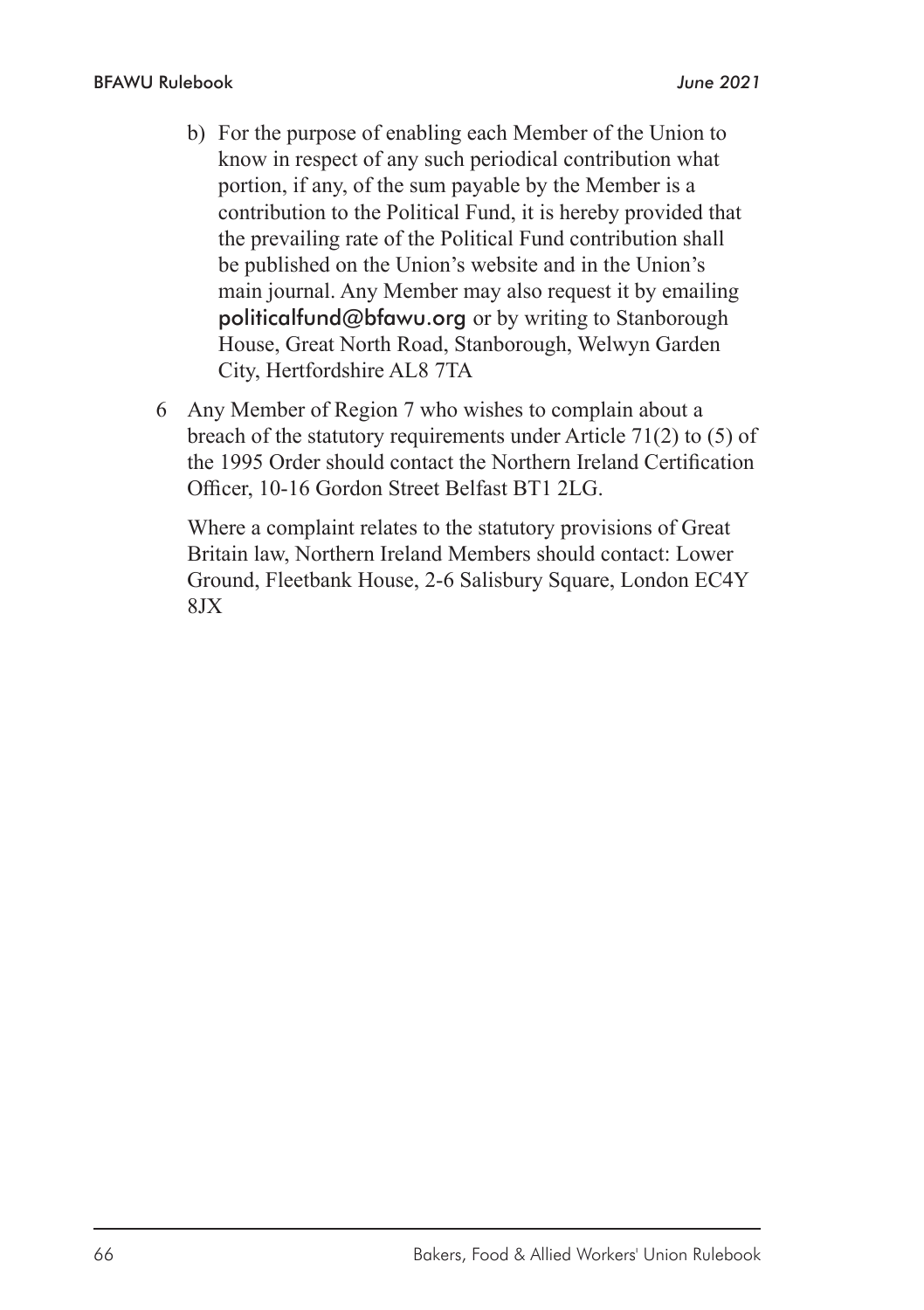- b) For the purpose of enabling each Member of the Union to know in respect of any such periodical contribution what portion, if any, of the sum payable by the Member is a contribution to the Political Fund, it is hereby provided that the prevailing rate of the Political Fund contribution shall be published on the Union's website and in the Union's main journal. Any Member may also request it by emailing politicalfund@bfawu.org or by writing to Stanborough House, Great North Road, Stanborough, Welwyn Garden City, Hertfordshire AL8 7TA
- 6 Any Member of Region 7 who wishes to complain about a breach of the statutory requirements under Article 71(2) to (5) of the 1995 Order should contact the Northern Ireland Certification Officer, 10-16 Gordon Street Belfast BT1 2LG.

Where a complaint relates to the statutory provisions of Great Britain law, Northern Ireland Members should contact: Lower Ground, Fleetbank House, 2-6 Salisbury Square, London EC4Y 8JX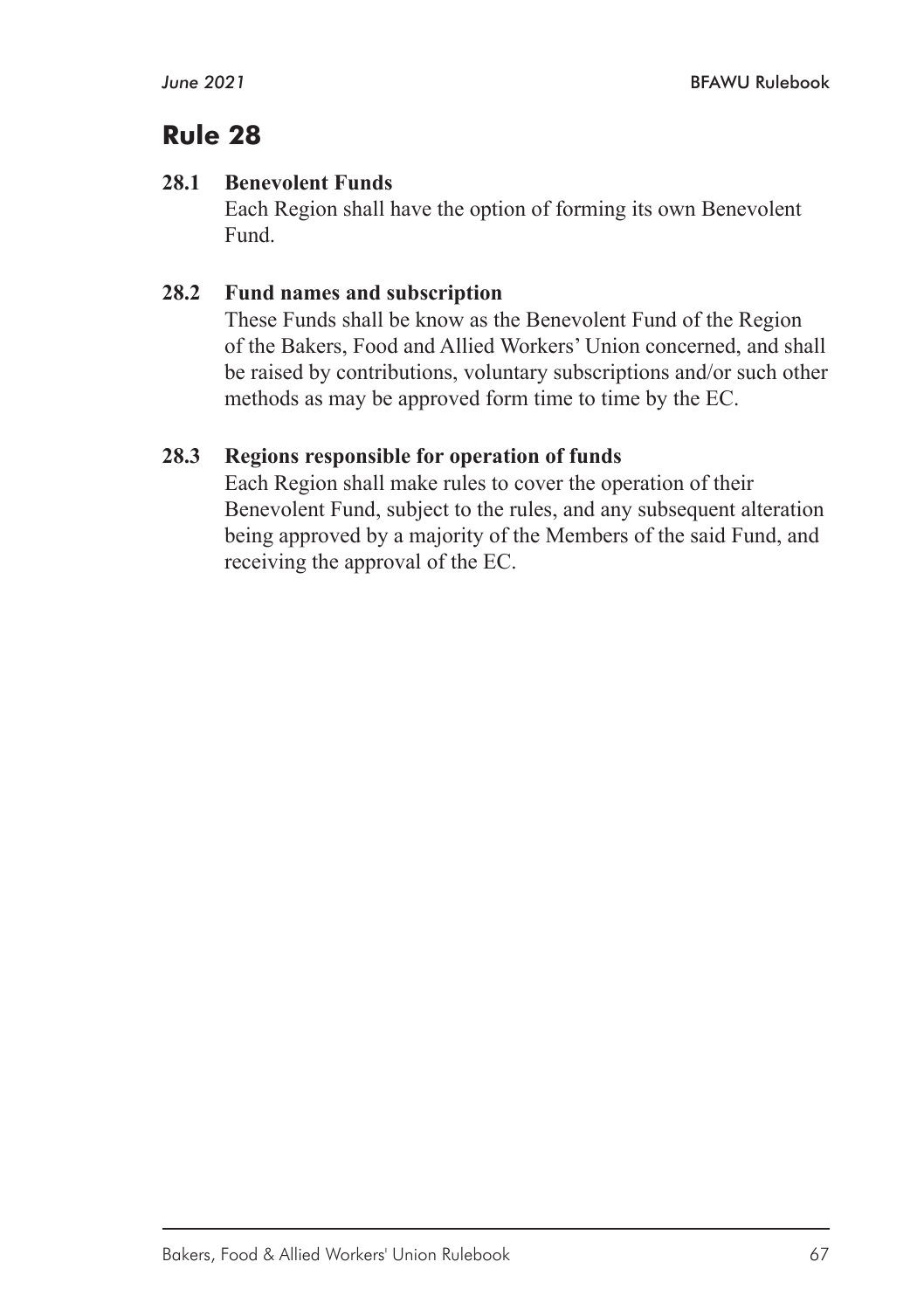#### **28.1 Benevolent Funds**

Each Region shall have the option of forming its own Benevolent Fund.

## **28.2 Fund names and subscription**

These Funds shall be know as the Benevolent Fund of the Region of the Bakers, Food and Allied Workers' Union concerned, and shall be raised by contributions, voluntary subscriptions and/or such other methods as may be approved form time to time by the EC.

## **28.3 Regions responsible for operation of funds**

Each Region shall make rules to cover the operation of their Benevolent Fund, subject to the rules, and any subsequent alteration being approved by a majority of the Members of the said Fund, and receiving the approval of the EC.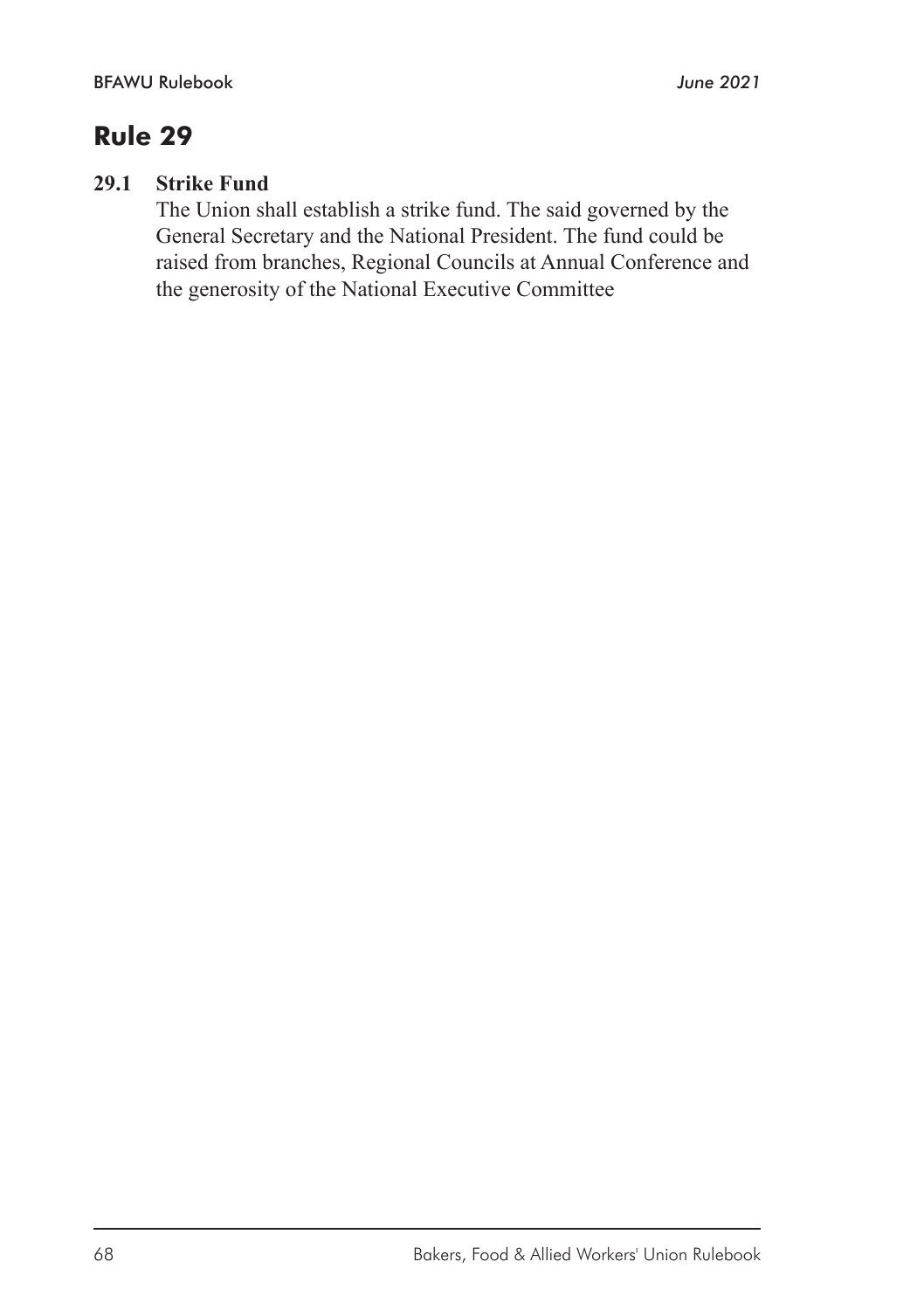#### **29.1 Strike Fund**

The Union shall establish a strike fund. The said governed by the General Secretary and the National President. The fund could be raised from branches, Regional Councils at Annual Conference and the generosity of the National Executive Committee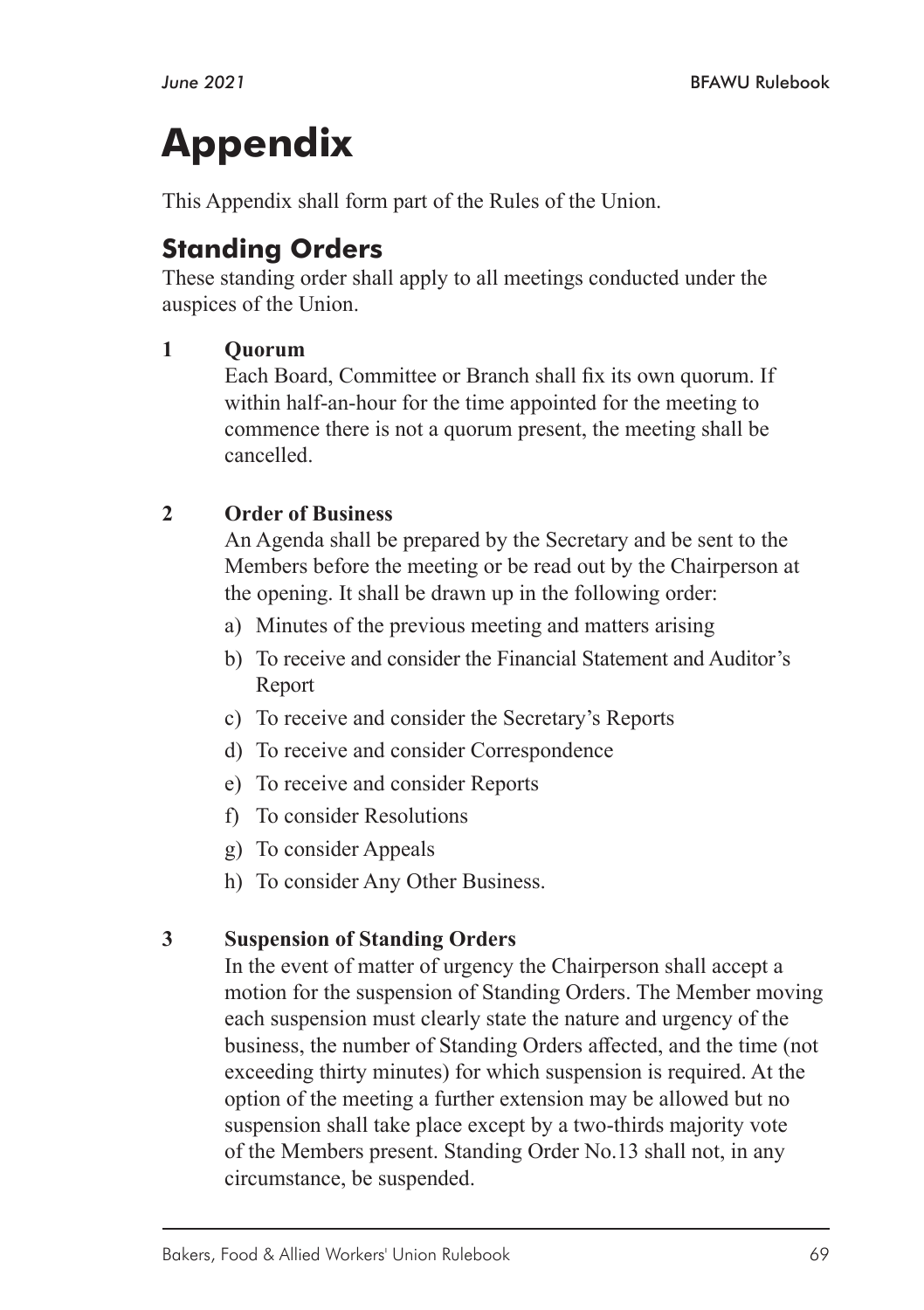# **Appendix**

This Appendix shall form part of the Rules of the Union.

# **Standing Orders**

These standing order shall apply to all meetings conducted under the auspices of the Union.

## **1 Quorum**

Each Board, Committee or Branch shall fix its own quorum. If within half-an-hour for the time appointed for the meeting to commence there is not a quorum present, the meeting shall be cancelled.

## **2 Order of Business**

An Agenda shall be prepared by the Secretary and be sent to the Members before the meeting or be read out by the Chairperson at the opening. It shall be drawn up in the following order:

- a) Minutes of the previous meeting and matters arising
- b) To receive and consider the Financial Statement and Auditor's Report
- c) To receive and consider the Secretary's Reports
- d) To receive and consider Correspondence
- e) To receive and consider Reports
- f) To consider Resolutions
- g) To consider Appeals
- h) To consider Any Other Business.

## **3 Suspension of Standing Orders**

In the event of matter of urgency the Chairperson shall accept a motion for the suspension of Standing Orders. The Member moving each suspension must clearly state the nature and urgency of the business, the number of Standing Orders affected, and the time (not exceeding thirty minutes) for which suspension is required. At the option of the meeting a further extension may be allowed but no suspension shall take place except by a two-thirds majority vote of the Members present. Standing Order No.13 shall not, in any circumstance, be suspended.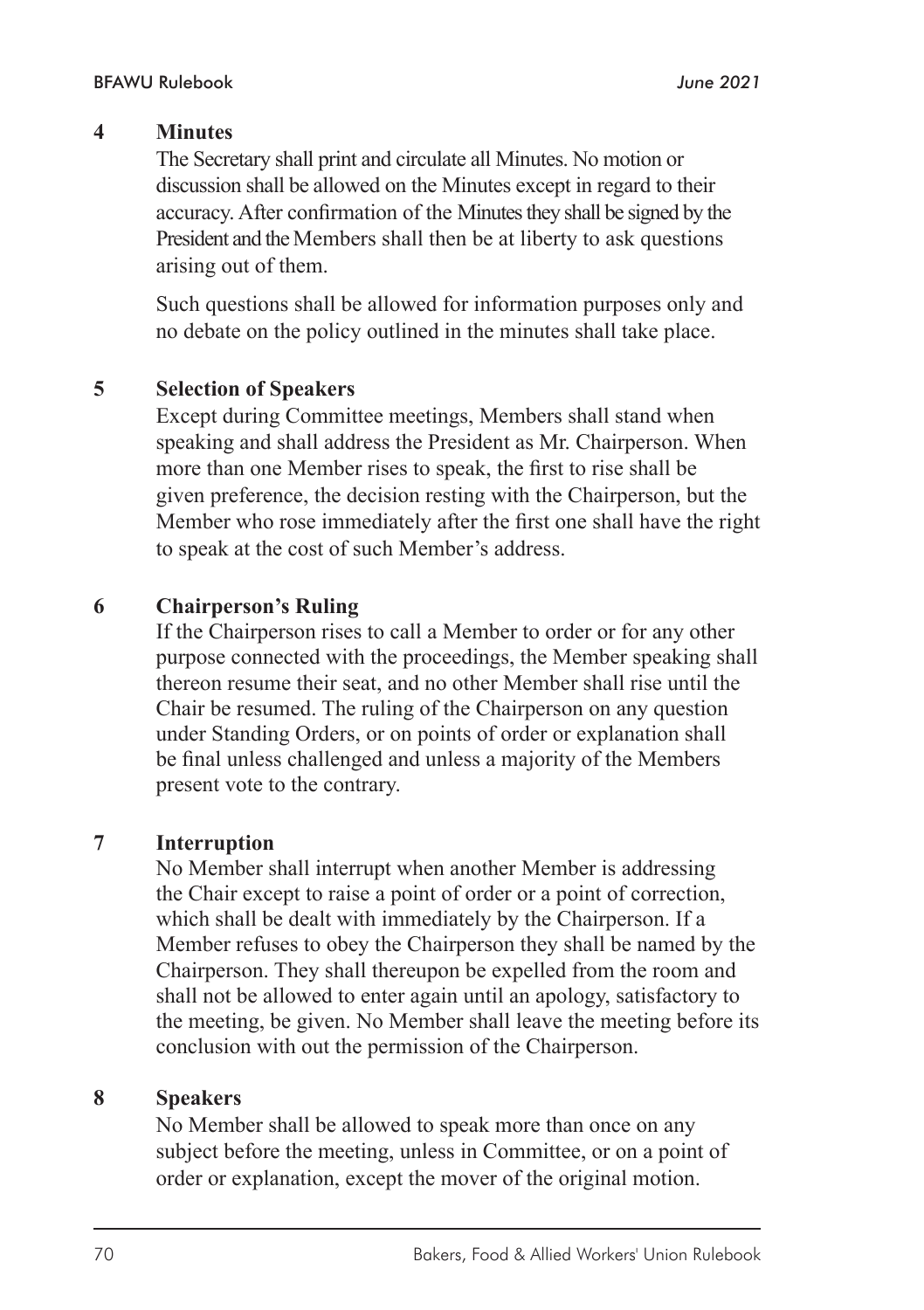#### **4 Minutes**

The Secretary shall print and circulate all Minutes. No motion or discussion shall be allowed on the Minutes except in regard to their accuracy. After confirmation of the Minutes they shall be signed by the President and the Members shall then be at liberty to ask questions arising out of them.

Such questions shall be allowed for information purposes only and no debate on the policy outlined in the minutes shall take place.

#### **5 Selection of Speakers**

Except during Committee meetings, Members shall stand when speaking and shall address the President as Mr. Chairperson. When more than one Member rises to speak, the first to rise shall be given preference, the decision resting with the Chairperson, but the Member who rose immediately after the first one shall have the right to speak at the cost of such Member's address.

#### **6 Chairperson's Ruling**

If the Chairperson rises to call a Member to order or for any other purpose connected with the proceedings, the Member speaking shall thereon resume their seat, and no other Member shall rise until the Chair be resumed. The ruling of the Chairperson on any question under Standing Orders, or on points of order or explanation shall be final unless challenged and unless a majority of the Members present vote to the contrary.

#### **7 Interruption**

No Member shall interrupt when another Member is addressing the Chair except to raise a point of order or a point of correction, which shall be dealt with immediately by the Chairperson. If a Member refuses to obey the Chairperson they shall be named by the Chairperson. They shall thereupon be expelled from the room and shall not be allowed to enter again until an apology, satisfactory to the meeting, be given. No Member shall leave the meeting before its conclusion with out the permission of the Chairperson.

#### **8 Speakers**

No Member shall be allowed to speak more than once on any subject before the meeting, unless in Committee, or on a point of order or explanation, except the mover of the original motion.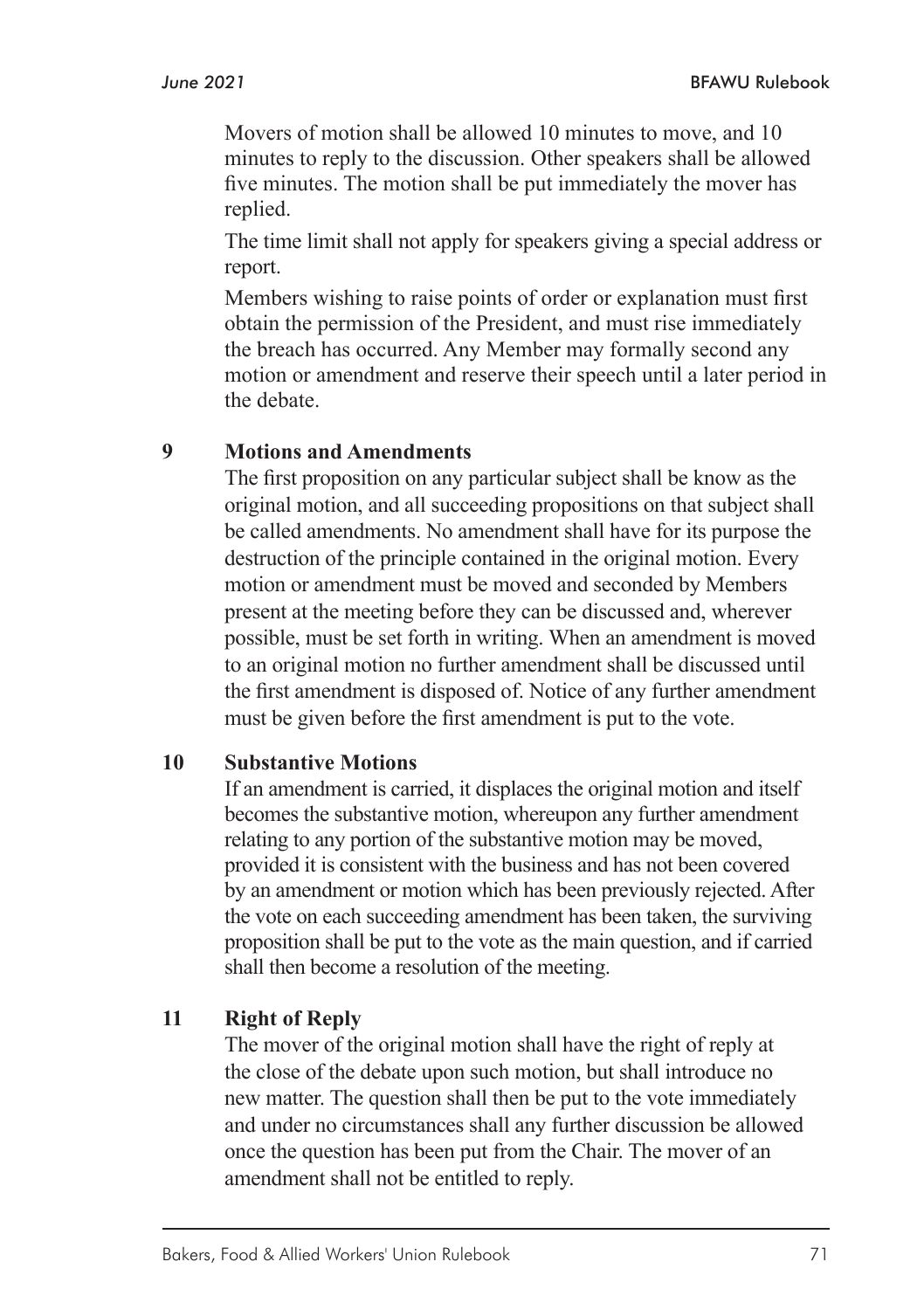Movers of motion shall be allowed 10 minutes to move, and 10 minutes to reply to the discussion. Other speakers shall be allowed five minutes. The motion shall be put immediately the mover has replied.

The time limit shall not apply for speakers giving a special address or report.

Members wishing to raise points of order or explanation must first obtain the permission of the President, and must rise immediately the breach has occurred. Any Member may formally second any motion or amendment and reserve their speech until a later period in the debate.

#### **9 Motions and Amendments**

The first proposition on any particular subject shall be know as the original motion, and all succeeding propositions on that subject shall be called amendments. No amendment shall have for its purpose the destruction of the principle contained in the original motion. Every motion or amendment must be moved and seconded by Members present at the meeting before they can be discussed and, wherever possible, must be set forth in writing. When an amendment is moved to an original motion no further amendment shall be discussed until the first amendment is disposed of. Notice of any further amendment must be given before the first amendment is put to the vote.

#### **10 Substantive Motions**

If an amendment is carried, it displaces the original motion and itself becomes the substantive motion, whereupon any further amendment relating to any portion of the substantive motion may be moved, provided it is consistent with the business and has not been covered by an amendment or motion which has been previously rejected. After the vote on each succeeding amendment has been taken, the surviving proposition shall be put to the vote as the main question, and if carried shall then become a resolution of the meeting.

#### **11 Right of Reply**

The mover of the original motion shall have the right of reply at the close of the debate upon such motion, but shall introduce no new matter. The question shall then be put to the vote immediately and under no circumstances shall any further discussion be allowed once the question has been put from the Chair. The mover of an amendment shall not be entitled to reply.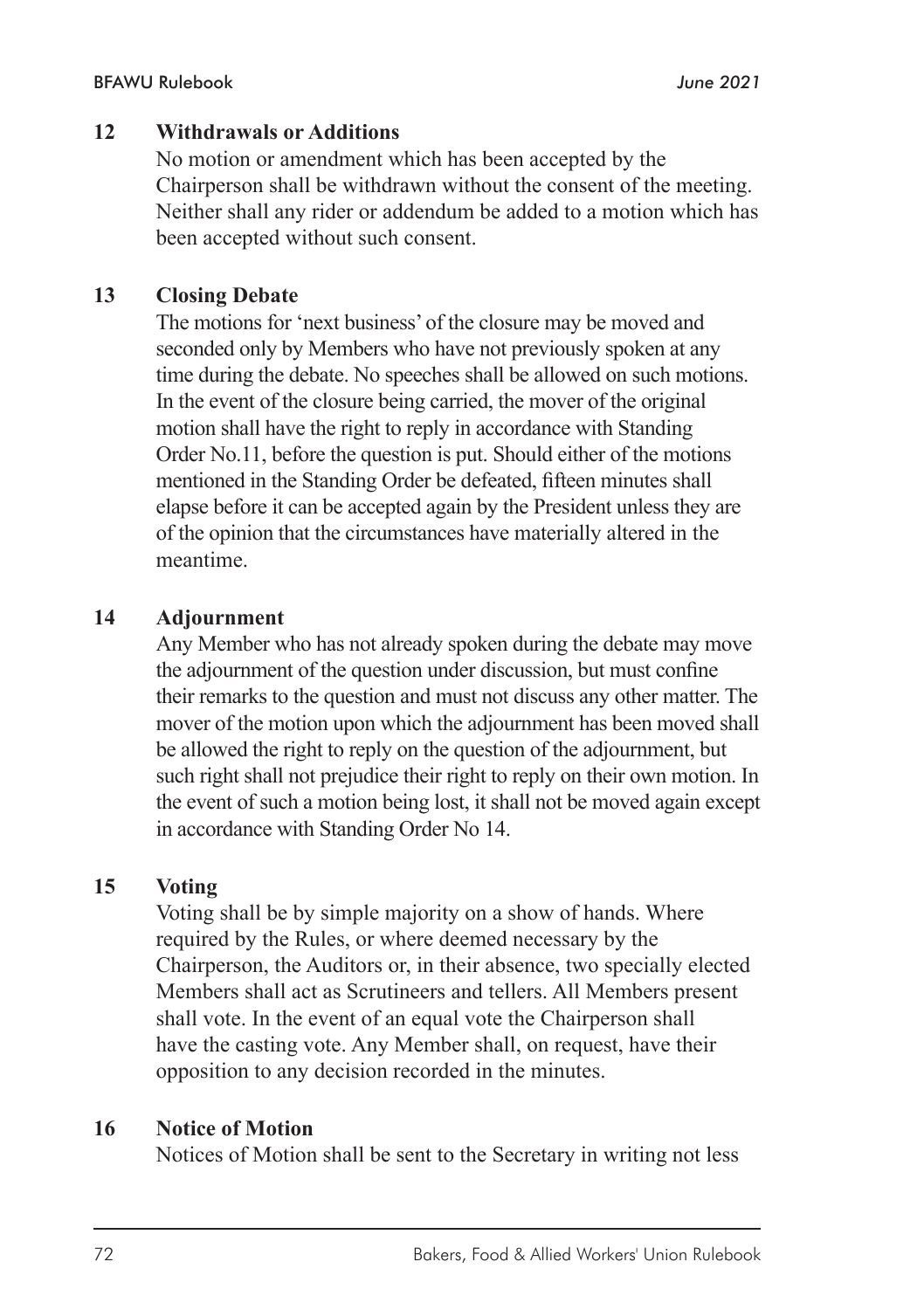#### **12 Withdrawals or Additions**

No motion or amendment which has been accepted by the Chairperson shall be withdrawn without the consent of the meeting. Neither shall any rider or addendum be added to a motion which has been accepted without such consent.

#### **13 Closing Debate**

The motions for 'next business' of the closure may be moved and seconded only by Members who have not previously spoken at any time during the debate. No speeches shall be allowed on such motions. In the event of the closure being carried, the mover of the original motion shall have the right to reply in accordance with Standing Order No.11, before the question is put. Should either of the motions mentioned in the Standing Order be defeated, fifteen minutes shall elapse before it can be accepted again by the President unless they are of the opinion that the circumstances have materially altered in the meantime.

#### **14 Adjournment**

Any Member who has not already spoken during the debate may move the adjournment of the question under discussion, but must confine their remarks to the question and must not discuss any other matter. The mover of the motion upon which the adjournment has been moved shall be allowed the right to reply on the question of the adjournment, but such right shall not prejudice their right to reply on their own motion. In the event of such a motion being lost, it shall not be moved again except in accordance with Standing Order No 14.

#### **15 Voting**

Voting shall be by simple majority on a show of hands. Where required by the Rules, or where deemed necessary by the Chairperson, the Auditors or, in their absence, two specially elected Members shall act as Scrutineers and tellers. All Members present shall vote. In the event of an equal vote the Chairperson shall have the casting vote. Any Member shall, on request, have their opposition to any decision recorded in the minutes.

#### **16 Notice of Motion**

Notices of Motion shall be sent to the Secretary in writing not less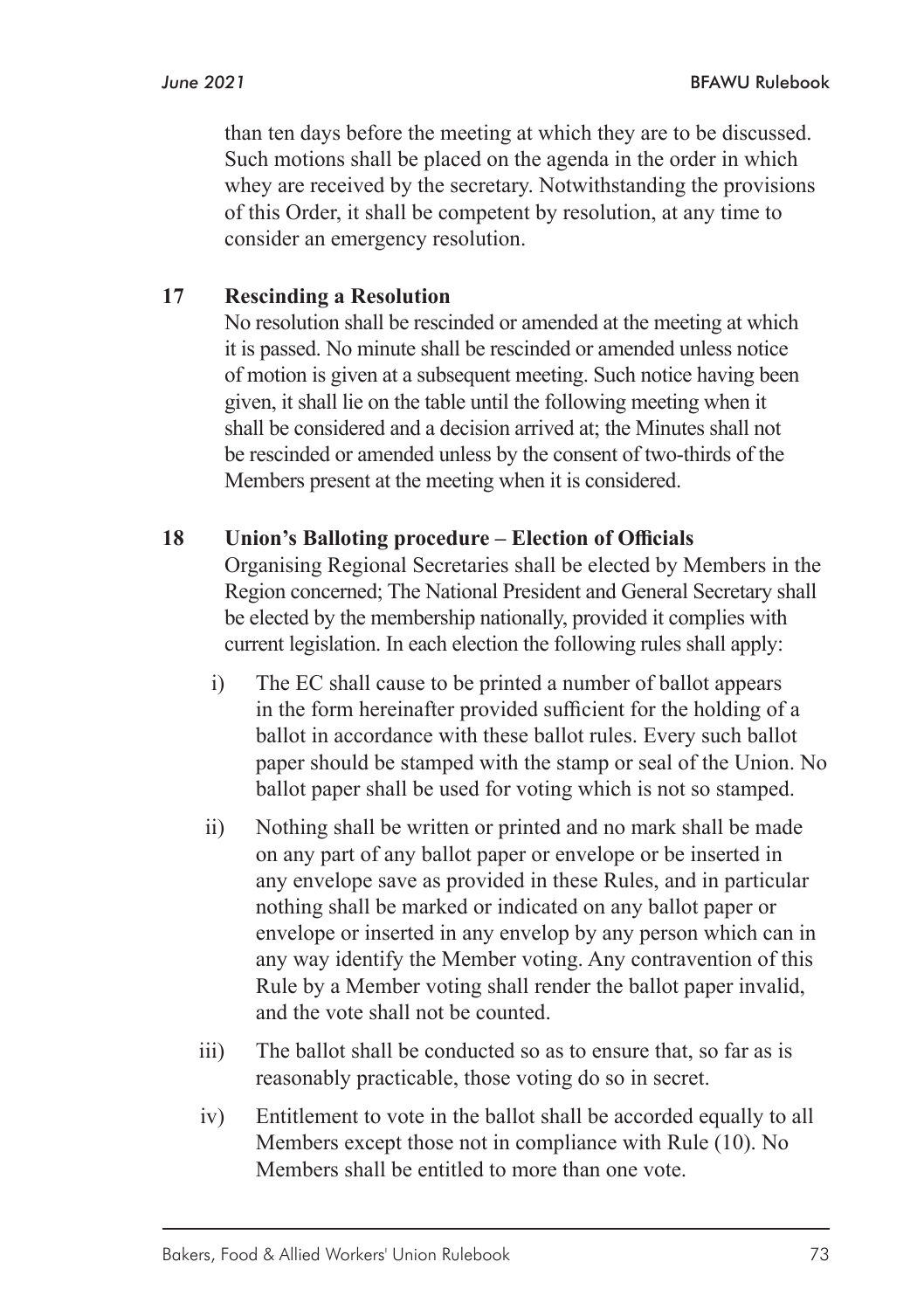than ten days before the meeting at which they are to be discussed. Such motions shall be placed on the agenda in the order in which whey are received by the secretary. Notwithstanding the provisions of this Order, it shall be competent by resolution, at any time to consider an emergency resolution.

#### **17 Rescinding a Resolution**

No resolution shall be rescinded or amended at the meeting at which it is passed. No minute shall be rescinded or amended unless notice of motion is given at a subsequent meeting. Such notice having been given, it shall lie on the table until the following meeting when it shall be considered and a decision arrived at; the Minutes shall not be rescinded or amended unless by the consent of two-thirds of the Members present at the meeting when it is considered.

#### **18 Union's Balloting procedure – Election of Officials**

Organising Regional Secretaries shall be elected by Members in the Region concerned; The National President and General Secretary shall be elected by the membership nationally, provided it complies with current legislation. In each election the following rules shall apply:

- i) The EC shall cause to be printed a number of ballot appears in the form hereinafter provided sufficient for the holding of a ballot in accordance with these ballot rules. Every such ballot paper should be stamped with the stamp or seal of the Union. No ballot paper shall be used for voting which is not so stamped.
- ii) Nothing shall be written or printed and no mark shall be made on any part of any ballot paper or envelope or be inserted in any envelope save as provided in these Rules, and in particular nothing shall be marked or indicated on any ballot paper or envelope or inserted in any envelop by any person which can in any way identify the Member voting. Any contravention of this Rule by a Member voting shall render the ballot paper invalid, and the vote shall not be counted.
- iii) The ballot shall be conducted so as to ensure that, so far as is reasonably practicable, those voting do so in secret.
- iv) Entitlement to vote in the ballot shall be accorded equally to all Members except those not in compliance with Rule (10). No Members shall be entitled to more than one vote.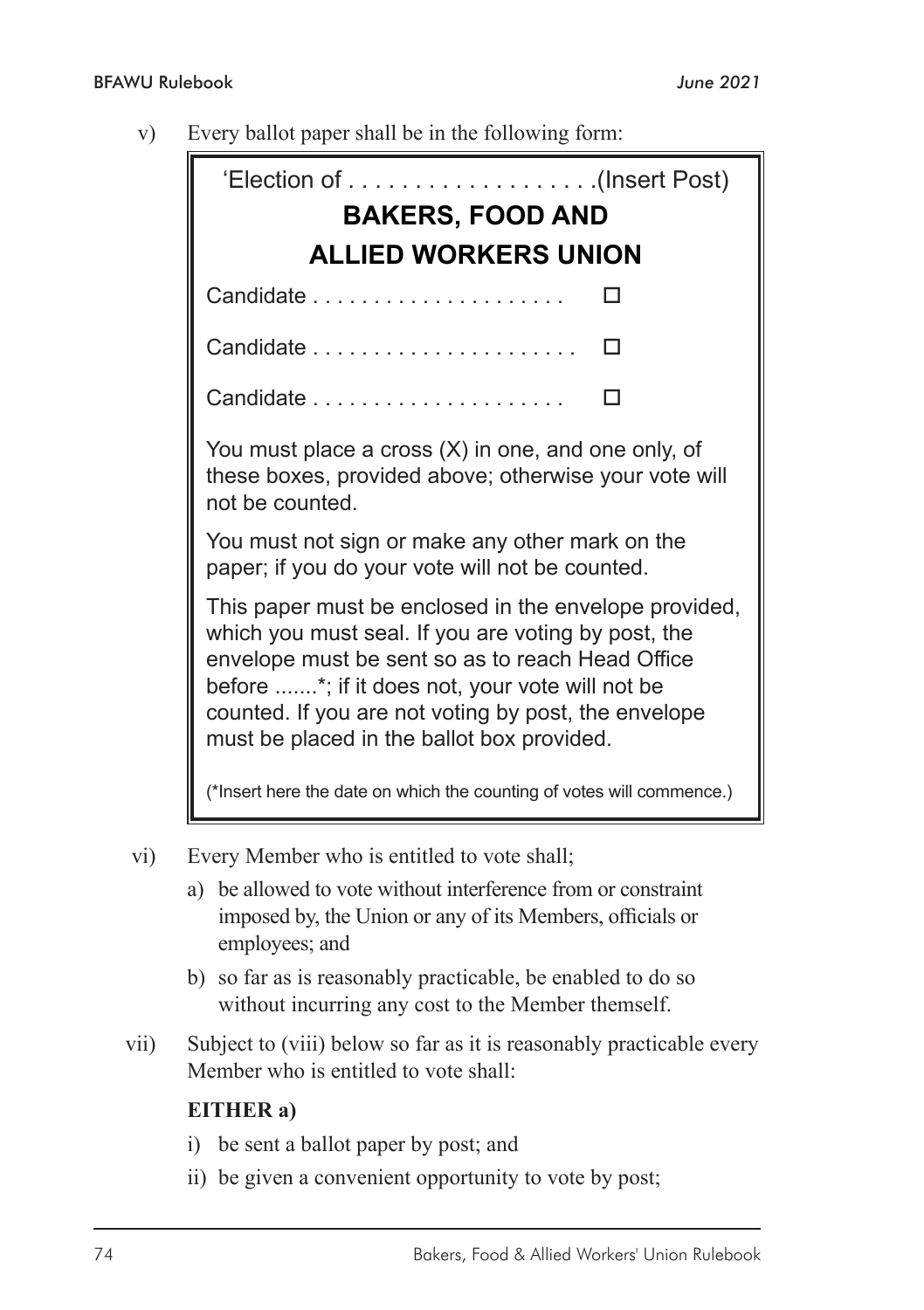v) Every ballot paper shall be in the following form:

| <b>BAKERS, FOOD AND</b>     |                                                                                                                                                                                                                                                                                                                           |  |   |  |  |  |
|-----------------------------|---------------------------------------------------------------------------------------------------------------------------------------------------------------------------------------------------------------------------------------------------------------------------------------------------------------------------|--|---|--|--|--|
| <b>ALLIED WORKERS UNION</b> |                                                                                                                                                                                                                                                                                                                           |  |   |  |  |  |
|                             |                                                                                                                                                                                                                                                                                                                           |  |   |  |  |  |
|                             |                                                                                                                                                                                                                                                                                                                           |  | П |  |  |  |
|                             |                                                                                                                                                                                                                                                                                                                           |  |   |  |  |  |
|                             | You must place a cross (X) in one, and one only, of<br>these boxes, provided above; otherwise your vote will<br>not be counted.                                                                                                                                                                                           |  |   |  |  |  |
|                             | You must not sign or make any other mark on the<br>paper; if you do your vote will not be counted.                                                                                                                                                                                                                        |  |   |  |  |  |
|                             | This paper must be enclosed in the envelope provided,<br>which you must seal. If you are voting by post, the<br>envelope must be sent so as to reach Head Office<br>before *; if it does not, your vote will not be<br>counted. If you are not voting by post, the envelope<br>must be placed in the ballot box provided. |  |   |  |  |  |
|                             | (*Insert here the date on which the counting of votes will commence.)                                                                                                                                                                                                                                                     |  |   |  |  |  |

- vi) Every Member who is entitled to vote shall;
	- a) be allowed to vote without interference from or constraint imposed by, the Union or any of its Members, officials or employees; and
	- b) so far as is reasonably practicable, be enabled to do so without incurring any cost to the Member themself.
- vii) Subject to (viii) below so far as it is reasonably practicable every Member who is entitled to vote shall:

#### **EITHER a)**

- i) be sent a ballot paper by post; and
- ii) be given a convenient opportunity to vote by post;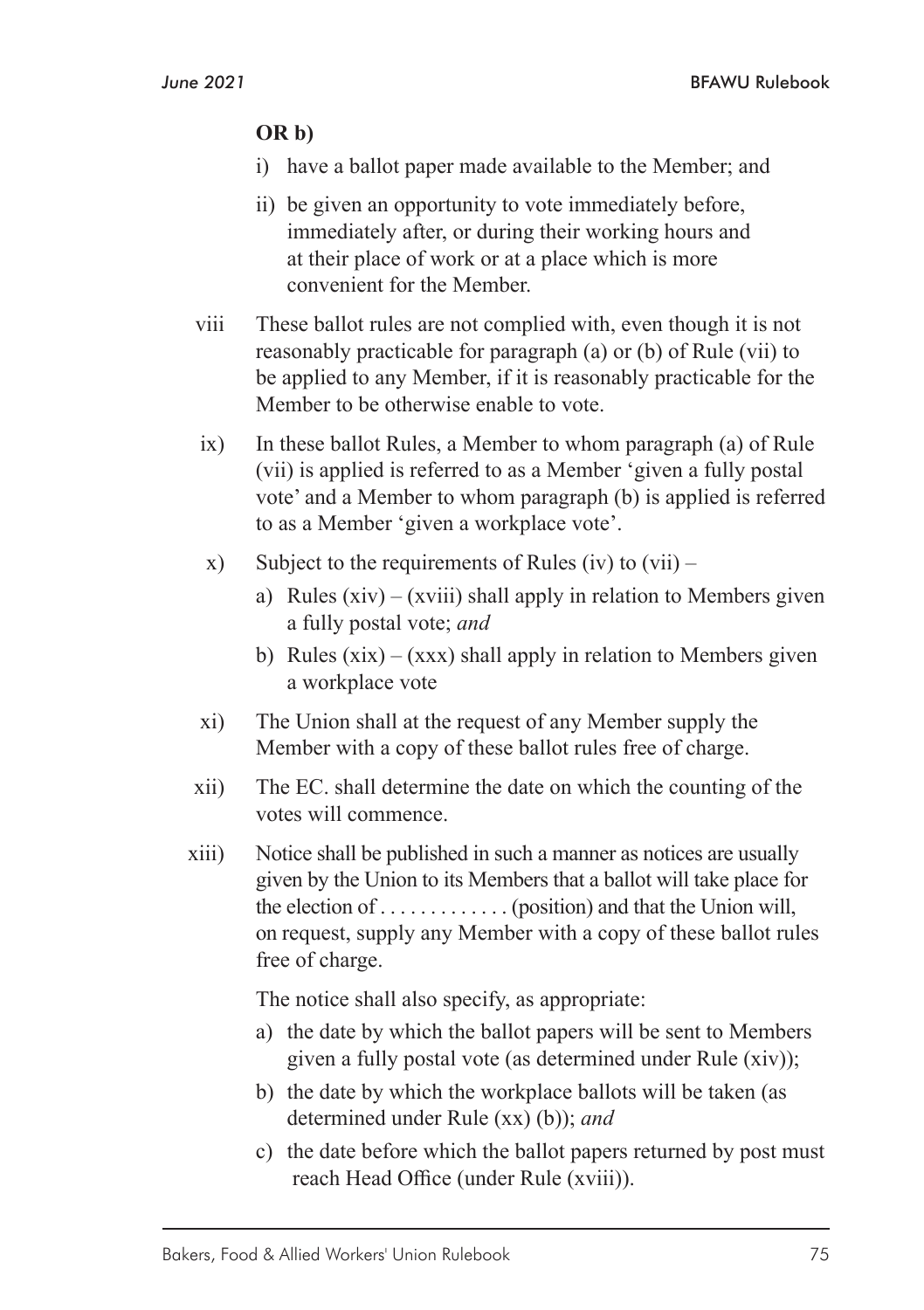#### **OR b)**

- i) have a ballot paper made available to the Member; and
- ii) be given an opportunity to vote immediately before, immediately after, or during their working hours and at their place of work or at a place which is more convenient for the Member.
- viii These ballot rules are not complied with, even though it is not reasonably practicable for paragraph (a) or (b) of Rule (vii) to be applied to any Member, if it is reasonably practicable for the Member to be otherwise enable to vote.
- ix) In these ballot Rules, a Member to whom paragraph (a) of Rule (vii) is applied is referred to as a Member 'given a fully postal vote' and a Member to whom paragraph (b) is applied is referred to as a Member 'given a workplace vote'.
- x) Subject to the requirements of Rules (iv) to  $(vii)$ 
	- a) Rules  $(xiv) (xviii)$  shall apply in relation to Members given a fully postal vote; *and*
	- b) Rules  $(xix) (xxx)$  shall apply in relation to Members given a workplace vote
- xi) The Union shall at the request of any Member supply the Member with a copy of these ballot rules free of charge.
- xii) The EC. shall determine the date on which the counting of the votes will commence.
- xiii) Notice shall be published in such a manner as notices are usually given by the Union to its Members that a ballot will take place for the election of  $\dots$  . . . . . . . . . . . (position) and that the Union will, on request, supply any Member with a copy of these ballot rules free of charge.

The notice shall also specify, as appropriate:

- a) the date by which the ballot papers will be sent to Members given a fully postal vote (as determined under Rule (xiv));
- b) the date by which the workplace ballots will be taken (as determined under Rule (xx) (b)); *and*
- c) the date before which the ballot papers returned by post must reach Head Office (under Rule (xviii)).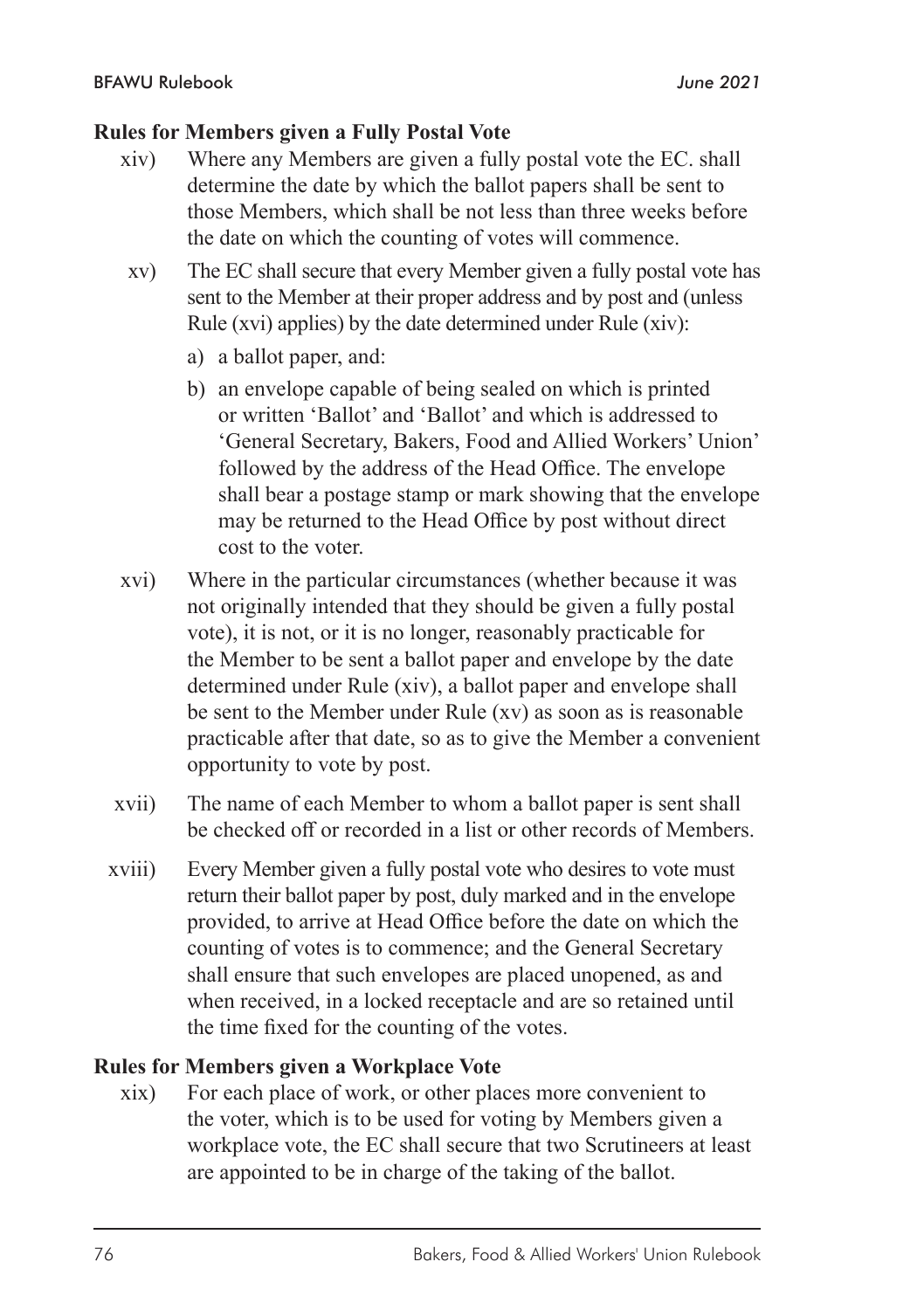#### **Rules for Members given a Fully Postal Vote**

- xiv) Where any Members are given a fully postal vote the EC. shall determine the date by which the ballot papers shall be sent to those Members, which shall be not less than three weeks before the date on which the counting of votes will commence.
- xv) The EC shall secure that every Member given a fully postal vote has sent to the Member at their proper address and by post and (unless Rule (xvi) applies) by the date determined under Rule (xiv):
	- a) a ballot paper, and:
	- b) an envelope capable of being sealed on which is printed or written 'Ballot' and 'Ballot' and which is addressed to 'General Secretary, Bakers, Food and Allied Workers' Union' followed by the address of the Head Office. The envelope shall bear a postage stamp or mark showing that the envelope may be returned to the Head Office by post without direct cost to the voter.
- xvi) Where in the particular circumstances (whether because it was not originally intended that they should be given a fully postal vote), it is not, or it is no longer, reasonably practicable for the Member to be sent a ballot paper and envelope by the date determined under Rule (xiv), a ballot paper and envelope shall be sent to the Member under Rule (xv) as soon as is reasonable practicable after that date, so as to give the Member a convenient opportunity to vote by post.
- xvii) The name of each Member to whom a ballot paper is sent shall be checked off or recorded in a list or other records of Members.
- xviii) Every Member given a fully postal vote who desires to vote must return their ballot paper by post, duly marked and in the envelope provided, to arrive at Head Office before the date on which the counting of votes is to commence; and the General Secretary shall ensure that such envelopes are placed unopened, as and when received, in a locked receptacle and are so retained until the time fixed for the counting of the votes.

#### **Rules for Members given a Workplace Vote**

xix) For each place of work, or other places more convenient to the voter, which is to be used for voting by Members given a workplace vote, the EC shall secure that two Scrutineers at least are appointed to be in charge of the taking of the ballot.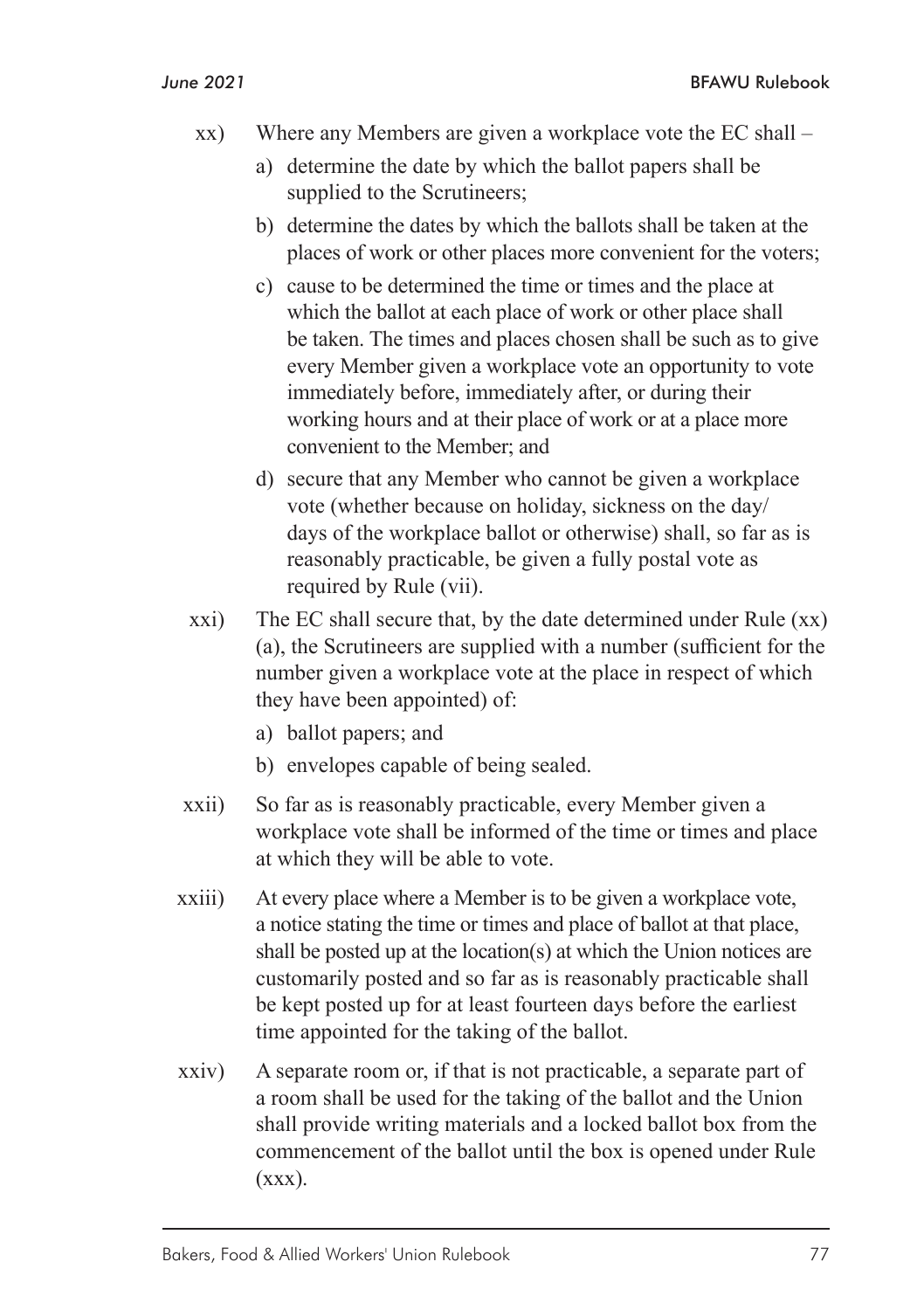- xx) Where any Members are given a workplace vote the EC shall
	- a) determine the date by which the ballot papers shall be supplied to the Scrutineers;
	- b) determine the dates by which the ballots shall be taken at the places of work or other places more convenient for the voters;
	- c) cause to be determined the time or times and the place at which the ballot at each place of work or other place shall be taken. The times and places chosen shall be such as to give every Member given a workplace vote an opportunity to vote immediately before, immediately after, or during their working hours and at their place of work or at a place more convenient to the Member; and
	- d) secure that any Member who cannot be given a workplace vote (whether because on holiday, sickness on the day/ days of the workplace ballot or otherwise) shall, so far as is reasonably practicable, be given a fully postal vote as required by Rule (vii).
- xxi) The EC shall secure that, by the date determined under Rule (xx) (a), the Scrutineers are supplied with a number (sufficient for the number given a workplace vote at the place in respect of which they have been appointed) of:
	- a) ballot papers; and
	- b) envelopes capable of being sealed.
- xxii) So far as is reasonably practicable, every Member given a workplace vote shall be informed of the time or times and place at which they will be able to vote.
- xxiii) At every place where a Member is to be given a workplace vote, a notice stating the time or times and place of ballot at that place, shall be posted up at the location(s) at which the Union notices are customarily posted and so far as is reasonably practicable shall be kept posted up for at least fourteen days before the earliest time appointed for the taking of the ballot.
- xxiv) A separate room or, if that is not practicable, a separate part of a room shall be used for the taking of the ballot and the Union shall provide writing materials and a locked ballot box from the commencement of the ballot until the box is opened under Rule  $(xxx)$ .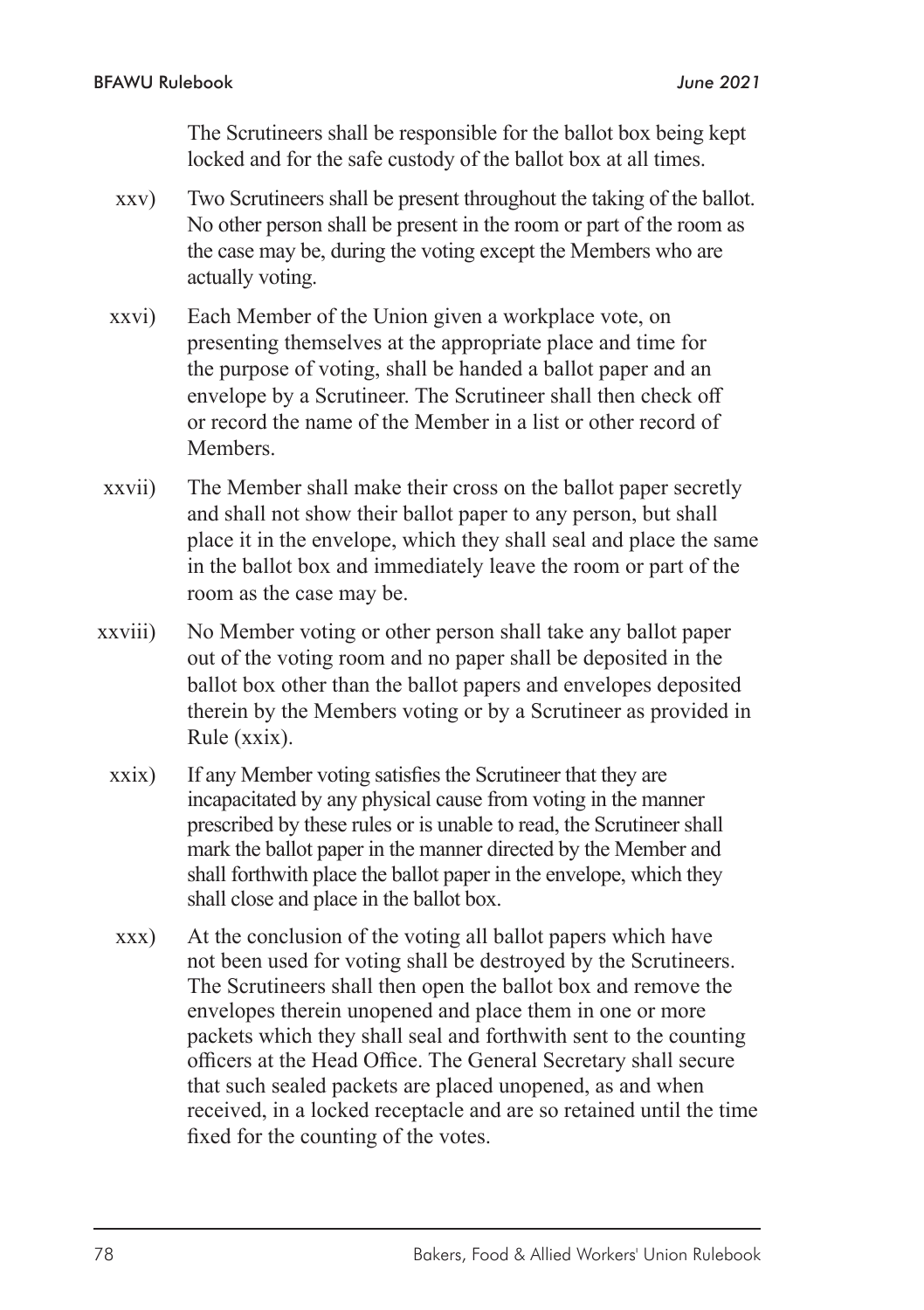The Scrutineers shall be responsible for the ballot box being kept locked and for the safe custody of the ballot box at all times.

- xxv) Two Scrutineers shall be present throughout the taking of the ballot. No other person shall be present in the room or part of the room as the case may be, during the voting except the Members who are actually voting.
- xxvi) Each Member of the Union given a workplace vote, on presenting themselves at the appropriate place and time for the purpose of voting, shall be handed a ballot paper and an envelope by a Scrutineer. The Scrutineer shall then check off or record the name of the Member in a list or other record of **Members**
- xxvii) The Member shall make their cross on the ballot paper secretly and shall not show their ballot paper to any person, but shall place it in the envelope, which they shall seal and place the same in the ballot box and immediately leave the room or part of the room as the case may be.
- xxviii) No Member voting or other person shall take any ballot paper out of the voting room and no paper shall be deposited in the ballot box other than the ballot papers and envelopes deposited therein by the Members voting or by a Scrutineer as provided in Rule (xxix).
	- xxix) If any Member voting satisfies the Scrutineer that they are incapacitated by any physical cause from voting in the manner prescribed by these rules or is unable to read, the Scrutineer shall mark the ballot paper in the manner directed by the Member and shall forthwith place the ballot paper in the envelope, which they shall close and place in the ballot box.
	- xxx) At the conclusion of the voting all ballot papers which have not been used for voting shall be destroyed by the Scrutineers. The Scrutineers shall then open the ballot box and remove the envelopes therein unopened and place them in one or more packets which they shall seal and forthwith sent to the counting officers at the Head Office. The General Secretary shall secure that such sealed packets are placed unopened, as and when received, in a locked receptacle and are so retained until the time fixed for the counting of the votes.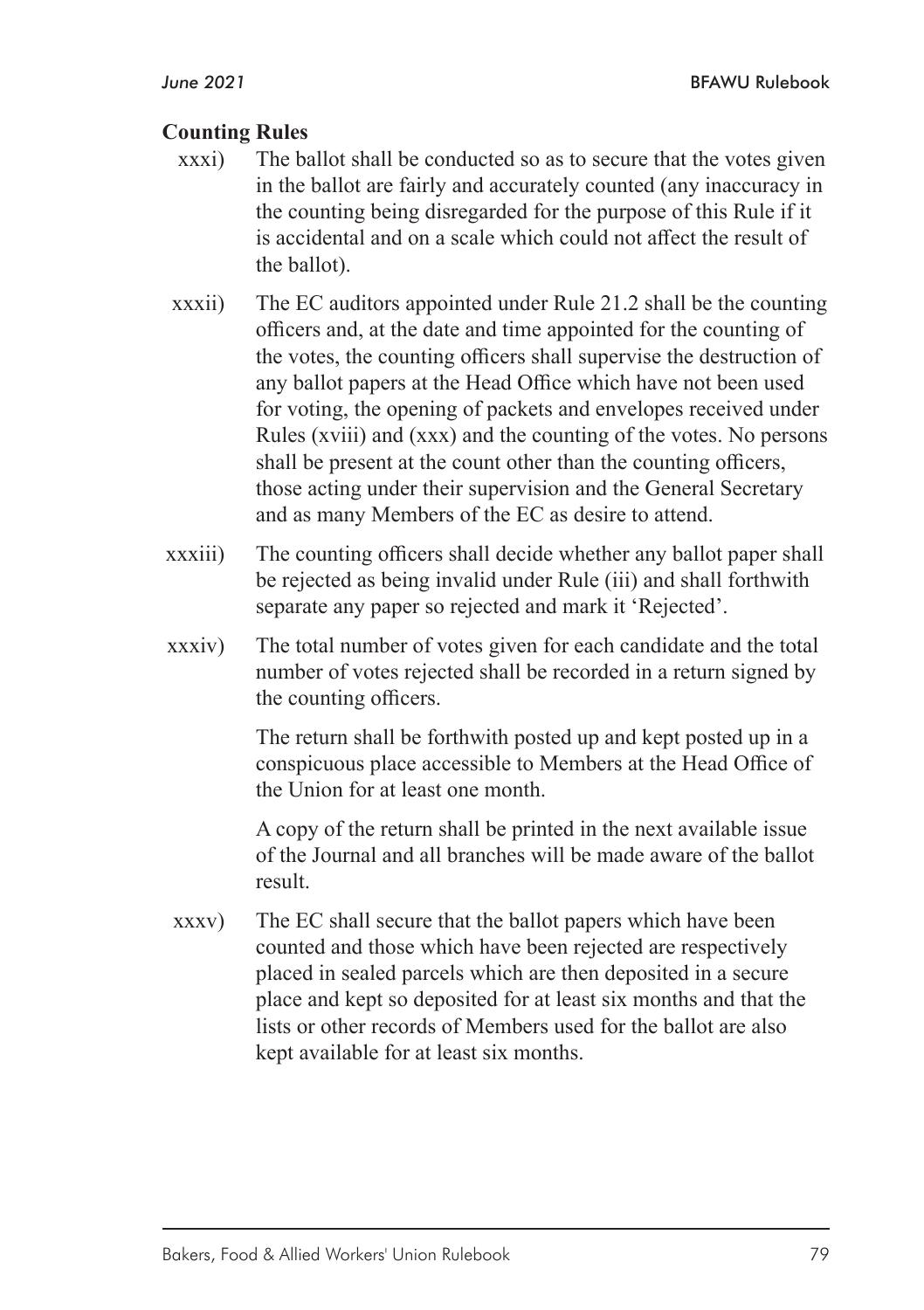#### **Counting Rules**

- xxxi) The ballot shall be conducted so as to secure that the votes given in the ballot are fairly and accurately counted (any inaccuracy in the counting being disregarded for the purpose of this Rule if it is accidental and on a scale which could not affect the result of the ballot).
- xxxii) The EC auditors appointed under Rule 21.2 shall be the counting officers and, at the date and time appointed for the counting of the votes, the counting officers shall supervise the destruction of any ballot papers at the Head Office which have not been used for voting, the opening of packets and envelopes received under Rules (xviii) and (xxx) and the counting of the votes. No persons shall be present at the count other than the counting officers, those acting under their supervision and the General Secretary and as many Members of the EC as desire to attend.
- xxxiii) The counting officers shall decide whether any ballot paper shall be rejected as being invalid under Rule (iii) and shall forthwith separate any paper so rejected and mark it 'Rejected'.
- xxxiv) The total number of votes given for each candidate and the total number of votes rejected shall be recorded in a return signed by the counting officers.

 The return shall be forthwith posted up and kept posted up in a conspicuous place accessible to Members at the Head Office of the Union for at least one month.

A copy of the return shall be printed in the next available issue of the Journal and all branches will be made aware of the ballot result.

xxxv) The EC shall secure that the ballot papers which have been counted and those which have been rejected are respectively placed in sealed parcels which are then deposited in a secure place and kept so deposited for at least six months and that the lists or other records of Members used for the ballot are also kept available for at least six months.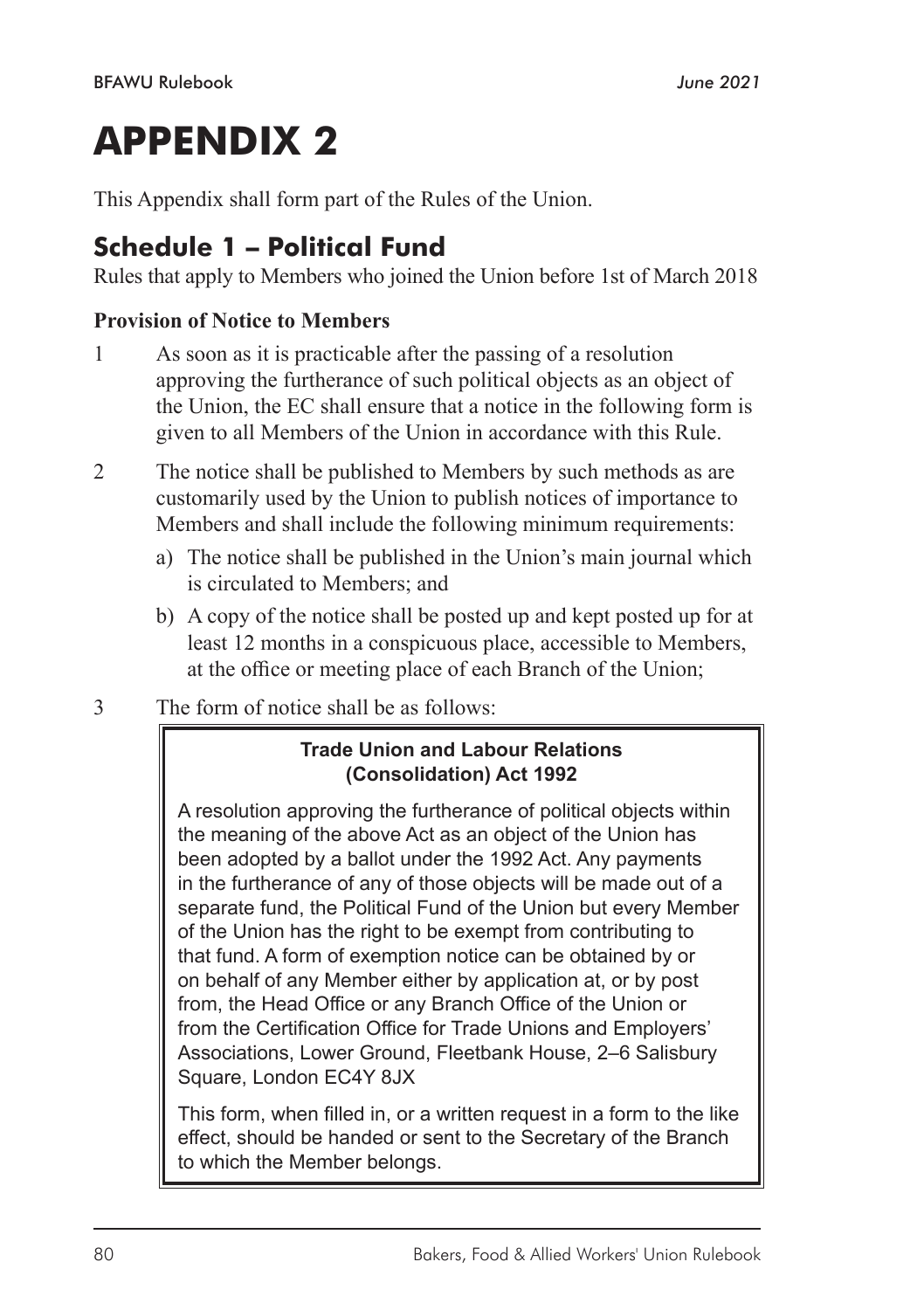# **APPENDIX 2**

This Appendix shall form part of the Rules of the Union.

# **Schedule 1 – Political Fund**

Rules that apply to Members who joined the Union before 1st of March 2018

#### **Provision of Notice to Members**

- 1 As soon as it is practicable after the passing of a resolution approving the furtherance of such political objects as an object of the Union, the EC shall ensure that a notice in the following form is given to all Members of the Union in accordance with this Rule.
- 2 The notice shall be published to Members by such methods as are customarily used by the Union to publish notices of importance to Members and shall include the following minimum requirements:
	- a) The notice shall be published in the Union's main journal which is circulated to Members; and
	- b) A copy of the notice shall be posted up and kept posted up for at least 12 months in a conspicuous place, accessible to Members, at the office or meeting place of each Branch of the Union;
- 3 The form of notice shall be as follows:

#### **Trade Union and Labour Relations (Consolidation) Act 1992**

A resolution approving the furtherance of political objects within the meaning of the above Act as an object of the Union has been adopted by a ballot under the 1992 Act. Any payments in the furtherance of any of those objects will be made out of a separate fund, the Political Fund of the Union but every Member of the Union has the right to be exempt from contributing to that fund. A form of exemption notice can be obtained by or on behalf of any Member either by application at, or by post from, the Head Office or any Branch Office of the Union or from the Certification Office for Trade Unions and Employers' Associations, Lower Ground, Fleetbank House, 2–6 Salisbury Square, London EC4Y 8JX

This form, when filled in, or a written request in a form to the like effect, should be handed or sent to the Secretary of the Branch to which the Member belongs.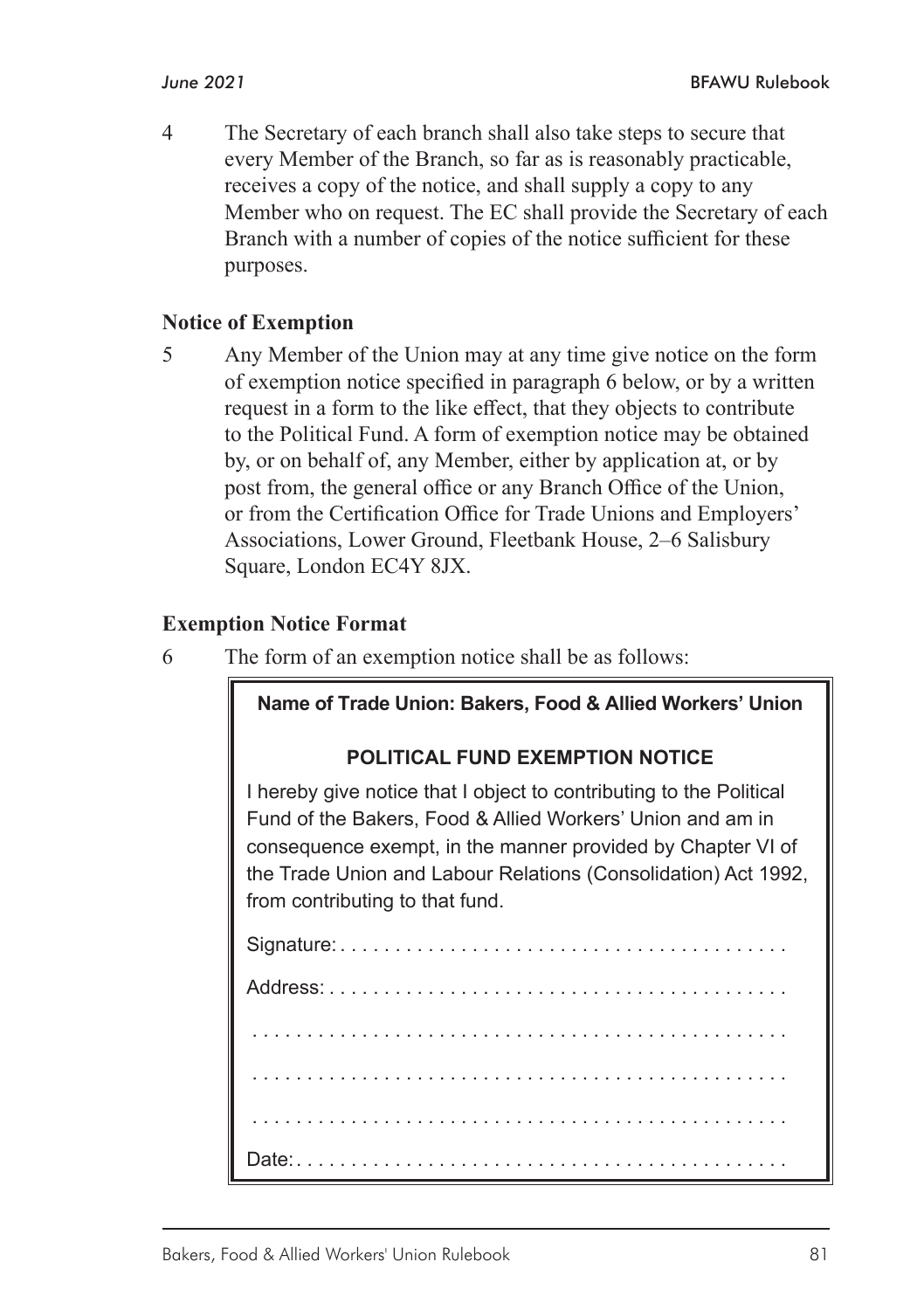4 The Secretary of each branch shall also take steps to secure that every Member of the Branch, so far as is reasonably practicable, receives a copy of the notice, and shall supply a copy to any Member who on request. The EC shall provide the Secretary of each Branch with a number of copies of the notice sufficient for these purposes.

#### **Notice of Exemption**

5 Any Member of the Union may at any time give notice on the form of exemption notice specified in paragraph 6 below, or by a written request in a form to the like effect, that they objects to contribute to the Political Fund. A form of exemption notice may be obtained by, or on behalf of, any Member, either by application at, or by post from, the general office or any Branch Office of the Union, or from the Certification Office for Trade Unions and Employers' Associations, Lower Ground, Fleetbank House, 2–6 Salisbury Square, London EC4Y 8JX.

#### **Exemption Notice Format**

6 The form of an exemption notice shall be as follows:

#### **Name of Trade Union: Bakers, Food & Allied Workers' Union**

#### **POLITICAL FUND EXEMPTION NOTICE**

I hereby give notice that I object to contributing to the Political Fund of the Bakers, Food & Allied Workers' Union and am in consequence exempt, in the manner provided by Chapter VI of the Trade Union and Labour Relations (Consolidation) Act 1992, from contributing to that fund.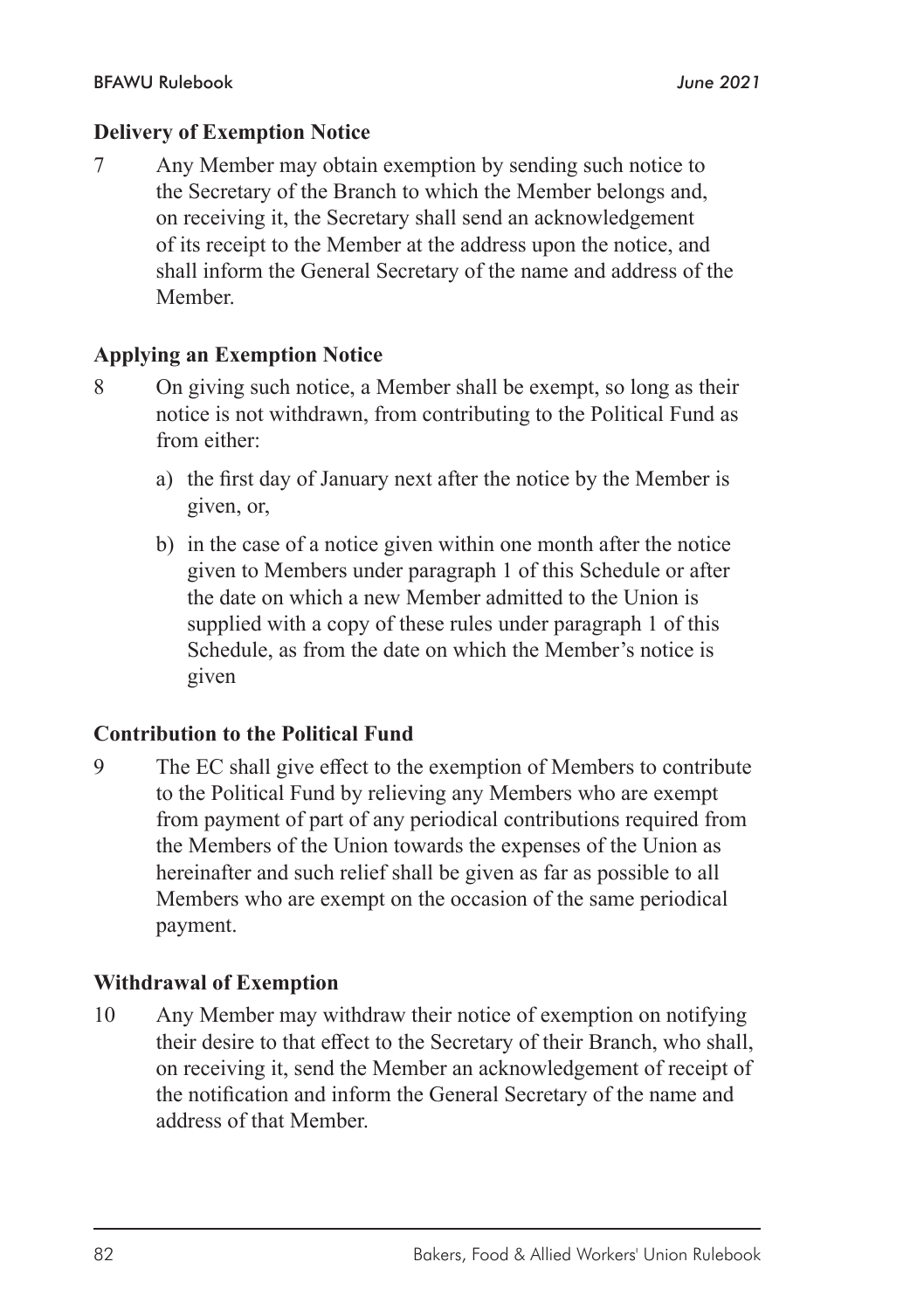#### **Delivery of Exemption Notice**

7 Any Member may obtain exemption by sending such notice to the Secretary of the Branch to which the Member belongs and, on receiving it, the Secretary shall send an acknowledgement of its receipt to the Member at the address upon the notice, and shall inform the General Secretary of the name and address of the Member.

#### **Applying an Exemption Notice**

- 8 On giving such notice, a Member shall be exempt, so long as their notice is not withdrawn, from contributing to the Political Fund as from either:
	- a) the first day of January next after the notice by the Member is given, or,
	- b) in the case of a notice given within one month after the notice given to Members under paragraph 1 of this Schedule or after the date on which a new Member admitted to the Union is supplied with a copy of these rules under paragraph 1 of this Schedule, as from the date on which the Member's notice is given

#### **Contribution to the Political Fund**

9 The EC shall give effect to the exemption of Members to contribute to the Political Fund by relieving any Members who are exempt from payment of part of any periodical contributions required from the Members of the Union towards the expenses of the Union as hereinafter and such relief shall be given as far as possible to all Members who are exempt on the occasion of the same periodical payment.

#### **Withdrawal of Exemption**

10 Any Member may withdraw their notice of exemption on notifying their desire to that effect to the Secretary of their Branch, who shall, on receiving it, send the Member an acknowledgement of receipt of the notification and inform the General Secretary of the name and address of that Member.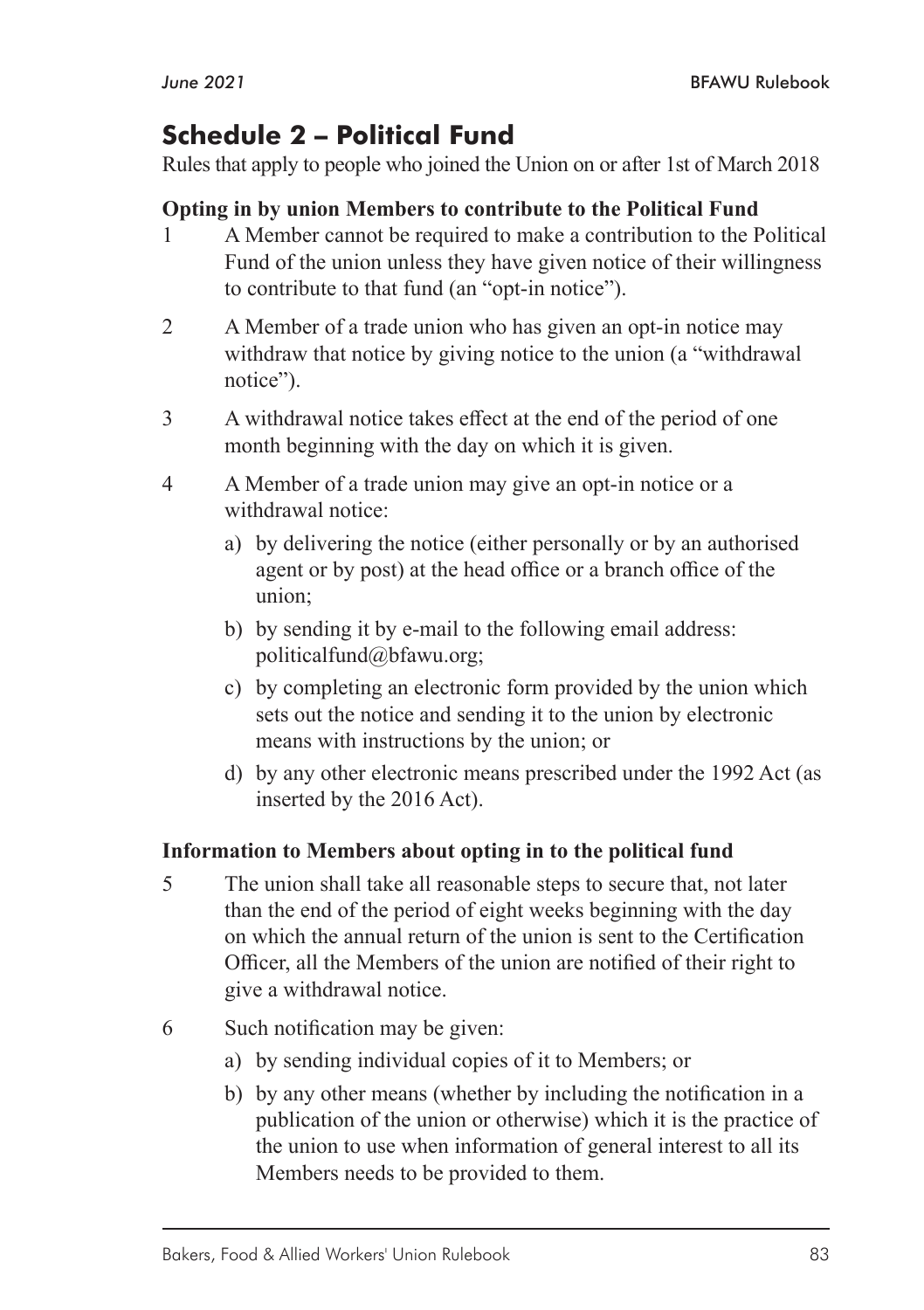## **Schedule 2 – Political Fund**

Rules that apply to people who joined the Union on or after 1st of March 2018

#### **Opting in by union Members to contribute to the Political Fund**

- 1 A Member cannot be required to make a contribution to the Political Fund of the union unless they have given notice of their willingness to contribute to that fund (an "opt-in notice").
- 2 A Member of a trade union who has given an opt-in notice may withdraw that notice by giving notice to the union (a "withdrawal notice").
- 3 A withdrawal notice takes effect at the end of the period of one month beginning with the day on which it is given.
- 4 A Member of a trade union may give an opt-in notice or a withdrawal notice:
	- a) by delivering the notice (either personally or by an authorised agent or by post) at the head office or a branch office of the union;
	- b) by sending it by e-mail to the following email address: politicalfund@bfawu.org;
	- c) by completing an electronic form provided by the union which sets out the notice and sending it to the union by electronic means with instructions by the union; or
	- d) by any other electronic means prescribed under the 1992 Act (as inserted by the 2016 Act).

#### **Information to Members about opting in to the political fund**

- 5 The union shall take all reasonable steps to secure that, not later than the end of the period of eight weeks beginning with the day on which the annual return of the union is sent to the Certification Officer, all the Members of the union are notified of their right to give a withdrawal notice.
- 6 Such notification may be given:
	- a) by sending individual copies of it to Members; or
	- b) by any other means (whether by including the notification in a publication of the union or otherwise) which it is the practice of the union to use when information of general interest to all its Members needs to be provided to them.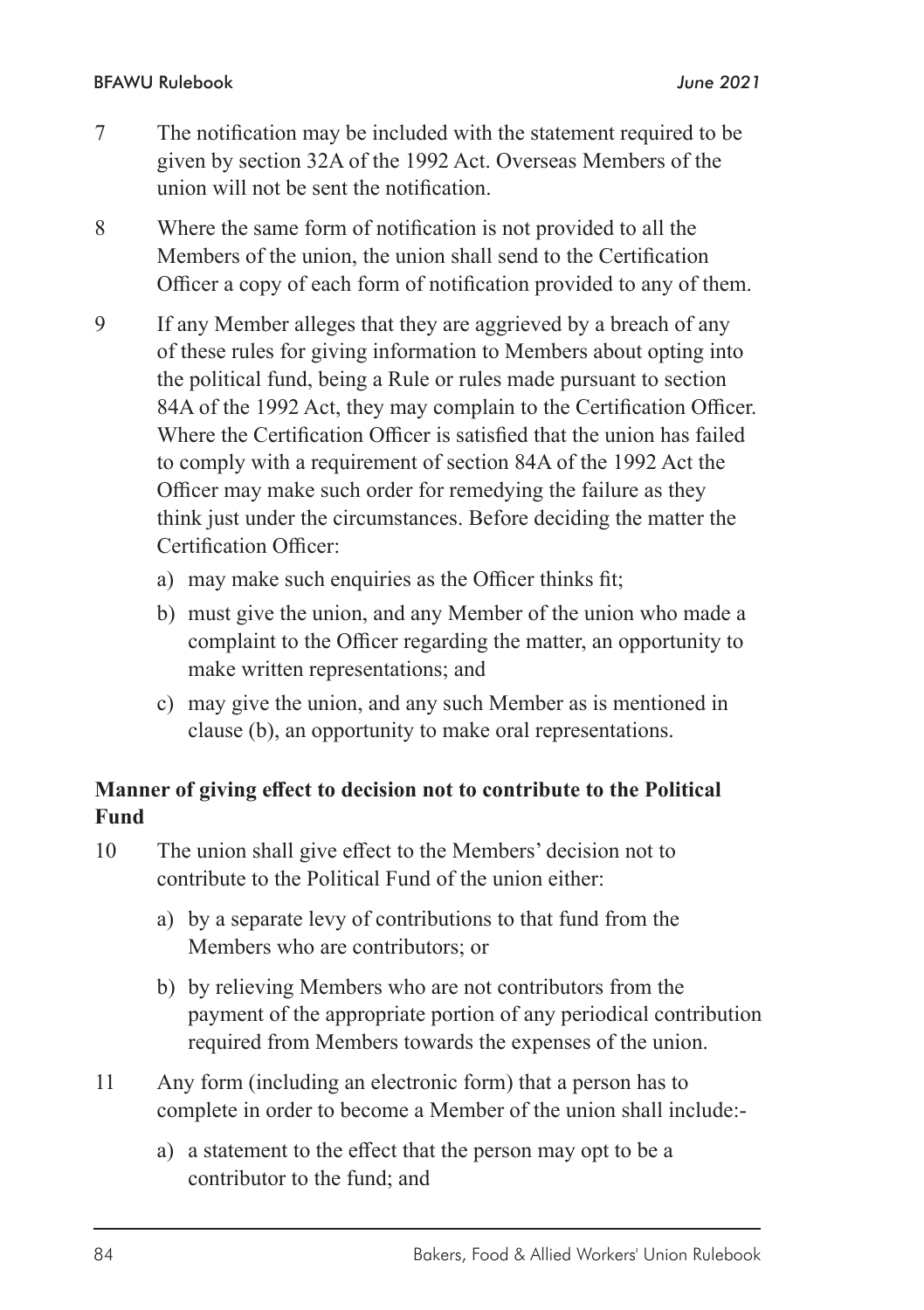- 7 The notification may be included with the statement required to be given by section 32A of the 1992 Act. Overseas Members of the union will not be sent the notification.
- 8 Where the same form of notification is not provided to all the Members of the union, the union shall send to the Certification Officer a copy of each form of notification provided to any of them.
- 9 If any Member alleges that they are aggrieved by a breach of any of these rules for giving information to Members about opting into the political fund, being a Rule or rules made pursuant to section 84A of the 1992 Act, they may complain to the Certification Officer. Where the Certification Officer is satisfied that the union has failed to comply with a requirement of section 84A of the 1992 Act the Officer may make such order for remedying the failure as they think just under the circumstances. Before deciding the matter the Certification Officer:
	- a) may make such enquiries as the Officer thinks fit;
	- b) must give the union, and any Member of the union who made a complaint to the Officer regarding the matter, an opportunity to make written representations; and
	- c) may give the union, and any such Member as is mentioned in clause (b), an opportunity to make oral representations.

### **Manner of giving effect to decision not to contribute to the Political Fund**

- 10 The union shall give effect to the Members' decision not to contribute to the Political Fund of the union either:
	- a) by a separate levy of contributions to that fund from the Members who are contributors; or
	- b) by relieving Members who are not contributors from the payment of the appropriate portion of any periodical contribution required from Members towards the expenses of the union.
- 11 Any form (including an electronic form) that a person has to complete in order to become a Member of the union shall include:
	- a) a statement to the effect that the person may opt to be a contributor to the fund; and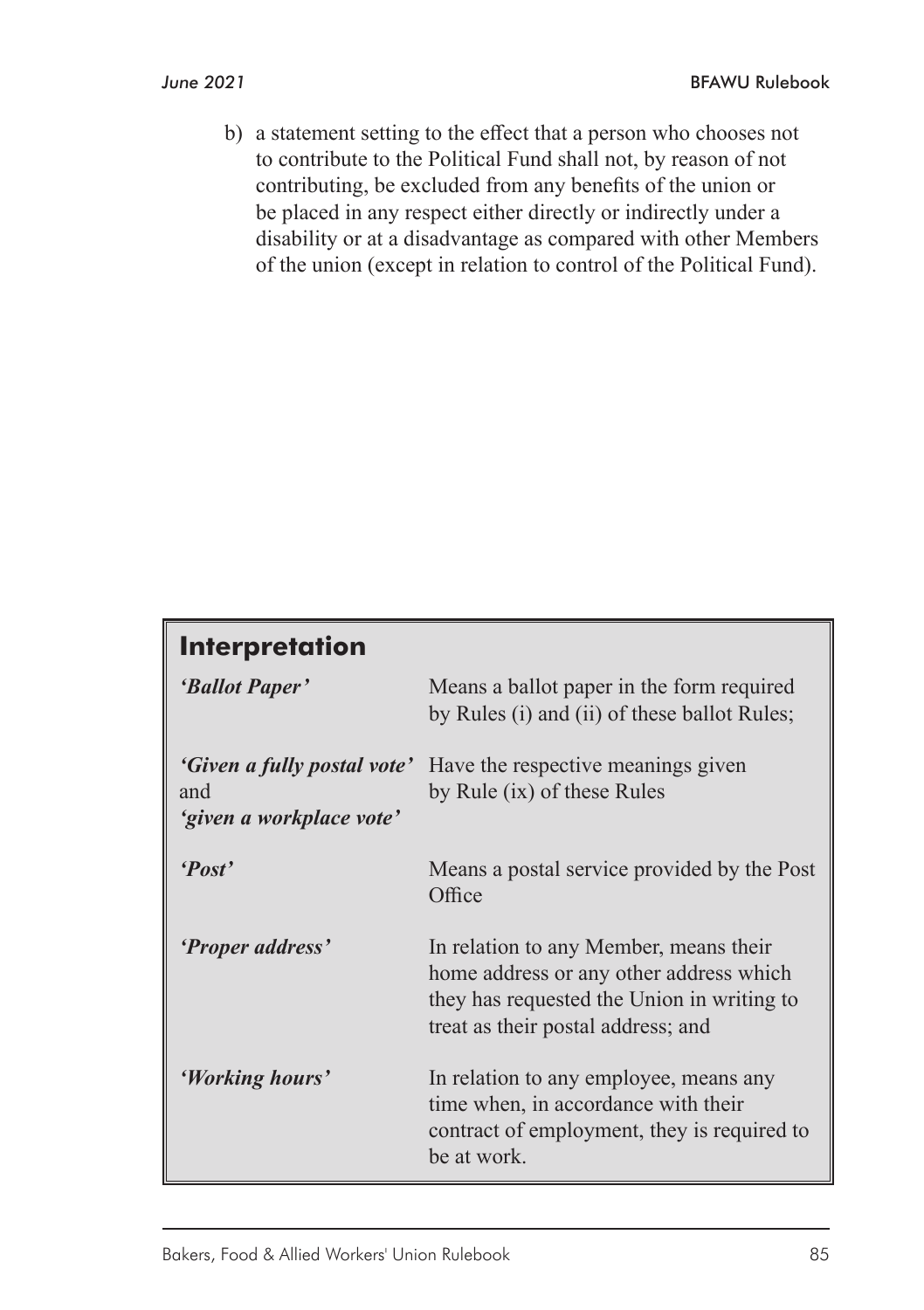b) a statement setting to the effect that a person who chooses not to contribute to the Political Fund shall not, by reason of not contributing, be excluded from any benefits of the union or be placed in any respect either directly or indirectly under a disability or at a disadvantage as compared with other Members of the union (except in relation to control of the Political Fund).

# **Interpretation** *'Ballot Paper'* Means a ballot paper in the form required by Rules (i) and (ii) of these ballot Rules; *'Given a fully postal vote'* Have the respective meanings given and by Rule (ix) of these Rules *'given a workplace vote' 'Post'* Means a postal service provided by the Post Office *'Proper address'* In relation to any Member, means their home address or any other address which they has requested the Union in writing to treat as their postal address; and *'Working hours'* In relation to any employee, means any time when, in accordance with their contract of employment, they is required to be at work.